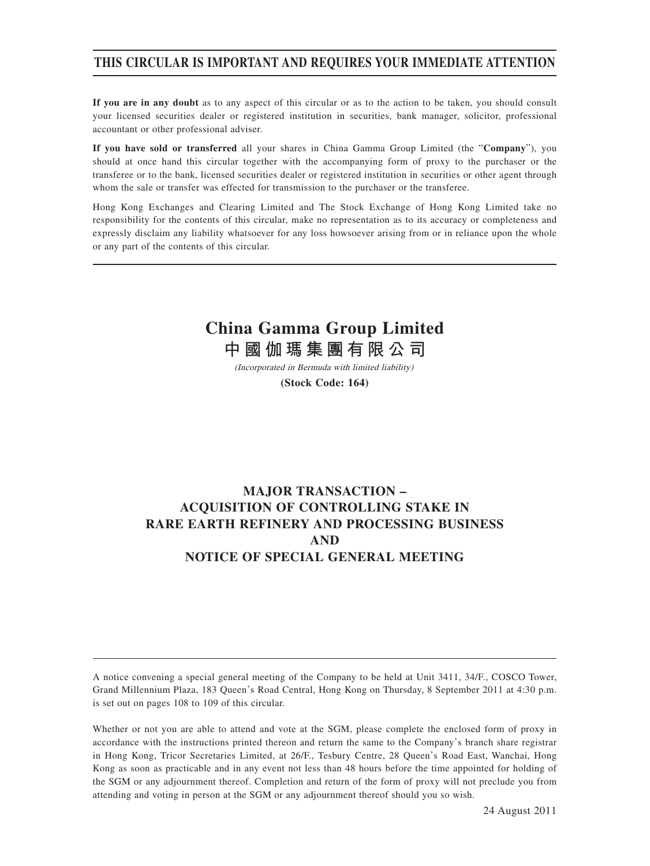# **THIS CIRCULAR IS IMPORTANT AND REQUIRES YOUR IMMEDIATE ATTENTION**

**If you are in any doubt** as to any aspect of this circular or as to the action to be taken, you should consult your licensed securities dealer or registered institution in securities, bank manager, solicitor, professional accountant or other professional adviser.

**If you have sold or transferred** all your shares in China Gamma Group Limited (the "**Company**"), you should at once hand this circular together with the accompanying form of proxy to the purchaser or the transferee or to the bank, licensed securities dealer or registered institution in securities or other agent through whom the sale or transfer was effected for transmission to the purchaser or the transferee.

Hong Kong Exchanges and Clearing Limited and The Stock Exchange of Hong Kong Limited take no responsibility for the contents of this circular, make no representation as to its accuracy or completeness and expressly disclaim any liability whatsoever for any loss howsoever arising from or in reliance upon the whole or any part of the contents of this circular.

# **China Gamma Group Limited**

**中國伽瑪集團有限公司**

(Incorporated in Bermuda with limited liability)

**(Stock Code: 164)**

# **MAJOR TRANSACTION – ACQUISITION OF CONTROLLING STAKE IN RARE EARTH REFINERY AND PROCESSING BUSINESS AND NOTICE OF SPECIAL GENERAL MEETING**

A notice convening a special general meeting of the Company to be held at Unit 3411, 34/F., COSCO Tower, Grand Millennium Plaza, 183 Queen's Road Central, Hong Kong on Thursday, 8 September 2011 at 4:30 p.m. is set out on pages 108 to 109 of this circular.

Whether or not you are able to attend and vote at the SGM, please complete the enclosed form of proxy in accordance with the instructions printed thereon and return the same to the Company's branch share registrar in Hong Kong, Tricor Secretaries Limited, at 26/F., Tesbury Centre, 28 Queen's Road East, Wanchai, Hong Kong as soon as practicable and in any event not less than 48 hours before the time appointed for holding of the SGM or any adjournment thereof. Completion and return of the form of proxy will not preclude you from attending and voting in person at the SGM or any adjournment thereof should you so wish.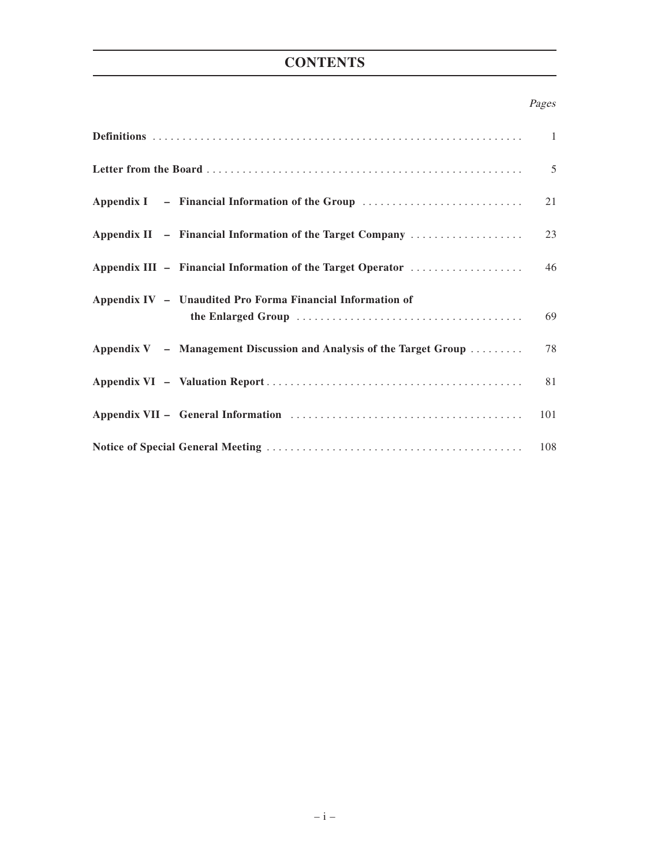# **CONTENTS**

#### Pages

|                                                                       | 5   |
|-----------------------------------------------------------------------|-----|
| Appendix I – Financial Information of the Group                       | 21  |
| Appendix II - Financial Information of the Target Company             | 23  |
| Appendix III - Financial Information of the Target Operator           | 46  |
| Appendix IV - Unaudited Pro Forma Financial Information of            | 69  |
| Appendix $V -$ Management Discussion and Analysis of the Target Group | 78  |
|                                                                       | 81  |
|                                                                       | 101 |
|                                                                       |     |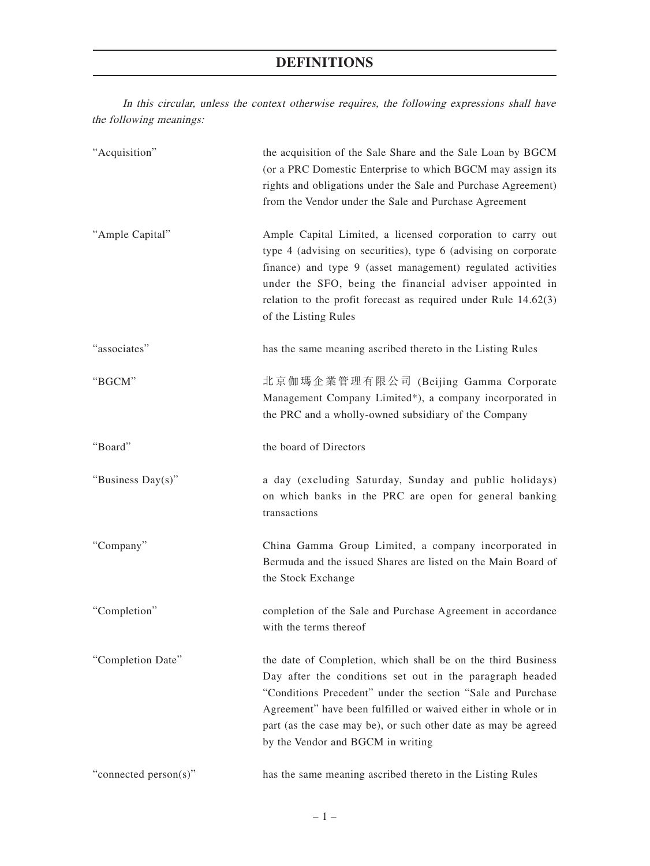In this circular, unless the context otherwise requires, the following expressions shall have the following meanings:

| "Acquisition"         | the acquisition of the Sale Share and the Sale Loan by BGCM<br>(or a PRC Domestic Enterprise to which BGCM may assign its<br>rights and obligations under the Sale and Purchase Agreement)<br>from the Vendor under the Sale and Purchase Agreement                                                                                                              |
|-----------------------|------------------------------------------------------------------------------------------------------------------------------------------------------------------------------------------------------------------------------------------------------------------------------------------------------------------------------------------------------------------|
| "Ample Capital"       | Ample Capital Limited, a licensed corporation to carry out<br>type 4 (advising on securities), type 6 (advising on corporate<br>finance) and type 9 (asset management) regulated activities<br>under the SFO, being the financial adviser appointed in<br>relation to the profit forecast as required under Rule $14.62(3)$<br>of the Listing Rules              |
| "associates"          | has the same meaning ascribed thereto in the Listing Rules                                                                                                                                                                                                                                                                                                       |
| "BGCM"                | 北京伽瑪企業管理有限公司 (Beijing Gamma Corporate<br>Management Company Limited*), a company incorporated in<br>the PRC and a wholly-owned subsidiary of the Company                                                                                                                                                                                                         |
| "Board"               | the board of Directors                                                                                                                                                                                                                                                                                                                                           |
| "Business Day(s)"     | a day (excluding Saturday, Sunday and public holidays)<br>on which banks in the PRC are open for general banking<br>transactions                                                                                                                                                                                                                                 |
| "Company"             | China Gamma Group Limited, a company incorporated in<br>Bermuda and the issued Shares are listed on the Main Board of<br>the Stock Exchange                                                                                                                                                                                                                      |
| "Completion"          | completion of the Sale and Purchase Agreement in accordance<br>with the terms thereof                                                                                                                                                                                                                                                                            |
| "Completion Date"     | the date of Completion, which shall be on the third Business<br>Day after the conditions set out in the paragraph headed<br>"Conditions Precedent" under the section "Sale and Purchase<br>Agreement" have been fulfilled or waived either in whole or in<br>part (as the case may be), or such other date as may be agreed<br>by the Vendor and BGCM in writing |
| "connected person(s)" | has the same meaning ascribed thereto in the Listing Rules                                                                                                                                                                                                                                                                                                       |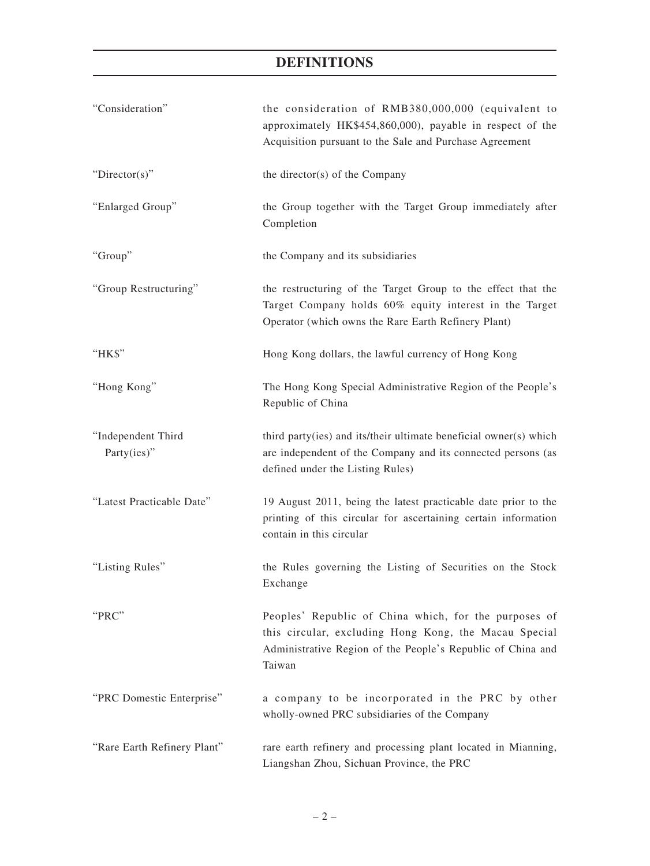| "Consideration"                   | the consideration of RMB380,000,000 (equivalent to<br>approximately HK\$454,860,000), payable in respect of the<br>Acquisition pursuant to the Sale and Purchase Agreement              |
|-----------------------------------|-----------------------------------------------------------------------------------------------------------------------------------------------------------------------------------------|
| " $Directory$ "                   | the director(s) of the Company                                                                                                                                                          |
| "Enlarged Group"                  | the Group together with the Target Group immediately after<br>Completion                                                                                                                |
| "Group"                           | the Company and its subsidiaries                                                                                                                                                        |
| "Group Restructuring"             | the restructuring of the Target Group to the effect that the<br>Target Company holds 60% equity interest in the Target<br>Operator (which owns the Rare Earth Refinery Plant)           |
| "HK\$"                            | Hong Kong dollars, the lawful currency of Hong Kong                                                                                                                                     |
| "Hong Kong"                       | The Hong Kong Special Administrative Region of the People's<br>Republic of China                                                                                                        |
| "Independent Third<br>Party(ies)" | third party(ies) and its/their ultimate beneficial owner(s) which<br>are independent of the Company and its connected persons (as<br>defined under the Listing Rules)                   |
| "Latest Practicable Date"         | 19 August 2011, being the latest practicable date prior to the<br>printing of this circular for ascertaining certain information<br>contain in this circular                            |
| "Listing Rules"                   | the Rules governing the Listing of Securities on the Stock<br>Exchange                                                                                                                  |
| "PRC"                             | Peoples' Republic of China which, for the purposes of<br>this circular, excluding Hong Kong, the Macau Special<br>Administrative Region of the People's Republic of China and<br>Taiwan |
| "PRC Domestic Enterprise"         | a company to be incorporated in the PRC by other<br>wholly-owned PRC subsidiaries of the Company                                                                                        |
| "Rare Earth Refinery Plant"       | rare earth refinery and processing plant located in Mianning,<br>Liangshan Zhou, Sichuan Province, the PRC                                                                              |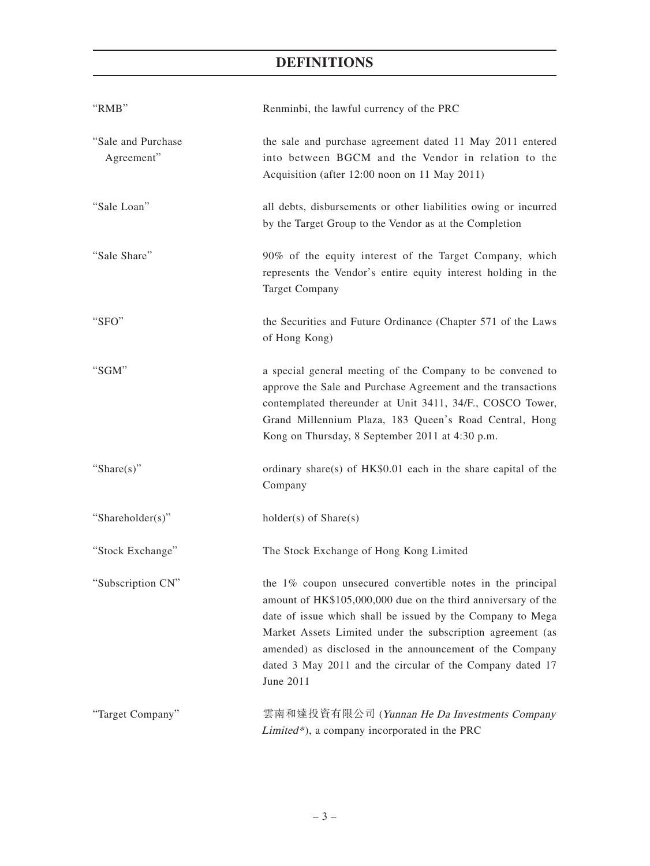| "RMB"                            | Renminbi, the lawful currency of the PRC                                                                                                                                                                                                                                                                                                                                                      |
|----------------------------------|-----------------------------------------------------------------------------------------------------------------------------------------------------------------------------------------------------------------------------------------------------------------------------------------------------------------------------------------------------------------------------------------------|
| "Sale and Purchase<br>Agreement" | the sale and purchase agreement dated 11 May 2011 entered<br>into between BGCM and the Vendor in relation to the<br>Acquisition (after 12:00 noon on 11 May 2011)                                                                                                                                                                                                                             |
| "Sale Loan"                      | all debts, disbursements or other liabilities owing or incurred<br>by the Target Group to the Vendor as at the Completion                                                                                                                                                                                                                                                                     |
| "Sale Share"                     | 90% of the equity interest of the Target Company, which<br>represents the Vendor's entire equity interest holding in the<br><b>Target Company</b>                                                                                                                                                                                                                                             |
| "SFO"                            | the Securities and Future Ordinance (Chapter 571 of the Laws<br>of Hong Kong)                                                                                                                                                                                                                                                                                                                 |
| "SGM"                            | a special general meeting of the Company to be convened to<br>approve the Sale and Purchase Agreement and the transactions<br>contemplated thereunder at Unit 3411, 34/F., COSCO Tower,<br>Grand Millennium Plaza, 183 Queen's Road Central, Hong<br>Kong on Thursday, 8 September 2011 at 4:30 p.m.                                                                                          |
| "Share $(s)$ "                   | ordinary share(s) of HK\$0.01 each in the share capital of the<br>Company                                                                                                                                                                                                                                                                                                                     |
| "Shareholder(s)"                 | $holder(s)$ of $Share(s)$                                                                                                                                                                                                                                                                                                                                                                     |
| "Stock Exchange"                 | The Stock Exchange of Hong Kong Limited                                                                                                                                                                                                                                                                                                                                                       |
| "Subscription CN"                | the 1% coupon unsecured convertible notes in the principal<br>amount of HK\$105,000,000 due on the third anniversary of the<br>date of issue which shall be issued by the Company to Mega<br>Market Assets Limited under the subscription agreement (as<br>amended) as disclosed in the announcement of the Company<br>dated 3 May 2011 and the circular of the Company dated 17<br>June 2011 |
| "Target Company"                 | 雲南和達投資有限公司 (Yunnan He Da Investments Company<br>Limited*), a company incorporated in the PRC                                                                                                                                                                                                                                                                                                  |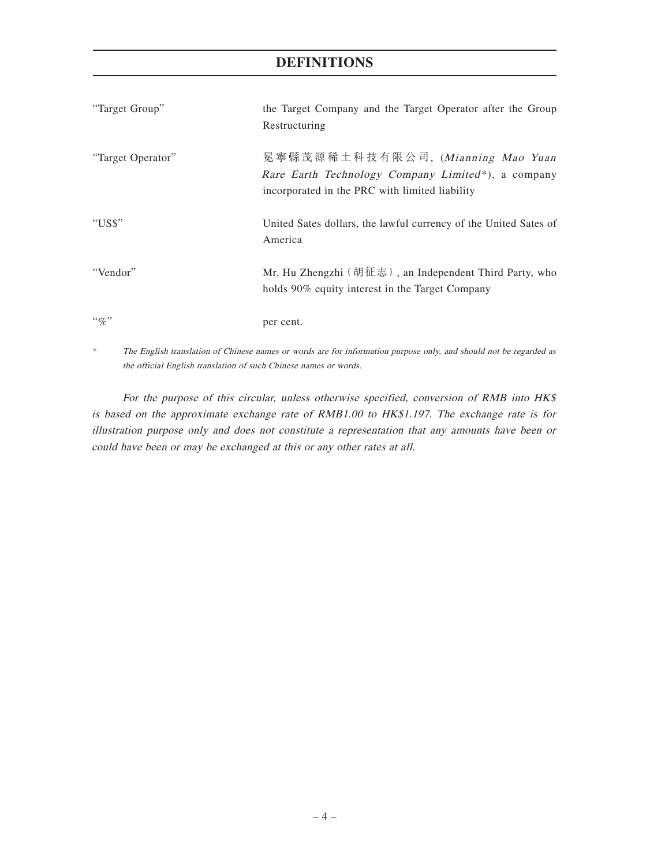| "Target Group"    | the Target Company and the Target Operator after the Group<br>Restructuring                                                               |
|-------------------|-------------------------------------------------------------------------------------------------------------------------------------------|
| "Target Operator" | 冕寧縣茂源稀土科技有限公司, (Mianning Mao Yuan<br>Rare Earth Technology Company Limited*), a company<br>incorporated in the PRC with limited liability |
| "US\$"            | United Sates dollars, the lawful currency of the United Sates of<br>America                                                               |
| "Vendor"          | Mr. Hu Zhengzhi (胡征志), an Independent Third Party, who<br>holds 90% equity interest in the Target Company                                 |
| $``q_0"$          | per cent.                                                                                                                                 |

\* The English translation of Chinese names or words are for information purpose only, and should not be regarded as the official English translation of such Chinese names or words.

For the purpose of this circular, unless otherwise specified, conversion of RMB into HK\$ is based on the approximate exchange rate of RMB1.00 to HK\$1.197. The exchange rate is for illustration purpose only and does not constitute a representation that any amounts have been or could have been or may be exchanged at this or any other rates at all.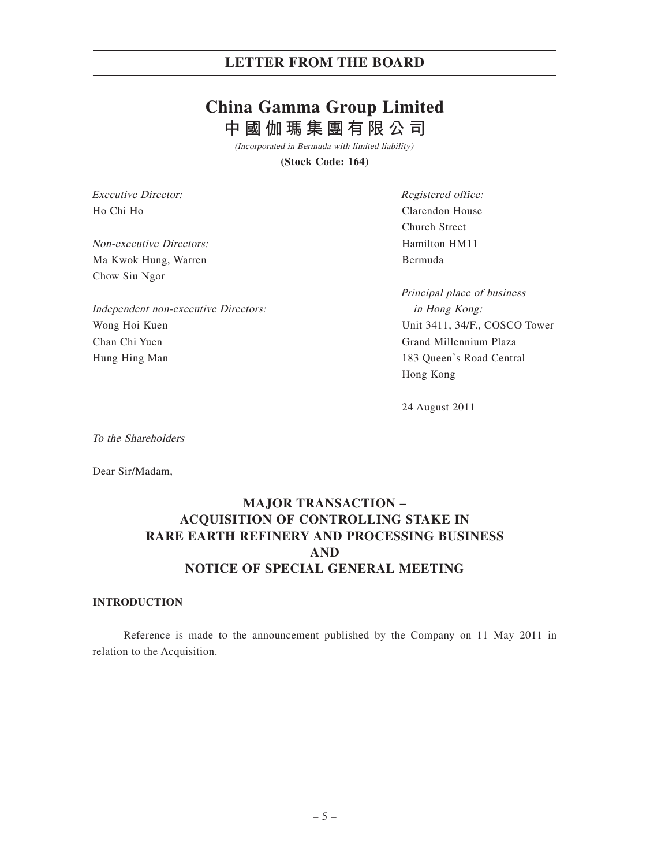# **China Gamma Group Limited 中國伽瑪集團有限公司**

(Incorporated in Bermuda with limited liability)

**(Stock Code: 164)**

Executive Director: Ho Chi Ho

Non-executive Directors: Ma Kwok Hung, Warren Chow Siu Ngor

Independent non-executive Directors: Wong Hoi Kuen Chan Chi Yuen Hung Hing Man

Registered office: Clarendon House Church Street Hamilton HM11 Bermuda

Principal place of business in Hong Kong: Unit 3411, 34/F., COSCO Tower Grand Millennium Plaza 183 Queen's Road Central Hong Kong

24 August 2011

To the Shareholders

Dear Sir/Madam,

# **MAJOR TRANSACTION – ACQUISITION OF CONTROLLING STAKE IN RARE EARTH REFINERY AND PROCESSING BUSINESS AND NOTICE OF SPECIAL GENERAL MEETING**

#### **INTRODUCTION**

Reference is made to the announcement published by the Company on 11 May 2011 in relation to the Acquisition.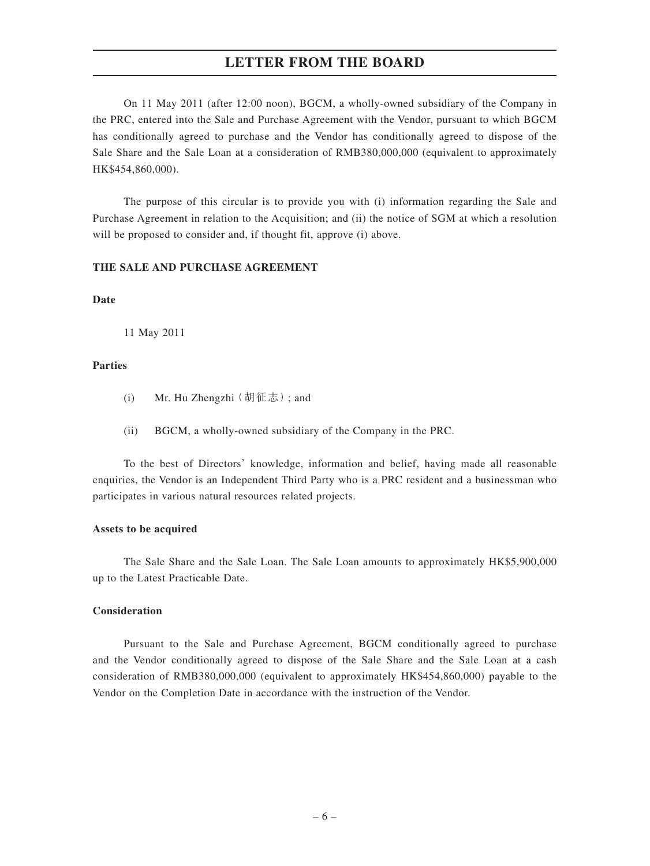On 11 May 2011 (after 12:00 noon), BGCM, a wholly-owned subsidiary of the Company in the PRC, entered into the Sale and Purchase Agreement with the Vendor, pursuant to which BGCM has conditionally agreed to purchase and the Vendor has conditionally agreed to dispose of the Sale Share and the Sale Loan at a consideration of RMB380,000,000 (equivalent to approximately HK\$454,860,000).

The purpose of this circular is to provide you with (i) information regarding the Sale and Purchase Agreement in relation to the Acquisition; and (ii) the notice of SGM at which a resolution will be proposed to consider and, if thought fit, approve (i) above.

### **THE SALE AND PURCHASE AGREEMENT**

#### **Date**

11 May 2011

#### **Parties**

- (i) Mr. Hu Zhengzhi(胡征志); and
- (ii) BGCM, a wholly-owned subsidiary of the Company in the PRC.

To the best of Directors' knowledge, information and belief, having made all reasonable enquiries, the Vendor is an Independent Third Party who is a PRC resident and a businessman who participates in various natural resources related projects.

#### **Assets to be acquired**

The Sale Share and the Sale Loan. The Sale Loan amounts to approximately HK\$5,900,000 up to the Latest Practicable Date.

#### **Consideration**

Pursuant to the Sale and Purchase Agreement, BGCM conditionally agreed to purchase and the Vendor conditionally agreed to dispose of the Sale Share and the Sale Loan at a cash consideration of RMB380,000,000 (equivalent to approximately HK\$454,860,000) payable to the Vendor on the Completion Date in accordance with the instruction of the Vendor.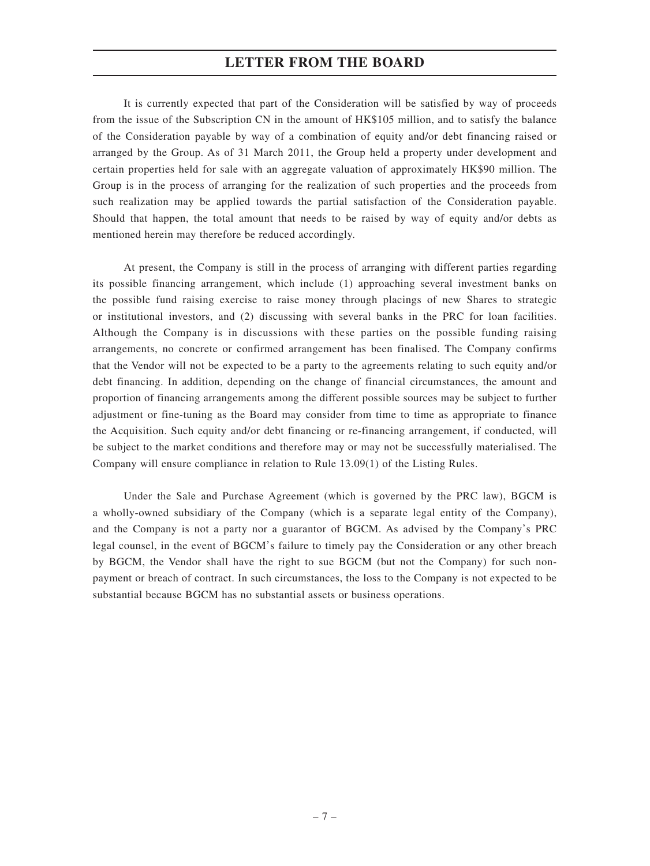It is currently expected that part of the Consideration will be satisfied by way of proceeds from the issue of the Subscription CN in the amount of HK\$105 million, and to satisfy the balance of the Consideration payable by way of a combination of equity and/or debt financing raised or arranged by the Group. As of 31 March 2011, the Group held a property under development and certain properties held for sale with an aggregate valuation of approximately HK\$90 million. The Group is in the process of arranging for the realization of such properties and the proceeds from such realization may be applied towards the partial satisfaction of the Consideration payable. Should that happen, the total amount that needs to be raised by way of equity and/or debts as mentioned herein may therefore be reduced accordingly.

At present, the Company is still in the process of arranging with different parties regarding its possible financing arrangement, which include (1) approaching several investment banks on the possible fund raising exercise to raise money through placings of new Shares to strategic or institutional investors, and (2) discussing with several banks in the PRC for loan facilities. Although the Company is in discussions with these parties on the possible funding raising arrangements, no concrete or confirmed arrangement has been finalised. The Company confirms that the Vendor will not be expected to be a party to the agreements relating to such equity and/or debt financing. In addition, depending on the change of financial circumstances, the amount and proportion of financing arrangements among the different possible sources may be subject to further adjustment or fine-tuning as the Board may consider from time to time as appropriate to finance the Acquisition. Such equity and/or debt financing or re-financing arrangement, if conducted, will be subject to the market conditions and therefore may or may not be successfully materialised. The Company will ensure compliance in relation to Rule 13.09(1) of the Listing Rules.

Under the Sale and Purchase Agreement (which is governed by the PRC law), BGCM is a wholly-owned subsidiary of the Company (which is a separate legal entity of the Company), and the Company is not a party nor a guarantor of BGCM. As advised by the Company's PRC legal counsel, in the event of BGCM's failure to timely pay the Consideration or any other breach by BGCM, the Vendor shall have the right to sue BGCM (but not the Company) for such nonpayment or breach of contract. In such circumstances, the loss to the Company is not expected to be substantial because BGCM has no substantial assets or business operations.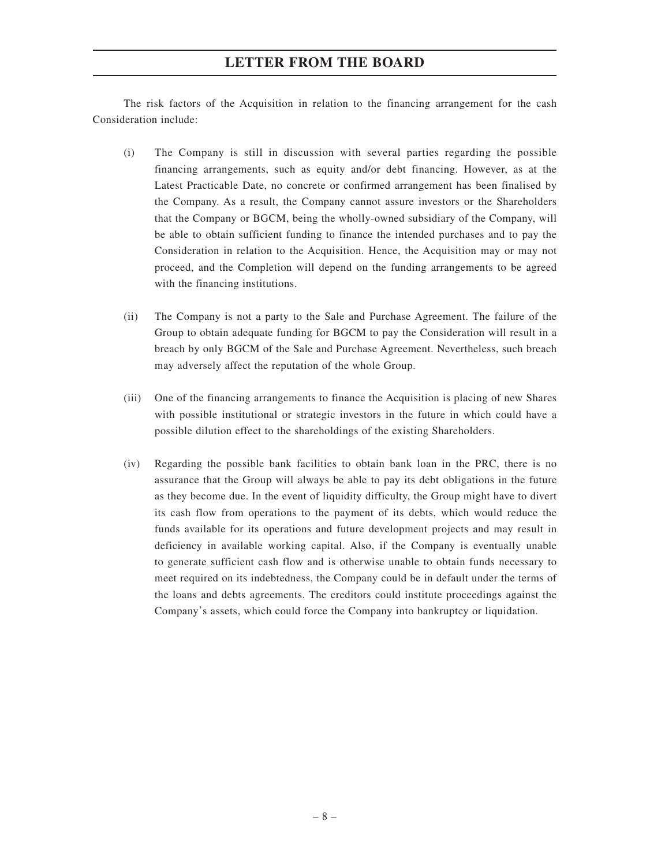The risk factors of the Acquisition in relation to the financing arrangement for the cash Consideration include:

- (i) The Company is still in discussion with several parties regarding the possible financing arrangements, such as equity and/or debt financing. However, as at the Latest Practicable Date, no concrete or confirmed arrangement has been finalised by the Company. As a result, the Company cannot assure investors or the Shareholders that the Company or BGCM, being the wholly-owned subsidiary of the Company, will be able to obtain sufficient funding to finance the intended purchases and to pay the Consideration in relation to the Acquisition. Hence, the Acquisition may or may not proceed, and the Completion will depend on the funding arrangements to be agreed with the financing institutions.
- (ii) The Company is not a party to the Sale and Purchase Agreement. The failure of the Group to obtain adequate funding for BGCM to pay the Consideration will result in a breach by only BGCM of the Sale and Purchase Agreement. Nevertheless, such breach may adversely affect the reputation of the whole Group.
- (iii) One of the financing arrangements to finance the Acquisition is placing of new Shares with possible institutional or strategic investors in the future in which could have a possible dilution effect to the shareholdings of the existing Shareholders.
- (iv) Regarding the possible bank facilities to obtain bank loan in the PRC, there is no assurance that the Group will always be able to pay its debt obligations in the future as they become due. In the event of liquidity difficulty, the Group might have to divert its cash flow from operations to the payment of its debts, which would reduce the funds available for its operations and future development projects and may result in deficiency in available working capital. Also, if the Company is eventually unable to generate sufficient cash flow and is otherwise unable to obtain funds necessary to meet required on its indebtedness, the Company could be in default under the terms of the loans and debts agreements. The creditors could institute proceedings against the Company's assets, which could force the Company into bankruptcy or liquidation.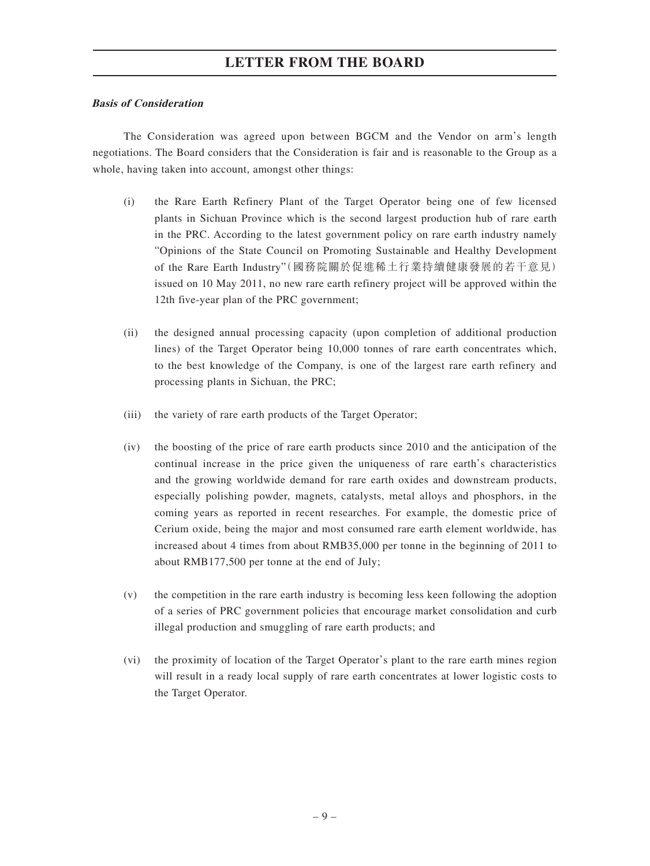### **Basis of Consideration**

The Consideration was agreed upon between BGCM and the Vendor on arm's length negotiations. The Board considers that the Consideration is fair and is reasonable to the Group as a whole, having taken into account, amongst other things:

- (i) the Rare Earth Refinery Plant of the Target Operator being one of few licensed plants in Sichuan Province which is the second largest production hub of rare earth in the PRC. According to the latest government policy on rare earth industry namely "Opinions of the State Council on Promoting Sustainable and Healthy Development of the Rare Earth Industry"(國務院關於促進稀土行業持續健康發展的若干意見) issued on 10 May 2011, no new rare earth refinery project will be approved within the 12th five-year plan of the PRC government;
- (ii) the designed annual processing capacity (upon completion of additional production lines) of the Target Operator being 10,000 tonnes of rare earth concentrates which, to the best knowledge of the Company, is one of the largest rare earth refinery and processing plants in Sichuan, the PRC;
- (iii) the variety of rare earth products of the Target Operator;
- (iv) the boosting of the price of rare earth products since 2010 and the anticipation of the continual increase in the price given the uniqueness of rare earth's characteristics and the growing worldwide demand for rare earth oxides and downstream products, especially polishing powder, magnets, catalysts, metal alloys and phosphors, in the coming years as reported in recent researches. For example, the domestic price of Cerium oxide, being the major and most consumed rare earth element worldwide, has increased about 4 times from about RMB35,000 per tonne in the beginning of 2011 to about RMB177,500 per tonne at the end of July;
- (v) the competition in the rare earth industry is becoming less keen following the adoption of a series of PRC government policies that encourage market consolidation and curb illegal production and smuggling of rare earth products; and
- (vi) the proximity of location of the Target Operator's plant to the rare earth mines region will result in a ready local supply of rare earth concentrates at lower logistic costs to the Target Operator.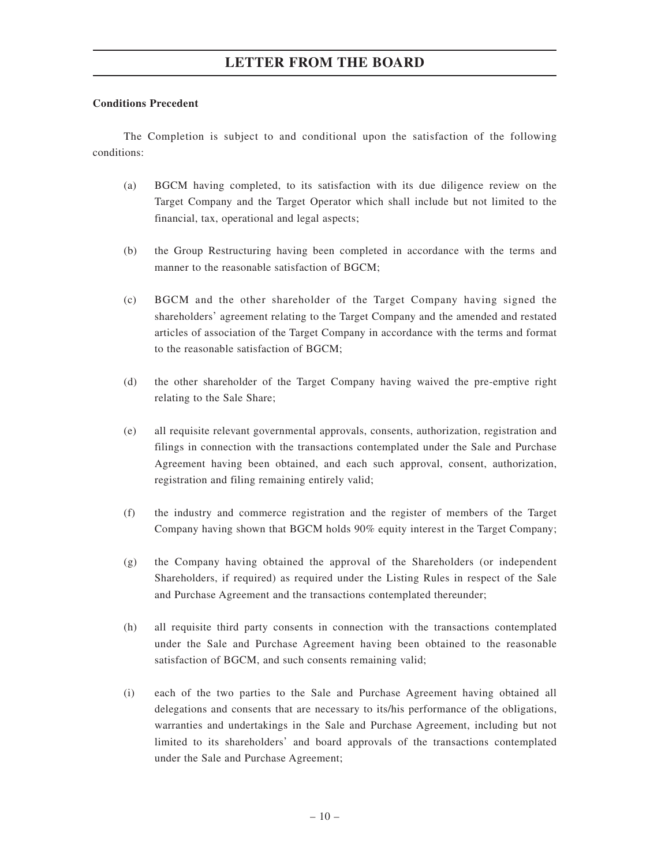#### **Conditions Precedent**

The Completion is subject to and conditional upon the satisfaction of the following conditions:

- (a) BGCM having completed, to its satisfaction with its due diligence review on the Target Company and the Target Operator which shall include but not limited to the financial, tax, operational and legal aspects;
- (b) the Group Restructuring having been completed in accordance with the terms and manner to the reasonable satisfaction of BGCM;
- (c) BGCM and the other shareholder of the Target Company having signed the shareholders' agreement relating to the Target Company and the amended and restated articles of association of the Target Company in accordance with the terms and format to the reasonable satisfaction of BGCM;
- (d) the other shareholder of the Target Company having waived the pre-emptive right relating to the Sale Share;
- (e) all requisite relevant governmental approvals, consents, authorization, registration and filings in connection with the transactions contemplated under the Sale and Purchase Agreement having been obtained, and each such approval, consent, authorization, registration and filing remaining entirely valid;
- (f) the industry and commerce registration and the register of members of the Target Company having shown that BGCM holds 90% equity interest in the Target Company;
- (g) the Company having obtained the approval of the Shareholders (or independent Shareholders, if required) as required under the Listing Rules in respect of the Sale and Purchase Agreement and the transactions contemplated thereunder;
- (h) all requisite third party consents in connection with the transactions contemplated under the Sale and Purchase Agreement having been obtained to the reasonable satisfaction of BGCM, and such consents remaining valid;
- (i) each of the two parties to the Sale and Purchase Agreement having obtained all delegations and consents that are necessary to its/his performance of the obligations, warranties and undertakings in the Sale and Purchase Agreement, including but not limited to its shareholders' and board approvals of the transactions contemplated under the Sale and Purchase Agreement;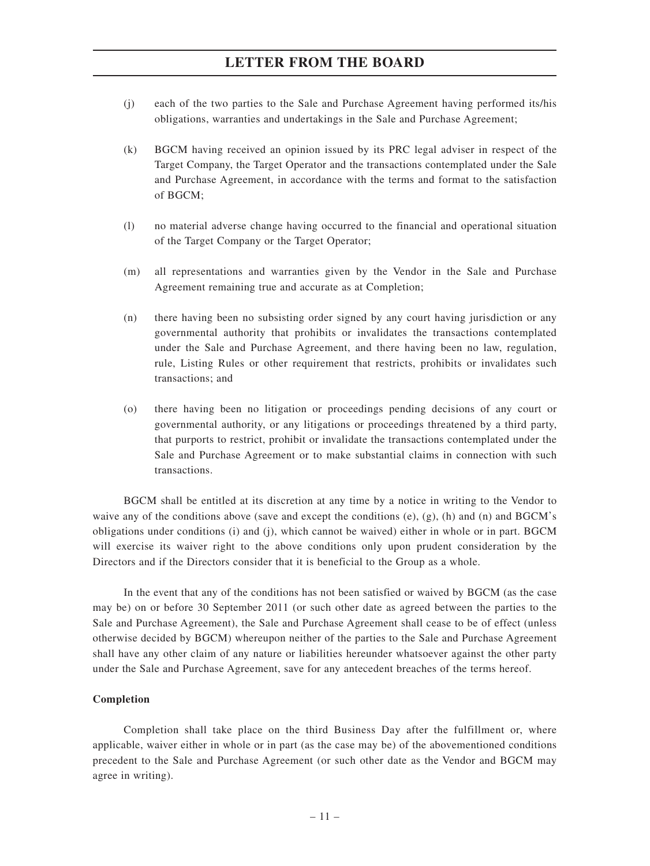- (j) each of the two parties to the Sale and Purchase Agreement having performed its/his obligations, warranties and undertakings in the Sale and Purchase Agreement;
- (k) BGCM having received an opinion issued by its PRC legal adviser in respect of the Target Company, the Target Operator and the transactions contemplated under the Sale and Purchase Agreement, in accordance with the terms and format to the satisfaction of BGCM;
- (l) no material adverse change having occurred to the financial and operational situation of the Target Company or the Target Operator;
- (m) all representations and warranties given by the Vendor in the Sale and Purchase Agreement remaining true and accurate as at Completion;
- (n) there having been no subsisting order signed by any court having jurisdiction or any governmental authority that prohibits or invalidates the transactions contemplated under the Sale and Purchase Agreement, and there having been no law, regulation, rule, Listing Rules or other requirement that restricts, prohibits or invalidates such transactions; and
- (o) there having been no litigation or proceedings pending decisions of any court or governmental authority, or any litigations or proceedings threatened by a third party, that purports to restrict, prohibit or invalidate the transactions contemplated under the Sale and Purchase Agreement or to make substantial claims in connection with such transactions.

BGCM shall be entitled at its discretion at any time by a notice in writing to the Vendor to waive any of the conditions above (save and except the conditions  $(e)$ ,  $(g)$ ,  $(h)$  and  $(g)$  and BGCM's obligations under conditions (i) and (j), which cannot be waived) either in whole or in part. BGCM will exercise its waiver right to the above conditions only upon prudent consideration by the Directors and if the Directors consider that it is beneficial to the Group as a whole.

In the event that any of the conditions has not been satisfied or waived by BGCM (as the case may be) on or before 30 September 2011 (or such other date as agreed between the parties to the Sale and Purchase Agreement), the Sale and Purchase Agreement shall cease to be of effect (unless otherwise decided by BGCM) whereupon neither of the parties to the Sale and Purchase Agreement shall have any other claim of any nature or liabilities hereunder whatsoever against the other party under the Sale and Purchase Agreement, save for any antecedent breaches of the terms hereof.

#### **Completion**

Completion shall take place on the third Business Day after the fulfillment or, where applicable, waiver either in whole or in part (as the case may be) of the abovementioned conditions precedent to the Sale and Purchase Agreement (or such other date as the Vendor and BGCM may agree in writing).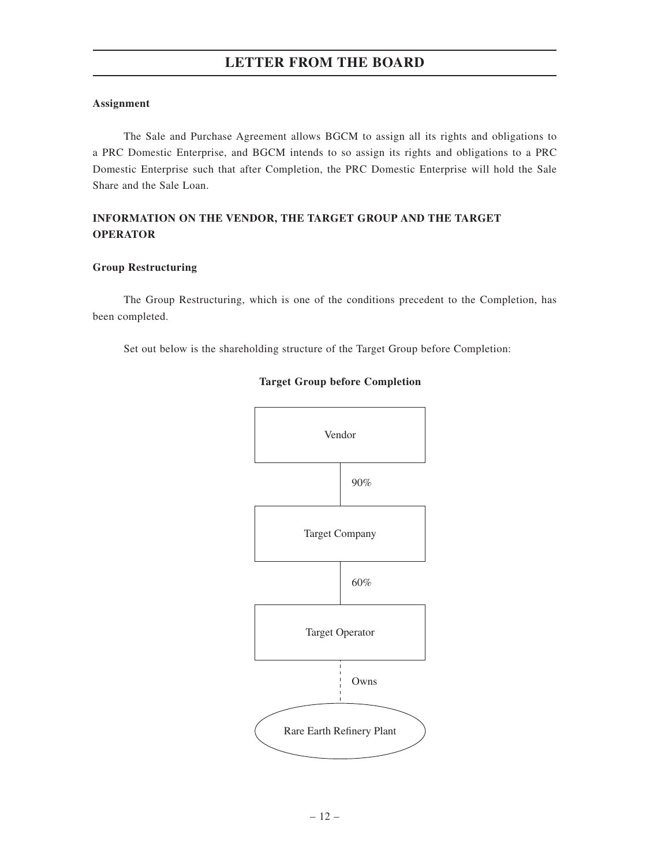#### **Assignment**

The Sale and Purchase Agreement allows BGCM to assign all its rights and obligations to a PRC Domestic Enterprise, and BGCM intends to so assign its rights and obligations to a PRC Domestic Enterprise such that after Completion, the PRC Domestic Enterprise will hold the Sale Share and the Sale Loan.

### **INFORMATION ON THE VENDOR, THE TARGET GROUP AND THE TARGET OPERATOR**

#### **Group Restructuring**

The Group Restructuring, which is one of the conditions precedent to the Completion, has been completed.

Set out below is the shareholding structure of the Target Group before Completion:



### **Target Group before Completion**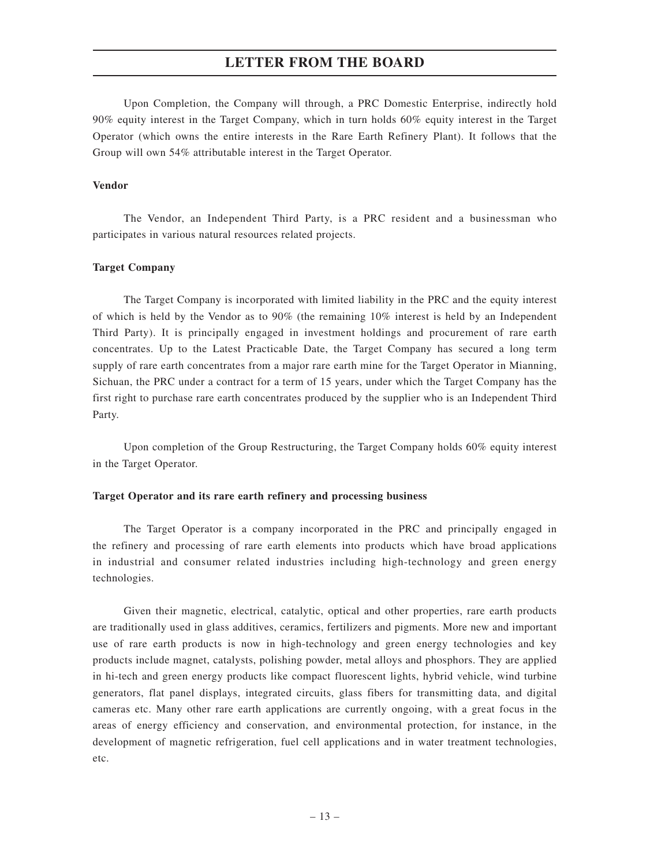Upon Completion, the Company will through, a PRC Domestic Enterprise, indirectly hold 90% equity interest in the Target Company, which in turn holds 60% equity interest in the Target Operator (which owns the entire interests in the Rare Earth Refinery Plant). It follows that the Group will own 54% attributable interest in the Target Operator.

#### **Vendor**

The Vendor, an Independent Third Party, is a PRC resident and a businessman who participates in various natural resources related projects.

#### **Target Company**

The Target Company is incorporated with limited liability in the PRC and the equity interest of which is held by the Vendor as to  $90\%$  (the remaining  $10\%$  interest is held by an Independent Third Party). It is principally engaged in investment holdings and procurement of rare earth concentrates. Up to the Latest Practicable Date, the Target Company has secured a long term supply of rare earth concentrates from a major rare earth mine for the Target Operator in Mianning, Sichuan, the PRC under a contract for a term of 15 years, under which the Target Company has the first right to purchase rare earth concentrates produced by the supplier who is an Independent Third Party.

Upon completion of the Group Restructuring, the Target Company holds 60% equity interest in the Target Operator.

#### **Target Operator and its rare earth refinery and processing business**

The Target Operator is a company incorporated in the PRC and principally engaged in the refinery and processing of rare earth elements into products which have broad applications in industrial and consumer related industries including high-technology and green energy technologies.

Given their magnetic, electrical, catalytic, optical and other properties, rare earth products are traditionally used in glass additives, ceramics, fertilizers and pigments. More new and important use of rare earth products is now in high-technology and green energy technologies and key products include magnet, catalysts, polishing powder, metal alloys and phosphors. They are applied in hi-tech and green energy products like compact fluorescent lights, hybrid vehicle, wind turbine generators, flat panel displays, integrated circuits, glass fibers for transmitting data, and digital cameras etc. Many other rare earth applications are currently ongoing, with a great focus in the areas of energy efficiency and conservation, and environmental protection, for instance, in the development of magnetic refrigeration, fuel cell applications and in water treatment technologies, etc.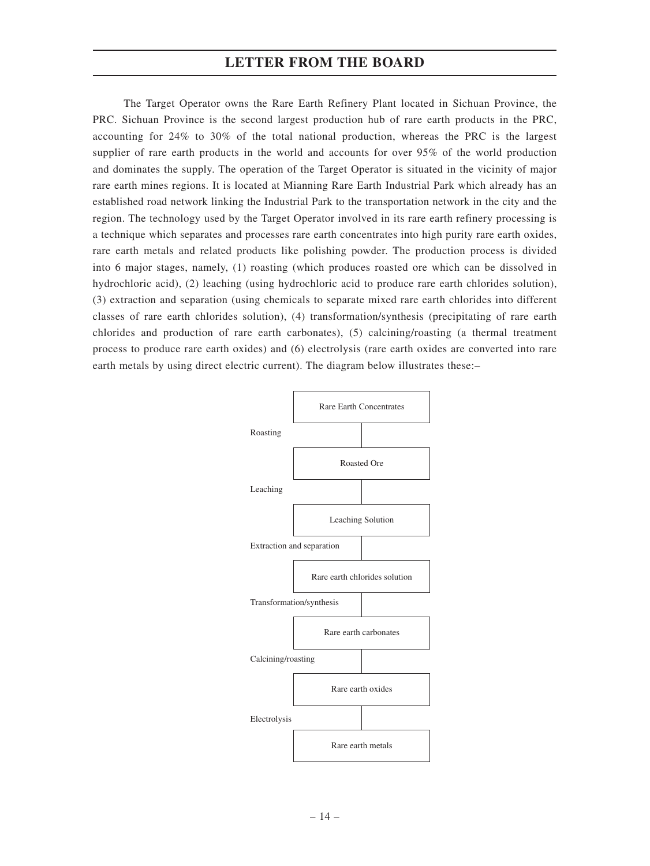The Target Operator owns the Rare Earth Refinery Plant located in Sichuan Province, the PRC. Sichuan Province is the second largest production hub of rare earth products in the PRC, accounting for 24% to 30% of the total national production, whereas the PRC is the largest supplier of rare earth products in the world and accounts for over 95% of the world production and dominates the supply. The operation of the Target Operator is situated in the vicinity of major rare earth mines regions. It is located at Mianning Rare Earth Industrial Park which already has an established road network linking the Industrial Park to the transportation network in the city and the region. The technology used by the Target Operator involved in its rare earth refinery processing is a technique which separates and processes rare earth concentrates into high purity rare earth oxides, rare earth metals and related products like polishing powder. The production process is divided into 6 major stages, namely, (1) roasting (which produces roasted ore which can be dissolved in hydrochloric acid), (2) leaching (using hydrochloric acid to produce rare earth chlorides solution), (3) extraction and separation (using chemicals to separate mixed rare earth chlorides into different classes of rare earth chlorides solution), (4) transformation/synthesis (precipitating of rare earth chlorides and production of rare earth carbonates), (5) calcining/roasting (a thermal treatment process to produce rare earth oxides) and (6) electrolysis (rare earth oxides are converted into rare earth metals by using direct electric current). The diagram below illustrates these:–

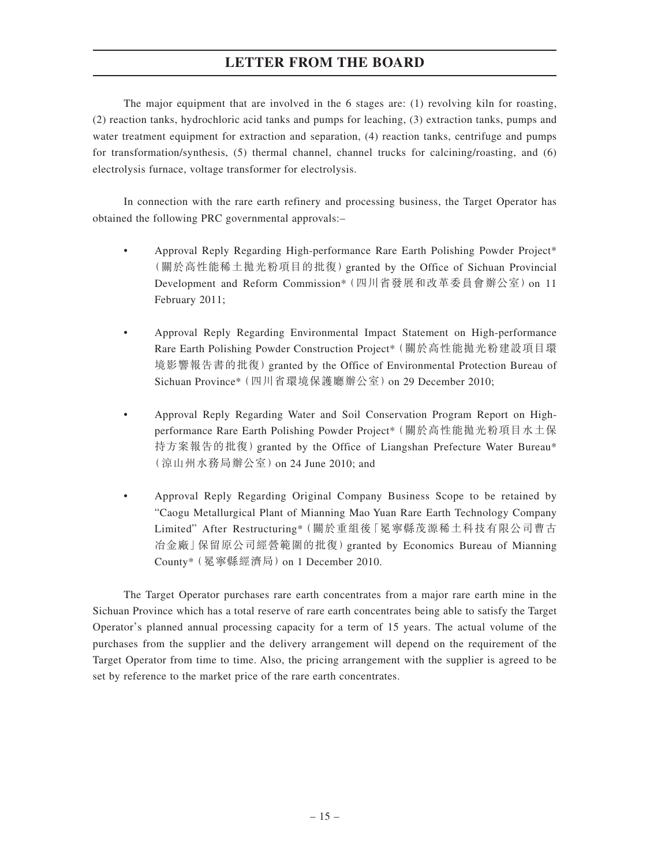The major equipment that are involved in the 6 stages are: (1) revolving kiln for roasting, (2) reaction tanks, hydrochloric acid tanks and pumps for leaching, (3) extraction tanks, pumps and water treatment equipment for extraction and separation, (4) reaction tanks, centrifuge and pumps for transformation/synthesis, (5) thermal channel, channel trucks for calcining/roasting, and (6) electrolysis furnace, voltage transformer for electrolysis.

In connection with the rare earth refinery and processing business, the Target Operator has obtained the following PRC governmental approvals:–

- Approval Reply Regarding High-performance Rare Earth Polishing Powder Project\* (關於高性能稀土拋光粉項目的批復)granted by the Office of Sichuan Provincial Development and Reform Commission\*(四川省發展和改革委員會辦公室)on 11 February 2011;
- Approval Reply Regarding Environmental Impact Statement on High-performance Rare Earth Polishing Powder Construction Project\*(關於高性能拋光粉建設項目環 境影響報告書的批復) granted by the Office of Environmental Protection Bureau of Sichuan Province\*(四川省環境保護廳辦公室)on 29 December 2010;
- Approval Reply Regarding Water and Soil Conservation Program Report on Highperformance Rare Earth Polishing Powder Project\*(關於高性能拋光粉項目水土保 持方案報告的批復)granted by the Office of Liangshan Prefecture Water Bureau\* (涼山州水務局辦公室)on 24 June 2010; and
- Approval Reply Regarding Original Company Business Scope to be retained by "Caogu Metallurgical Plant of Mianning Mao Yuan Rare Earth Technology Company Limited" After Restructuring\*(關於重組後「冕寧縣茂源稀土科技有限公司曹古 冶金廠」保留原公司經營範圍的批復)granted by Economics Bureau of Mianning County\*(冕寧縣經濟局)on 1 December 2010.

The Target Operator purchases rare earth concentrates from a major rare earth mine in the Sichuan Province which has a total reserve of rare earth concentrates being able to satisfy the Target Operator's planned annual processing capacity for a term of 15 years. The actual volume of the purchases from the supplier and the delivery arrangement will depend on the requirement of the Target Operator from time to time. Also, the pricing arrangement with the supplier is agreed to be set by reference to the market price of the rare earth concentrates.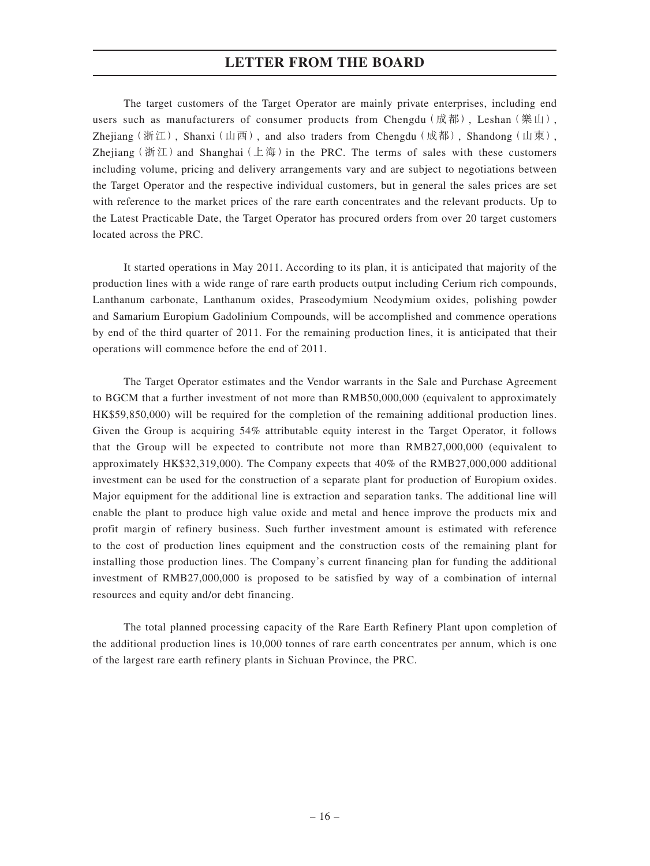The target customers of the Target Operator are mainly private enterprises, including end users such as manufacturers of consumer products from Chengdu  $(\mathbb{R}^*$ ), Leshan $(\mathcal{H} \mathbb{H})$ , Zhejiang (浙江), Shanxi (山西), and also traders from Chengdu (成都), Shandong (山東), Zhejiang (浙江) and Shanghai (上海) in the PRC. The terms of sales with these customers including volume, pricing and delivery arrangements vary and are subject to negotiations between the Target Operator and the respective individual customers, but in general the sales prices are set with reference to the market prices of the rare earth concentrates and the relevant products. Up to the Latest Practicable Date, the Target Operator has procured orders from over 20 target customers located across the PRC.

It started operations in May 2011. According to its plan, it is anticipated that majority of the production lines with a wide range of rare earth products output including Cerium rich compounds, Lanthanum carbonate, Lanthanum oxides, Praseodymium Neodymium oxides, polishing powder and Samarium Europium Gadolinium Compounds, will be accomplished and commence operations by end of the third quarter of 2011. For the remaining production lines, it is anticipated that their operations will commence before the end of 2011.

The Target Operator estimates and the Vendor warrants in the Sale and Purchase Agreement to BGCM that a further investment of not more than RMB50,000,000 (equivalent to approximately HK\$59,850,000) will be required for the completion of the remaining additional production lines. Given the Group is acquiring 54% attributable equity interest in the Target Operator, it follows that the Group will be expected to contribute not more than RMB27,000,000 (equivalent to approximately HK\$32,319,000). The Company expects that 40% of the RMB27,000,000 additional investment can be used for the construction of a separate plant for production of Europium oxides. Major equipment for the additional line is extraction and separation tanks. The additional line will enable the plant to produce high value oxide and metal and hence improve the products mix and profit margin of refinery business. Such further investment amount is estimated with reference to the cost of production lines equipment and the construction costs of the remaining plant for installing those production lines. The Company's current financing plan for funding the additional investment of RMB27,000,000 is proposed to be satisfied by way of a combination of internal resources and equity and/or debt financing.

The total planned processing capacity of the Rare Earth Refinery Plant upon completion of the additional production lines is 10,000 tonnes of rare earth concentrates per annum, which is one of the largest rare earth refinery plants in Sichuan Province, the PRC.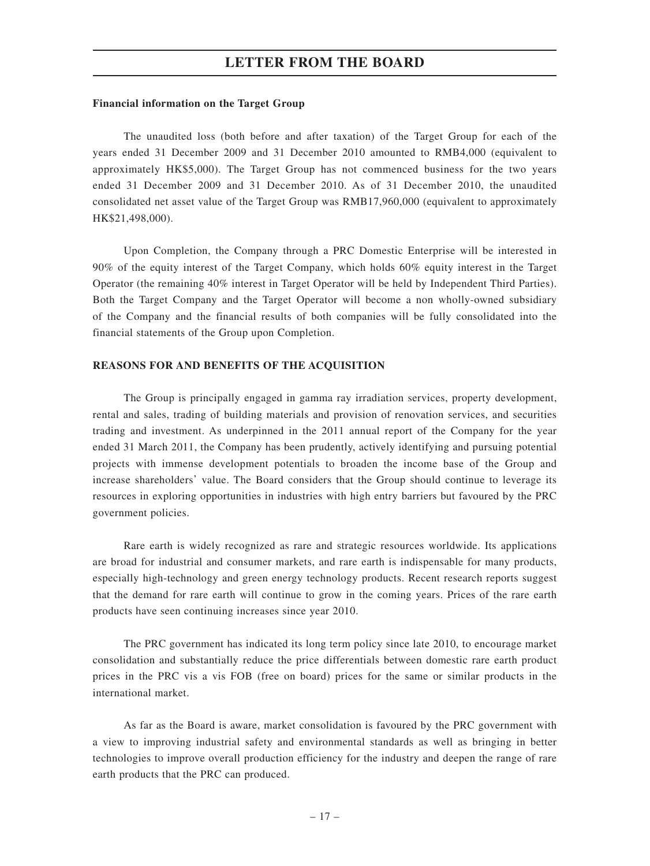#### **Financial information on the Target Group**

The unaudited loss (both before and after taxation) of the Target Group for each of the years ended 31 December 2009 and 31 December 2010 amounted to RMB4,000 (equivalent to approximately HK\$5,000). The Target Group has not commenced business for the two years ended 31 December 2009 and 31 December 2010. As of 31 December 2010, the unaudited consolidated net asset value of the Target Group was RMB17,960,000 (equivalent to approximately HK\$21,498,000).

Upon Completion, the Company through a PRC Domestic Enterprise will be interested in 90% of the equity interest of the Target Company, which holds 60% equity interest in the Target Operator (the remaining 40% interest in Target Operator will be held by Independent Third Parties). Both the Target Company and the Target Operator will become a non wholly-owned subsidiary of the Company and the financial results of both companies will be fully consolidated into the financial statements of the Group upon Completion.

#### **REASONS FOR AND BENEFITS OF THE ACQUISITION**

The Group is principally engaged in gamma ray irradiation services, property development, rental and sales, trading of building materials and provision of renovation services, and securities trading and investment. As underpinned in the 2011 annual report of the Company for the year ended 31 March 2011, the Company has been prudently, actively identifying and pursuing potential projects with immense development potentials to broaden the income base of the Group and increase shareholders' value. The Board considers that the Group should continue to leverage its resources in exploring opportunities in industries with high entry barriers but favoured by the PRC government policies.

Rare earth is widely recognized as rare and strategic resources worldwide. Its applications are broad for industrial and consumer markets, and rare earth is indispensable for many products, especially high-technology and green energy technology products. Recent research reports suggest that the demand for rare earth will continue to grow in the coming years. Prices of the rare earth products have seen continuing increases since year 2010.

The PRC government has indicated its long term policy since late 2010, to encourage market consolidation and substantially reduce the price differentials between domestic rare earth product prices in the PRC vis a vis FOB (free on board) prices for the same or similar products in the international market.

As far as the Board is aware, market consolidation is favoured by the PRC government with a view to improving industrial safety and environmental standards as well as bringing in better technologies to improve overall production efficiency for the industry and deepen the range of rare earth products that the PRC can produced.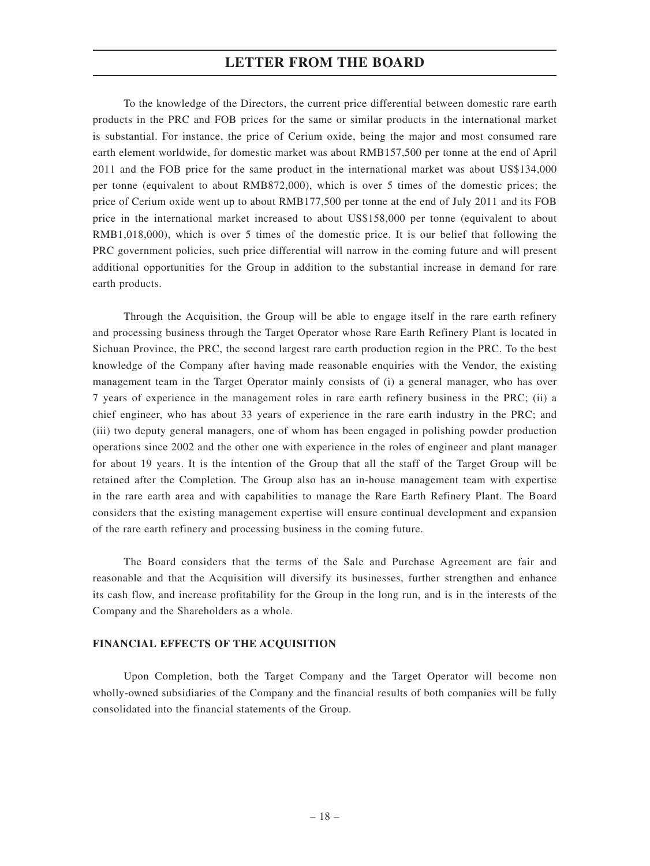To the knowledge of the Directors, the current price differential between domestic rare earth products in the PRC and FOB prices for the same or similar products in the international market is substantial. For instance, the price of Cerium oxide, being the major and most consumed rare earth element worldwide, for domestic market was about RMB157,500 per tonne at the end of April 2011 and the FOB price for the same product in the international market was about US\$134,000 per tonne (equivalent to about RMB872,000), which is over 5 times of the domestic prices; the price of Cerium oxide went up to about RMB177,500 per tonne at the end of July 2011 and its FOB price in the international market increased to about US\$158,000 per tonne (equivalent to about RMB1,018,000), which is over 5 times of the domestic price. It is our belief that following the PRC government policies, such price differential will narrow in the coming future and will present additional opportunities for the Group in addition to the substantial increase in demand for rare earth products.

Through the Acquisition, the Group will be able to engage itself in the rare earth refinery and processing business through the Target Operator whose Rare Earth Refinery Plant is located in Sichuan Province, the PRC, the second largest rare earth production region in the PRC. To the best knowledge of the Company after having made reasonable enquiries with the Vendor, the existing management team in the Target Operator mainly consists of (i) a general manager, who has over 7 years of experience in the management roles in rare earth refinery business in the PRC; (ii) a chief engineer, who has about 33 years of experience in the rare earth industry in the PRC; and (iii) two deputy general managers, one of whom has been engaged in polishing powder production operations since 2002 and the other one with experience in the roles of engineer and plant manager for about 19 years. It is the intention of the Group that all the staff of the Target Group will be retained after the Completion. The Group also has an in-house management team with expertise in the rare earth area and with capabilities to manage the Rare Earth Refinery Plant. The Board considers that the existing management expertise will ensure continual development and expansion of the rare earth refinery and processing business in the coming future.

The Board considers that the terms of the Sale and Purchase Agreement are fair and reasonable and that the Acquisition will diversify its businesses, further strengthen and enhance its cash flow, and increase profitability for the Group in the long run, and is in the interests of the Company and the Shareholders as a whole.

#### **FINANCIAL EFFECTS OF THE ACQUISITION**

Upon Completion, both the Target Company and the Target Operator will become non wholly-owned subsidiaries of the Company and the financial results of both companies will be fully consolidated into the financial statements of the Group.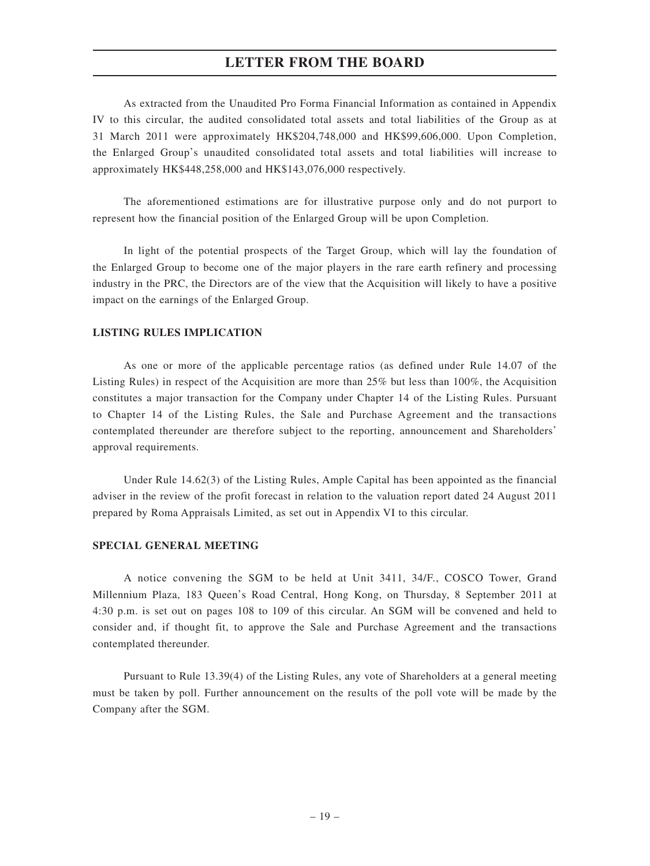As extracted from the Unaudited Pro Forma Financial Information as contained in Appendix IV to this circular, the audited consolidated total assets and total liabilities of the Group as at 31 March 2011 were approximately HK\$204,748,000 and HK\$99,606,000. Upon Completion, the Enlarged Group's unaudited consolidated total assets and total liabilities will increase to approximately HK\$448,258,000 and HK\$143,076,000 respectively.

The aforementioned estimations are for illustrative purpose only and do not purport to represent how the financial position of the Enlarged Group will be upon Completion.

In light of the potential prospects of the Target Group, which will lay the foundation of the Enlarged Group to become one of the major players in the rare earth refinery and processing industry in the PRC, the Directors are of the view that the Acquisition will likely to have a positive impact on the earnings of the Enlarged Group.

#### **LISTING RULES IMPLICATION**

As one or more of the applicable percentage ratios (as defined under Rule 14.07 of the Listing Rules) in respect of the Acquisition are more than 25% but less than 100%, the Acquisition constitutes a major transaction for the Company under Chapter 14 of the Listing Rules. Pursuant to Chapter 14 of the Listing Rules, the Sale and Purchase Agreement and the transactions contemplated thereunder are therefore subject to the reporting, announcement and Shareholders' approval requirements.

Under Rule 14.62(3) of the Listing Rules, Ample Capital has been appointed as the financial adviser in the review of the profit forecast in relation to the valuation report dated 24 August 2011 prepared by Roma Appraisals Limited, as set out in Appendix VI to this circular.

#### **SPECIAL GENERAL MEETING**

A notice convening the SGM to be held at Unit 3411, 34/F., COSCO Tower, Grand Millennium Plaza, 183 Queen's Road Central, Hong Kong, on Thursday, 8 September 2011 at 4:30 p.m. is set out on pages 108 to 109 of this circular. An SGM will be convened and held to consider and, if thought fit, to approve the Sale and Purchase Agreement and the transactions contemplated thereunder.

Pursuant to Rule 13.39(4) of the Listing Rules, any vote of Shareholders at a general meeting must be taken by poll. Further announcement on the results of the poll vote will be made by the Company after the SGM.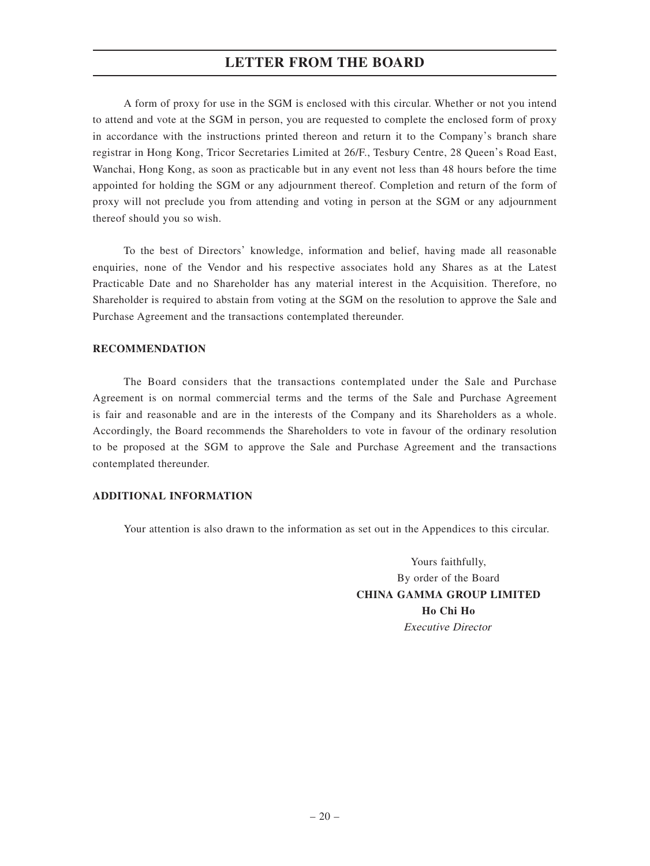A form of proxy for use in the SGM is enclosed with this circular. Whether or not you intend to attend and vote at the SGM in person, you are requested to complete the enclosed form of proxy in accordance with the instructions printed thereon and return it to the Company's branch share registrar in Hong Kong, Tricor Secretaries Limited at 26/F., Tesbury Centre, 28 Queen's Road East, Wanchai, Hong Kong, as soon as practicable but in any event not less than 48 hours before the time appointed for holding the SGM or any adjournment thereof. Completion and return of the form of proxy will not preclude you from attending and voting in person at the SGM or any adjournment thereof should you so wish.

To the best of Directors' knowledge, information and belief, having made all reasonable enquiries, none of the Vendor and his respective associates hold any Shares as at the Latest Practicable Date and no Shareholder has any material interest in the Acquisition. Therefore, no Shareholder is required to abstain from voting at the SGM on the resolution to approve the Sale and Purchase Agreement and the transactions contemplated thereunder.

#### **RECOMMENDATION**

The Board considers that the transactions contemplated under the Sale and Purchase Agreement is on normal commercial terms and the terms of the Sale and Purchase Agreement is fair and reasonable and are in the interests of the Company and its Shareholders as a whole. Accordingly, the Board recommends the Shareholders to vote in favour of the ordinary resolution to be proposed at the SGM to approve the Sale and Purchase Agreement and the transactions contemplated thereunder.

#### **ADDITIONAL INFORMATION**

Your attention is also drawn to the information as set out in the Appendices to this circular.

Yours faithfully, By order of the Board **CHINA GAMMA GROUP LIMITED Ho Chi Ho** Executive Director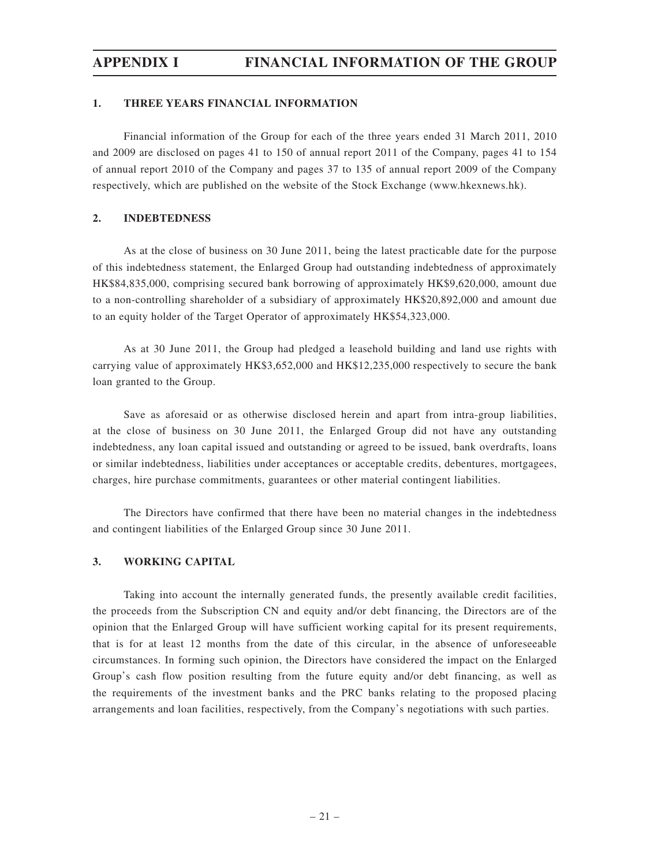#### **1. THREE YEARS FINANCIAL INFORMATION**

Financial information of the Group for each of the three years ended 31 March 2011, 2010 and 2009 are disclosed on pages 41 to 150 of annual report 2011 of the Company, pages 41 to 154 of annual report 2010 of the Company and pages 37 to 135 of annual report 2009 of the Company respectively, which are published on the website of the Stock Exchange (www.hkexnews.hk).

#### **2. INDEBTEDNESS**

As at the close of business on 30 June 2011, being the latest practicable date for the purpose of this indebtedness statement, the Enlarged Group had outstanding indebtedness of approximately HK\$84,835,000, comprising secured bank borrowing of approximately HK\$9,620,000, amount due to a non-controlling shareholder of a subsidiary of approximately HK\$20,892,000 and amount due to an equity holder of the Target Operator of approximately HK\$54,323,000.

As at 30 June 2011, the Group had pledged a leasehold building and land use rights with carrying value of approximately HK\$3,652,000 and HK\$12,235,000 respectively to secure the bank loan granted to the Group.

Save as aforesaid or as otherwise disclosed herein and apart from intra-group liabilities, at the close of business on 30 June 2011, the Enlarged Group did not have any outstanding indebtedness, any loan capital issued and outstanding or agreed to be issued, bank overdrafts, loans or similar indebtedness, liabilities under acceptances or acceptable credits, debentures, mortgagees, charges, hire purchase commitments, guarantees or other material contingent liabilities.

The Directors have confirmed that there have been no material changes in the indebtedness and contingent liabilities of the Enlarged Group since 30 June 2011.

#### **3. WORKING CAPITAL**

Taking into account the internally generated funds, the presently available credit facilities, the proceeds from the Subscription CN and equity and/or debt financing, the Directors are of the opinion that the Enlarged Group will have sufficient working capital for its present requirements, that is for at least 12 months from the date of this circular, in the absence of unforeseeable circumstances. In forming such opinion, the Directors have considered the impact on the Enlarged Group's cash flow position resulting from the future equity and/or debt financing, as well as the requirements of the investment banks and the PRC banks relating to the proposed placing arrangements and loan facilities, respectively, from the Company's negotiations with such parties.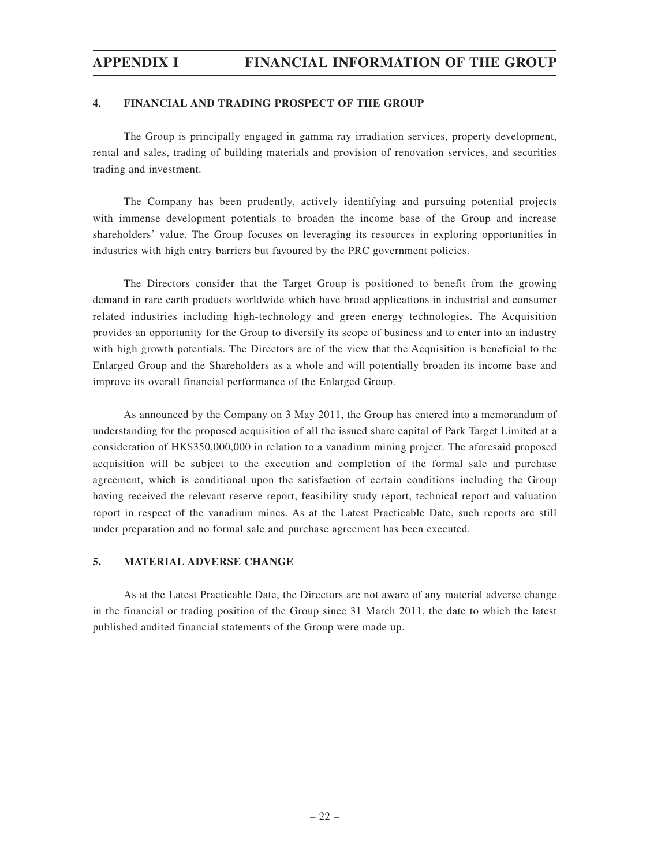#### **4. FINANCIAL AND TRADING PROSPECT OF THE GROUP**

The Group is principally engaged in gamma ray irradiation services, property development, rental and sales, trading of building materials and provision of renovation services, and securities trading and investment.

The Company has been prudently, actively identifying and pursuing potential projects with immense development potentials to broaden the income base of the Group and increase shareholders' value. The Group focuses on leveraging its resources in exploring opportunities in industries with high entry barriers but favoured by the PRC government policies.

The Directors consider that the Target Group is positioned to benefit from the growing demand in rare earth products worldwide which have broad applications in industrial and consumer related industries including high-technology and green energy technologies. The Acquisition provides an opportunity for the Group to diversify its scope of business and to enter into an industry with high growth potentials. The Directors are of the view that the Acquisition is beneficial to the Enlarged Group and the Shareholders as a whole and will potentially broaden its income base and improve its overall financial performance of the Enlarged Group.

As announced by the Company on 3 May 2011, the Group has entered into a memorandum of understanding for the proposed acquisition of all the issued share capital of Park Target Limited at a consideration of HK\$350,000,000 in relation to a vanadium mining project. The aforesaid proposed acquisition will be subject to the execution and completion of the formal sale and purchase agreement, which is conditional upon the satisfaction of certain conditions including the Group having received the relevant reserve report, feasibility study report, technical report and valuation report in respect of the vanadium mines. As at the Latest Practicable Date, such reports are still under preparation and no formal sale and purchase agreement has been executed.

#### **5. MATERIAL ADVERSE CHANGE**

As at the Latest Practicable Date, the Directors are not aware of any material adverse change in the financial or trading position of the Group since 31 March 2011, the date to which the latest published audited financial statements of the Group were made up.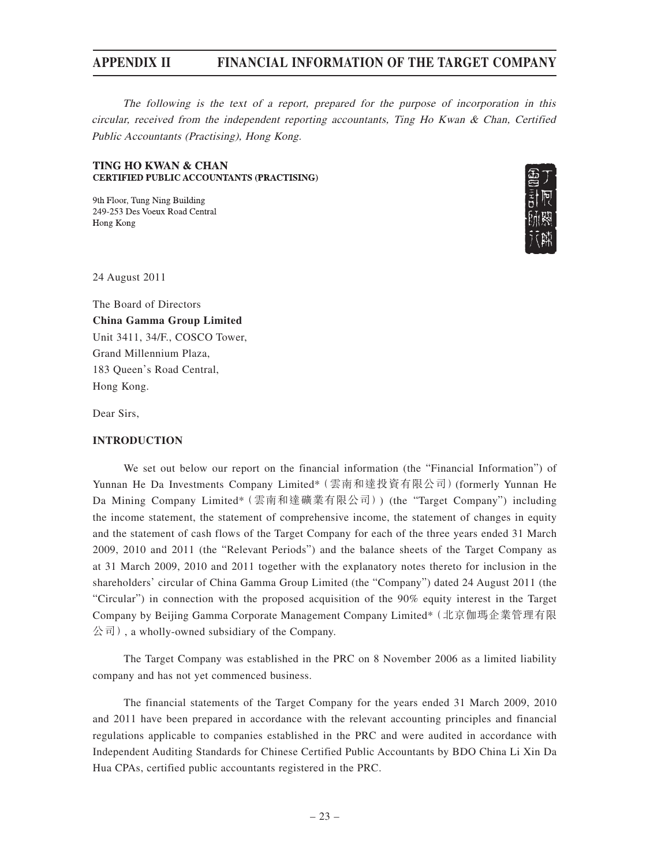The following is the text of a report, prepared for the purpose of incorporation in this circular, received from the independent reporting accountants, Ting Ho Kwan & Chan, Certified Public Accountants (Practising), Hong Kong.

#### **TING HO KWAN & CHAN CERTIFIED PUBLIC ACCOUNTANTS (PRACTISING)**

9th Floor, Tung Ning Building 249-253 Des Voeux Road Central Hong Kong



24 August 2011

The Board of Directors **China Gamma Group Limited** Unit 3411, 34/F., COSCO Tower, Grand Millennium Plaza, 183 Queen's Road Central, Hong Kong.

Dear Sirs,

#### **INTRODUCTION**

We set out below our report on the financial information (the "Financial Information") of Yunnan He Da Investments Company Limited\*(雲南和達投資有限公司)(formerly Yunnan He Da Mining Company Limited\*(雲南和達礦業有限公司)) (the "Target Company") including the income statement, the statement of comprehensive income, the statement of changes in equity and the statement of cash flows of the Target Company for each of the three years ended 31 March 2009, 2010 and 2011 (the "Relevant Periods") and the balance sheets of the Target Company as at 31 March 2009, 2010 and 2011 together with the explanatory notes thereto for inclusion in the shareholders' circular of China Gamma Group Limited (the "Company") dated 24 August 2011 (the "Circular") in connection with the proposed acquisition of the 90% equity interest in the Target Company by Beijing Gamma Corporate Management Company Limited\*(北京伽瑪企業管理有限 公司), a wholly-owned subsidiary of the Company.

The Target Company was established in the PRC on 8 November 2006 as a limited liability company and has not yet commenced business.

The financial statements of the Target Company for the years ended 31 March 2009, 2010 and 2011 have been prepared in accordance with the relevant accounting principles and financial regulations applicable to companies established in the PRC and were audited in accordance with Independent Auditing Standards for Chinese Certified Public Accountants by BDO China Li Xin Da Hua CPAs, certified public accountants registered in the PRC.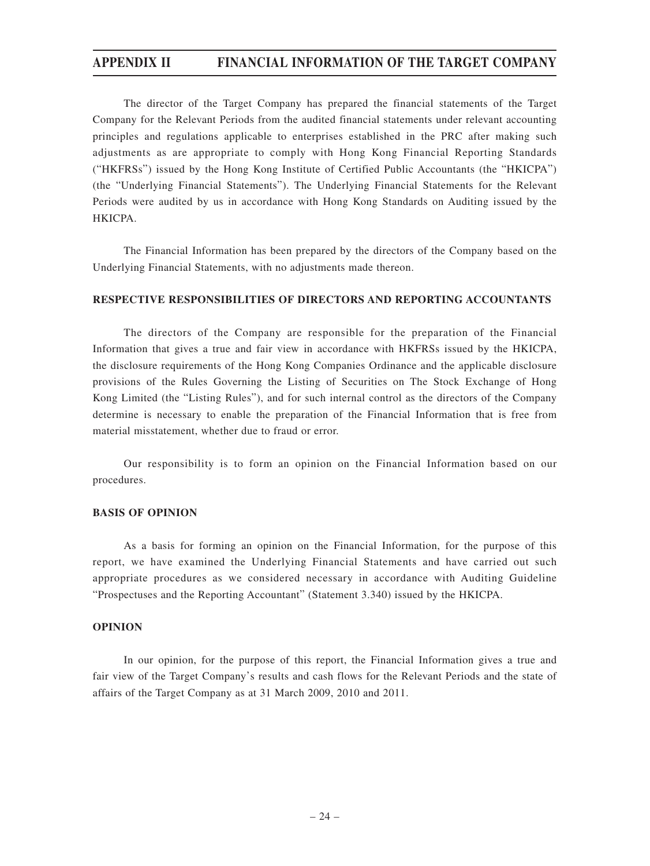The director of the Target Company has prepared the financial statements of the Target Company for the Relevant Periods from the audited financial statements under relevant accounting principles and regulations applicable to enterprises established in the PRC after making such adjustments as are appropriate to comply with Hong Kong Financial Reporting Standards ("HKFRSs") issued by the Hong Kong Institute of Certified Public Accountants (the "HKICPA") (the "Underlying Financial Statements"). The Underlying Financial Statements for the Relevant Periods were audited by us in accordance with Hong Kong Standards on Auditing issued by the **HKICPA** 

The Financial Information has been prepared by the directors of the Company based on the Underlying Financial Statements, with no adjustments made thereon.

#### **RESPECTIVE RESPONSIBILITIES OF DIRECTORS AND REPORTING ACCOUNTANTS**

The directors of the Company are responsible for the preparation of the Financial Information that gives a true and fair view in accordance with HKFRSs issued by the HKICPA, the disclosure requirements of the Hong Kong Companies Ordinance and the applicable disclosure provisions of the Rules Governing the Listing of Securities on The Stock Exchange of Hong Kong Limited (the "Listing Rules"), and for such internal control as the directors of the Company determine is necessary to enable the preparation of the Financial Information that is free from material misstatement, whether due to fraud or error.

Our responsibility is to form an opinion on the Financial Information based on our procedures.

#### **BASIS OF OPINION**

As a basis for forming an opinion on the Financial Information, for the purpose of this report, we have examined the Underlying Financial Statements and have carried out such appropriate procedures as we considered necessary in accordance with Auditing Guideline "Prospectuses and the Reporting Accountant" (Statement 3.340) issued by the HKICPA.

#### **OPINION**

In our opinion, for the purpose of this report, the Financial Information gives a true and fair view of the Target Company's results and cash flows for the Relevant Periods and the state of affairs of the Target Company as at 31 March 2009, 2010 and 2011.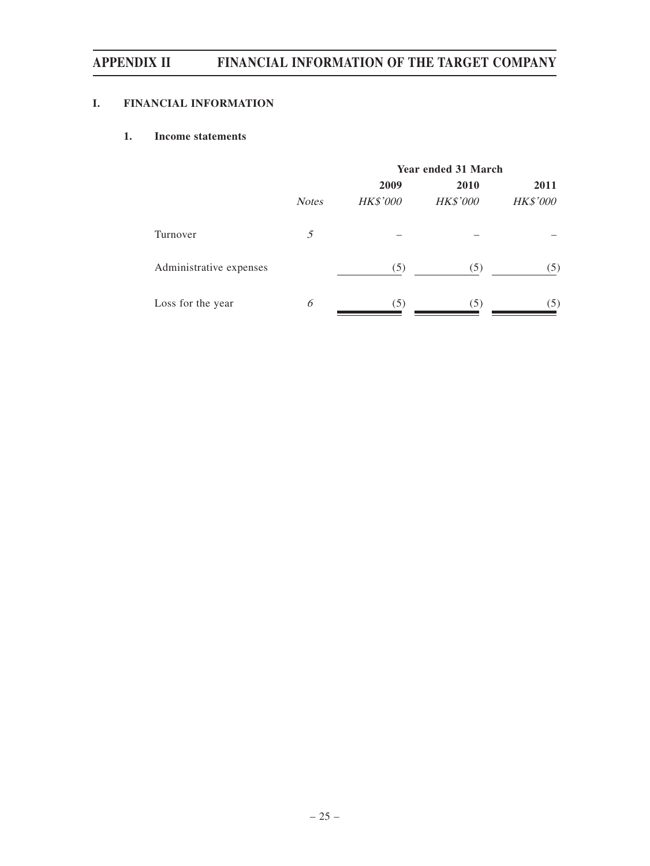### **I. FINANCIAL INFORMATION**

### **1. Income statements**

|                         | <b>Year ended 31 March</b> |                 |          |                 |
|-------------------------|----------------------------|-----------------|----------|-----------------|
|                         |                            | 2009            | 2010     | 2011            |
|                         | <b>Notes</b>               | <b>HK\$'000</b> | HK\$'000 | <b>HK\$'000</b> |
| Turnover                | 5                          |                 |          |                 |
| Administrative expenses |                            | (5)             | (5)      | (5)             |
| Loss for the year       | 6                          | (5)             | (5)      | (5)             |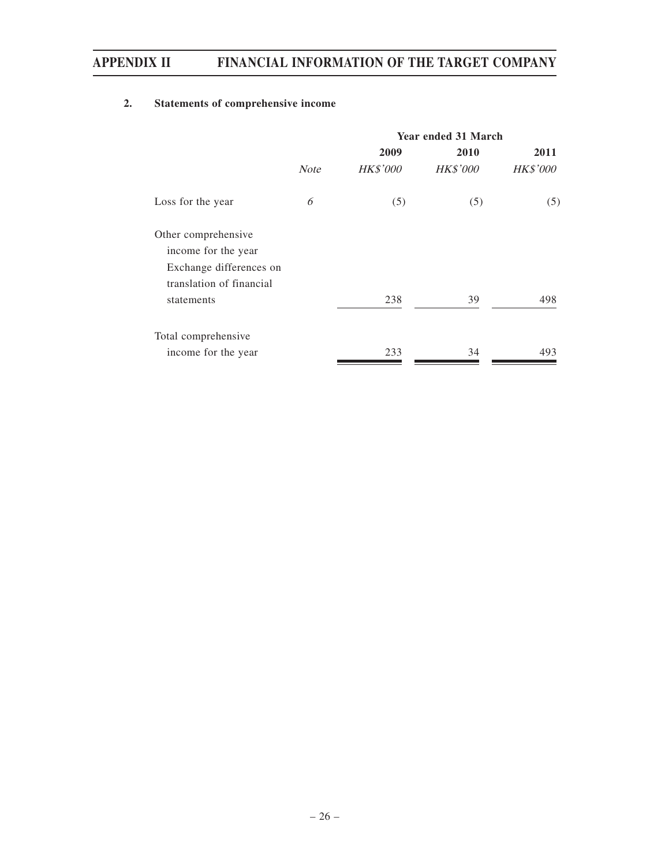### **2. Statements of comprehensive income**

|                          | <b>Year ended 31 March</b> |                 |                 |                 |
|--------------------------|----------------------------|-----------------|-----------------|-----------------|
|                          |                            | 2009            | 2010            | 2011            |
|                          | <b>Note</b>                | <b>HK\$'000</b> | <b>HK\$'000</b> | <b>HK\$'000</b> |
| Loss for the year        | 6                          | (5)             | (5)             | (5)             |
| Other comprehensive      |                            |                 |                 |                 |
| income for the year      |                            |                 |                 |                 |
| Exchange differences on  |                            |                 |                 |                 |
| translation of financial |                            |                 |                 |                 |
| statements               |                            | 238             | 39              | 498             |
| Total comprehensive      |                            |                 |                 |                 |
| income for the year      |                            | 233             | 34              | 493             |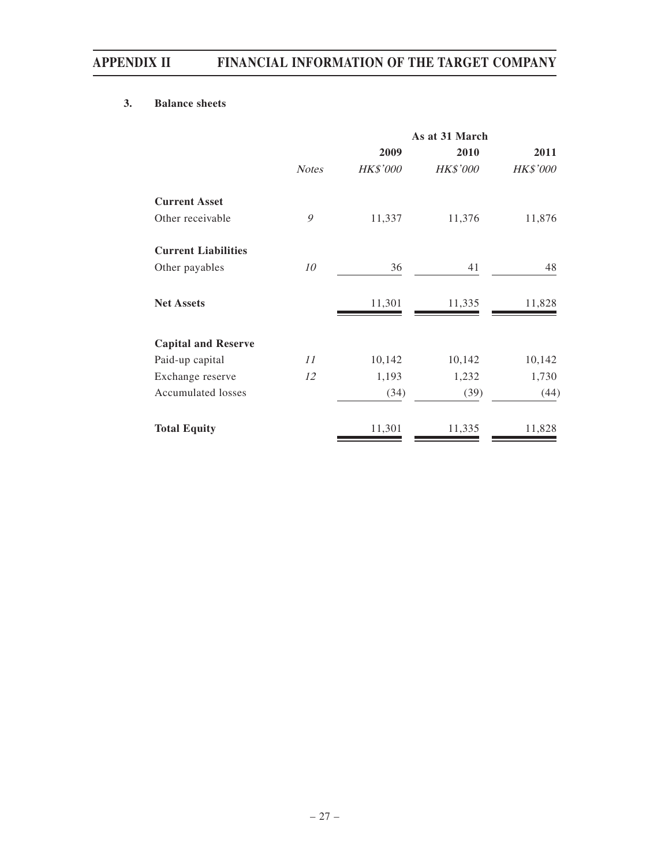### **3. Balance sheets**

|                            |              | As at 31 March  |                 |                 |  |
|----------------------------|--------------|-----------------|-----------------|-----------------|--|
|                            |              | 2009            | 2010            | 2011            |  |
|                            | <b>Notes</b> | <b>HK\$'000</b> | <b>HK\$'000</b> | <b>HK\$'000</b> |  |
| <b>Current Asset</b>       |              |                 |                 |                 |  |
| Other receivable           | 9            | 11,337          | 11,376          | 11,876          |  |
| <b>Current Liabilities</b> |              |                 |                 |                 |  |
| Other payables             | 10           | 36              | 41              | 48              |  |
| <b>Net Assets</b>          |              | 11,301          | 11,335          | 11,828          |  |
| <b>Capital and Reserve</b> |              |                 |                 |                 |  |
| Paid-up capital            | 11           | 10,142          | 10,142          | 10,142          |  |
| Exchange reserve           | 12           | 1,193           | 1,232           | 1,730           |  |
| Accumulated losses         |              | (34)            | (39)            | (44)            |  |
| <b>Total Equity</b>        |              | 11,301          | 11,335          | 11,828          |  |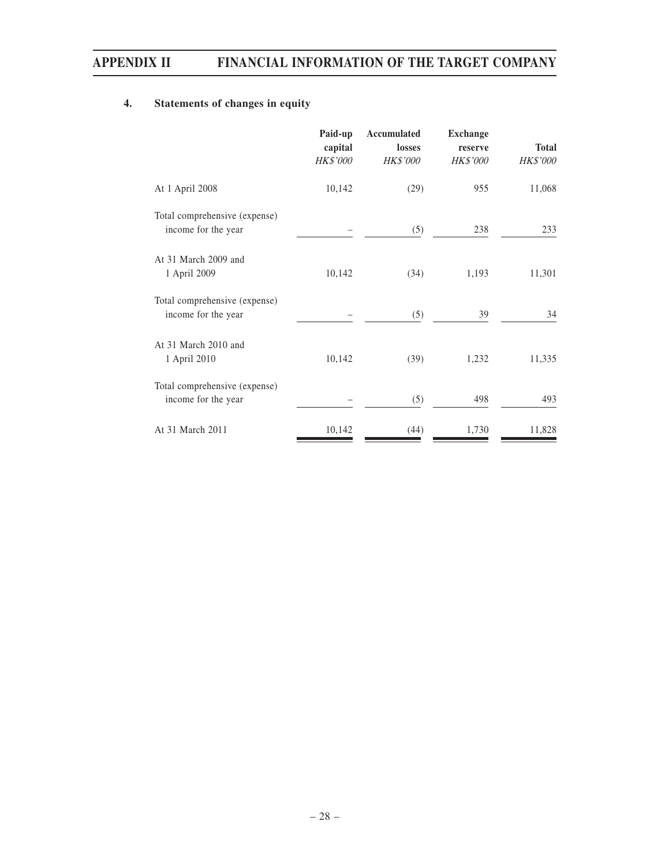### **4. Statements of changes in equity**

|                                                      | Paid-up<br>capital<br><b>HK\$'000</b> | Accumulated<br>losses<br><b>HK\$'000</b> | <b>Exchange</b><br>reserve<br><b>HK\$'000</b> | <b>Total</b><br><i>HK\$'000</i> |
|------------------------------------------------------|---------------------------------------|------------------------------------------|-----------------------------------------------|---------------------------------|
| At 1 April 2008                                      | 10,142                                | (29)                                     | 955                                           | 11,068                          |
| Total comprehensive (expense)<br>income for the year |                                       | (5)                                      | 238                                           | 233                             |
| At 31 March 2009 and<br>1 April 2009                 | 10,142                                | (34)                                     | 1,193                                         | 11,301                          |
| Total comprehensive (expense)<br>income for the year |                                       | (5)                                      | 39                                            | 34                              |
| At 31 March 2010 and<br>1 April 2010                 | 10,142                                | (39)                                     | 1,232                                         | 11,335                          |
| Total comprehensive (expense)<br>income for the year |                                       | (5)                                      | 498                                           | 493                             |
| At 31 March 2011                                     | 10,142                                | (44)                                     | 1,730                                         | 11,828                          |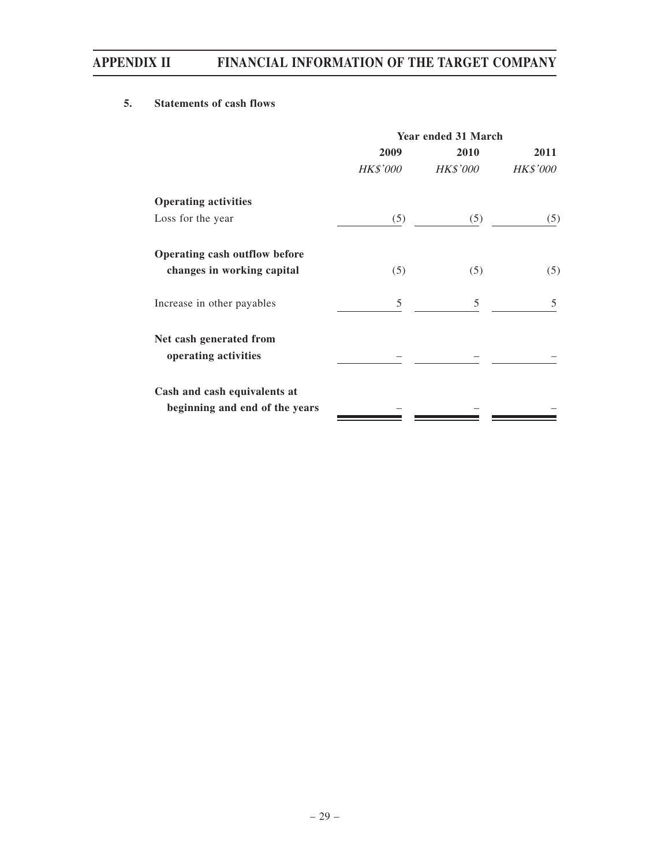### **5. Statements of cash flows**

|                                                 | <b>Year ended 31 March</b> |                 |                 |  |
|-------------------------------------------------|----------------------------|-----------------|-----------------|--|
|                                                 | 2009                       | 2010            | 2011            |  |
|                                                 | <b>HK\$'000</b>            | <b>HK\$'000</b> | <b>HK\$'000</b> |  |
| <b>Operating activities</b>                     |                            |                 |                 |  |
| Loss for the year                               | (5)                        | (5)             | (5)             |  |
| Operating cash outflow before                   |                            |                 |                 |  |
| changes in working capital                      | (5)                        | (5)             | (5)             |  |
| Increase in other payables                      | 5                          | 5               | 5               |  |
| Net cash generated from<br>operating activities |                            |                 |                 |  |
| Cash and cash equivalents at                    |                            |                 |                 |  |
| beginning and end of the years                  |                            |                 |                 |  |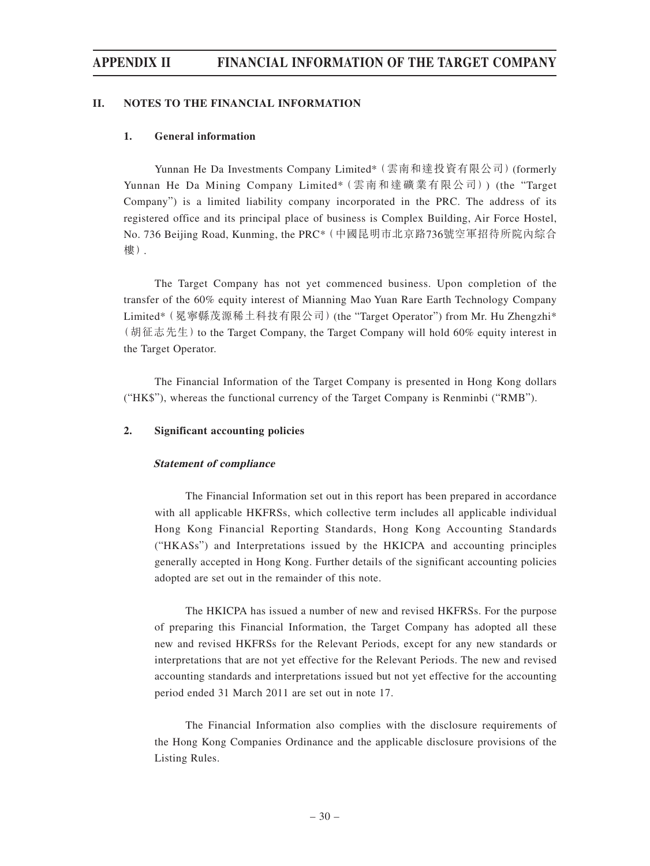#### **II. NOTES TO THE FINANCIAL INFORMATION**

#### **1. General information**

Yunnan He Da Investments Company Limited\*(雲南和達投資有限公司)(formerly Yunnan He Da Mining Company Limited\*(雲南和達礦業有限公司)) (the "Target Company") is a limited liability company incorporated in the PRC. The address of its registered office and its principal place of business is Complex Building, Air Force Hostel, No. 736 Beijing Road, Kunming, the PRC\*(中國昆明市北京路736號空軍招待所院內綜合 樓).

The Target Company has not yet commenced business. Upon completion of the transfer of the 60% equity interest of Mianning Mao Yuan Rare Earth Technology Company Limited\*(冕寧縣茂源稀土科技有限公司)(the "Target Operator") from Mr. Hu Zhengzhi\* (胡征志先生) to the Target Company, the Target Company will hold 60% equity interest in the Target Operator.

The Financial Information of the Target Company is presented in Hong Kong dollars ("HK\$"), whereas the functional currency of the Target Company is Renminbi ("RMB").

#### **2. Significant accounting policies**

#### **Statement of compliance**

The Financial Information set out in this report has been prepared in accordance with all applicable HKFRSs, which collective term includes all applicable individual Hong Kong Financial Reporting Standards, Hong Kong Accounting Standards ("HKASs") and Interpretations issued by the HKICPA and accounting principles generally accepted in Hong Kong. Further details of the significant accounting policies adopted are set out in the remainder of this note.

The HKICPA has issued a number of new and revised HKFRSs. For the purpose of preparing this Financial Information, the Target Company has adopted all these new and revised HKFRSs for the Relevant Periods, except for any new standards or interpretations that are not yet effective for the Relevant Periods. The new and revised accounting standards and interpretations issued but not yet effective for the accounting period ended 31 March 2011 are set out in note 17.

The Financial Information also complies with the disclosure requirements of the Hong Kong Companies Ordinance and the applicable disclosure provisions of the Listing Rules.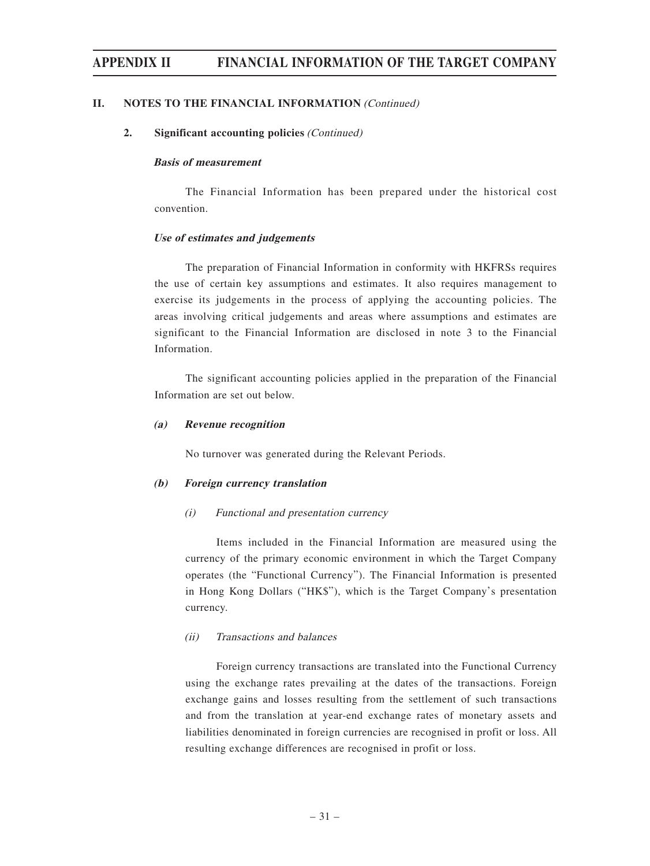#### **II. NOTES TO THE FINANCIAL INFORMATION (Continued)**

#### **2. Significant accounting policies** (Continued)

#### **Basis of measurement**

The Financial Information has been prepared under the historical cost convention.

#### **Use of estimates and judgements**

The preparation of Financial Information in conformity with HKFRSs requires the use of certain key assumptions and estimates. It also requires management to exercise its judgements in the process of applying the accounting policies. The areas involving critical judgements and areas where assumptions and estimates are significant to the Financial Information are disclosed in note 3 to the Financial Information.

The significant accounting policies applied in the preparation of the Financial Information are set out below.

#### **(a) Revenue recognition**

No turnover was generated during the Relevant Periods.

#### **(b) Foreign currency translation**

#### (i) Functional and presentation currency

Items included in the Financial Information are measured using the currency of the primary economic environment in which the Target Company operates (the "Functional Currency"). The Financial Information is presented in Hong Kong Dollars ("HK\$"), which is the Target Company's presentation currency.

#### (ii) Transactions and balances

Foreign currency transactions are translated into the Functional Currency using the exchange rates prevailing at the dates of the transactions. Foreign exchange gains and losses resulting from the settlement of such transactions and from the translation at year-end exchange rates of monetary assets and liabilities denominated in foreign currencies are recognised in profit or loss. All resulting exchange differences are recognised in profit or loss.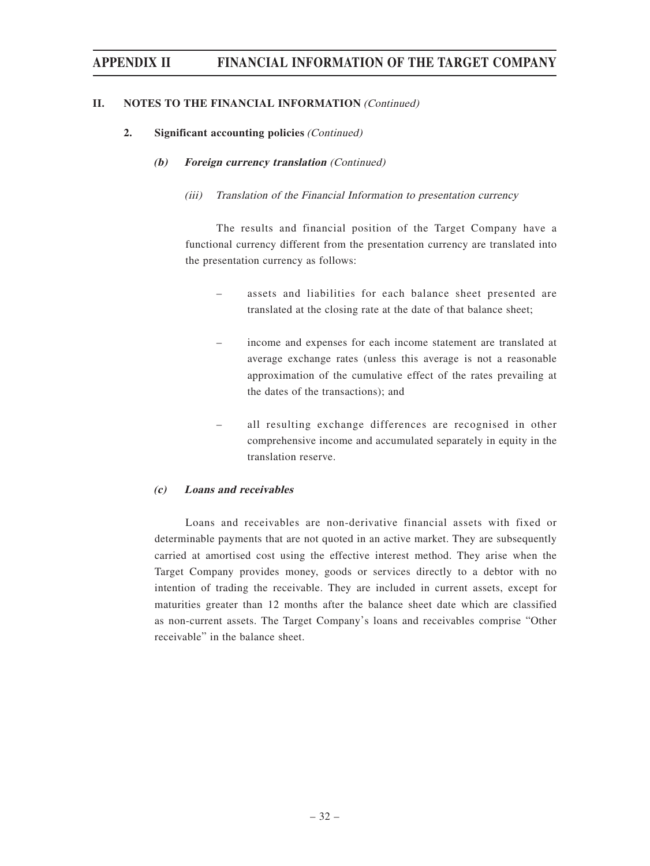#### **II. NOTES TO THE FINANCIAL INFORMATION (Continued)**

#### **2. Significant accounting policies** (Continued)

#### **(b) Foreign currency translation** (Continued)

#### (iii) Translation of the Financial Information to presentation currency

The results and financial position of the Target Company have a functional currency different from the presentation currency are translated into the presentation currency as follows:

- assets and liabilities for each balance sheet presented are translated at the closing rate at the date of that balance sheet;
- income and expenses for each income statement are translated at average exchange rates (unless this average is not a reasonable approximation of the cumulative effect of the rates prevailing at the dates of the transactions); and
- all resulting exchange differences are recognised in other comprehensive income and accumulated separately in equity in the translation reserve.

#### **(c) Loans and receivables**

Loans and receivables are non-derivative financial assets with fixed or determinable payments that are not quoted in an active market. They are subsequently carried at amortised cost using the effective interest method. They arise when the Target Company provides money, goods or services directly to a debtor with no intention of trading the receivable. They are included in current assets, except for maturities greater than 12 months after the balance sheet date which are classified as non-current assets. The Target Company's loans and receivables comprise "Other receivable" in the balance sheet.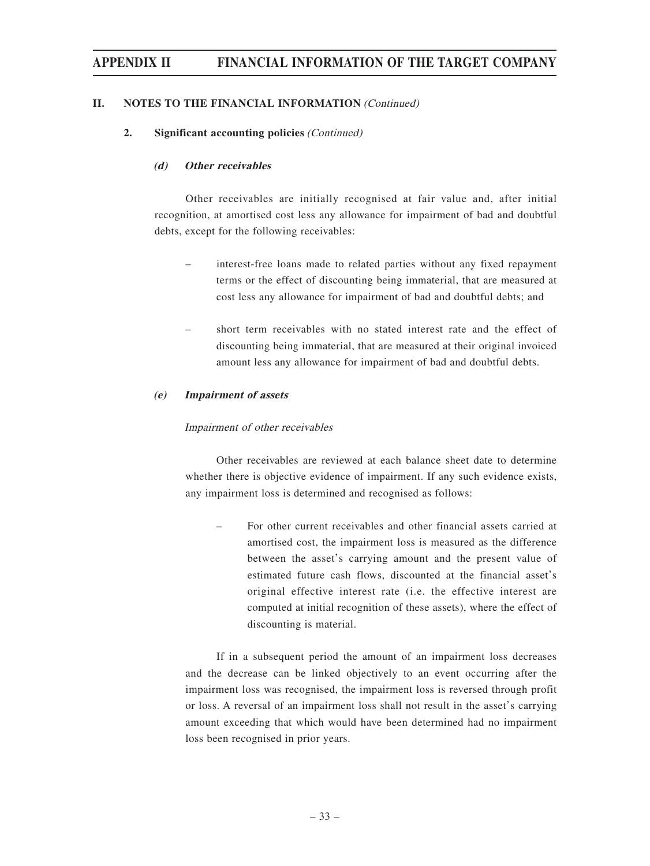#### **II. NOTES TO THE FINANCIAL INFORMATION** (Continued)

#### **2. Significant accounting policies** (Continued)

#### **(d) Other receivables**

Other receivables are initially recognised at fair value and, after initial recognition, at amortised cost less any allowance for impairment of bad and doubtful debts, except for the following receivables:

- interest-free loans made to related parties without any fixed repayment terms or the effect of discounting being immaterial, that are measured at cost less any allowance for impairment of bad and doubtful debts; and
- short term receivables with no stated interest rate and the effect of discounting being immaterial, that are measured at their original invoiced amount less any allowance for impairment of bad and doubtful debts.

#### **(e) Impairment of assets**

#### Impairment of other receivables

Other receivables are reviewed at each balance sheet date to determine whether there is objective evidence of impairment. If any such evidence exists, any impairment loss is determined and recognised as follows:

– For other current receivables and other financial assets carried at amortised cost, the impairment loss is measured as the difference between the asset's carrying amount and the present value of estimated future cash flows, discounted at the financial asset's original effective interest rate (i.e. the effective interest are computed at initial recognition of these assets), where the effect of discounting is material.

If in a subsequent period the amount of an impairment loss decreases and the decrease can be linked objectively to an event occurring after the impairment loss was recognised, the impairment loss is reversed through profit or loss. A reversal of an impairment loss shall not result in the asset's carrying amount exceeding that which would have been determined had no impairment loss been recognised in prior years.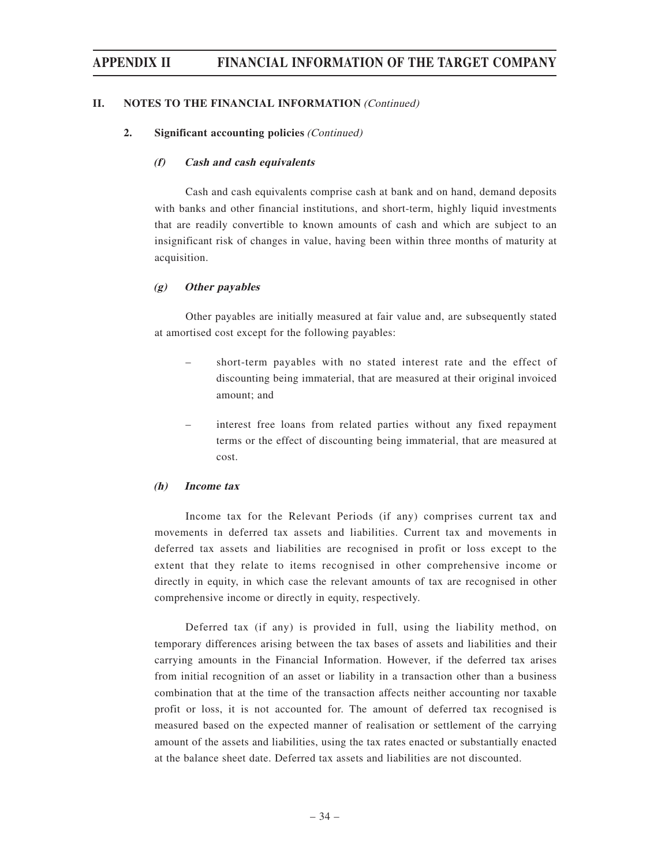#### **II. NOTES TO THE FINANCIAL INFORMATION (Continued)**

#### **2. Significant accounting policies** (Continued)

#### **(f) Cash and cash equivalents**

Cash and cash equivalents comprise cash at bank and on hand, demand deposits with banks and other financial institutions, and short-term, highly liquid investments that are readily convertible to known amounts of cash and which are subject to an insignificant risk of changes in value, having been within three months of maturity at acquisition.

#### **(g) Other payables**

Other payables are initially measured at fair value and, are subsequently stated at amortised cost except for the following payables:

- short-term payables with no stated interest rate and the effect of discounting being immaterial, that are measured at their original invoiced amount; and
- interest free loans from related parties without any fixed repayment terms or the effect of discounting being immaterial, that are measured at cost.

#### **(h) Income tax**

Income tax for the Relevant Periods (if any) comprises current tax and movements in deferred tax assets and liabilities. Current tax and movements in deferred tax assets and liabilities are recognised in profit or loss except to the extent that they relate to items recognised in other comprehensive income or directly in equity, in which case the relevant amounts of tax are recognised in other comprehensive income or directly in equity, respectively.

Deferred tax (if any) is provided in full, using the liability method, on temporary differences arising between the tax bases of assets and liabilities and their carrying amounts in the Financial Information. However, if the deferred tax arises from initial recognition of an asset or liability in a transaction other than a business combination that at the time of the transaction affects neither accounting nor taxable profit or loss, it is not accounted for. The amount of deferred tax recognised is measured based on the expected manner of realisation or settlement of the carrying amount of the assets and liabilities, using the tax rates enacted or substantially enacted at the balance sheet date. Deferred tax assets and liabilities are not discounted.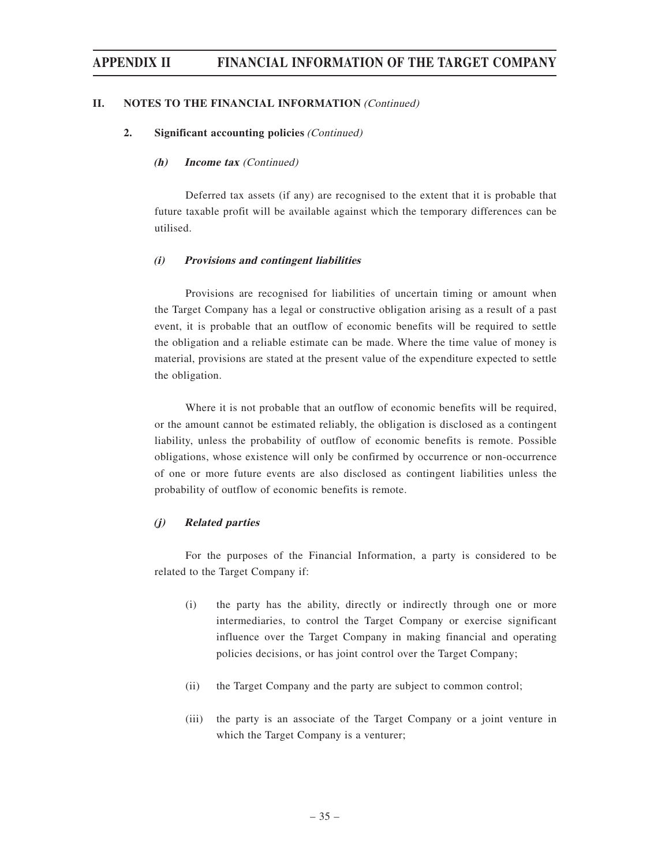#### **II. NOTES TO THE FINANCIAL INFORMATION (Continued)**

#### **2. Significant accounting policies** (Continued)

#### **(h) Income tax** (Continued)

Deferred tax assets (if any) are recognised to the extent that it is probable that future taxable profit will be available against which the temporary differences can be utilised.

#### **(i) Provisions and contingent liabilities**

Provisions are recognised for liabilities of uncertain timing or amount when the Target Company has a legal or constructive obligation arising as a result of a past event, it is probable that an outflow of economic benefits will be required to settle the obligation and a reliable estimate can be made. Where the time value of money is material, provisions are stated at the present value of the expenditure expected to settle the obligation.

Where it is not probable that an outflow of economic benefits will be required, or the amount cannot be estimated reliably, the obligation is disclosed as a contingent liability, unless the probability of outflow of economic benefits is remote. Possible obligations, whose existence will only be confirmed by occurrence or non-occurrence of one or more future events are also disclosed as contingent liabilities unless the probability of outflow of economic benefits is remote.

#### **(j) Related parties**

For the purposes of the Financial Information, a party is considered to be related to the Target Company if:

- (i) the party has the ability, directly or indirectly through one or more intermediaries, to control the Target Company or exercise significant influence over the Target Company in making financial and operating policies decisions, or has joint control over the Target Company;
- (ii) the Target Company and the party are subject to common control;
- (iii) the party is an associate of the Target Company or a joint venture in which the Target Company is a venturer;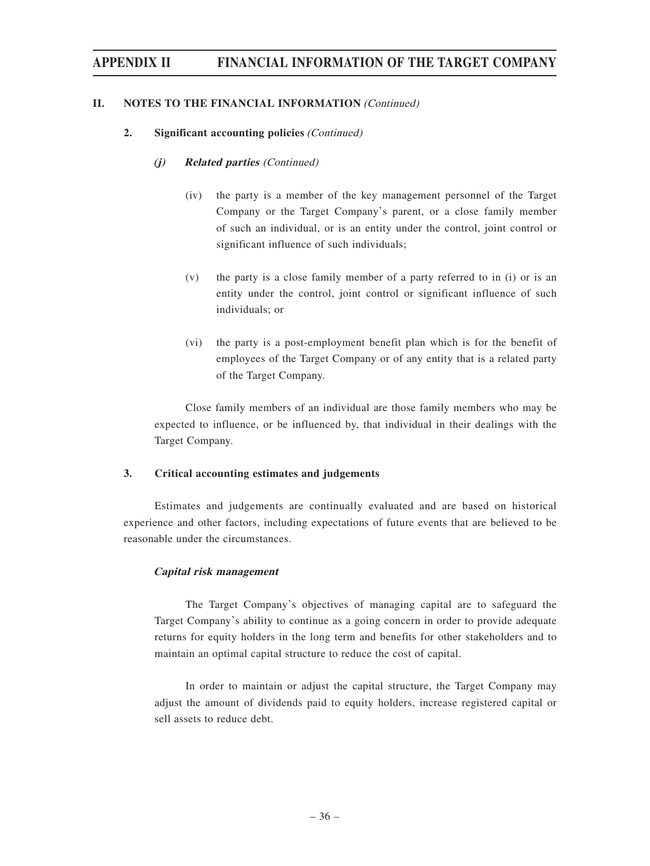#### **II. NOTES TO THE FINANCIAL INFORMATION** (Continued)

#### **2. Significant accounting policies** (Continued)

#### **(j) Related parties** (Continued)

- (iv) the party is a member of the key management personnel of the Target Company or the Target Company's parent, or a close family member of such an individual, or is an entity under the control, joint control or significant influence of such individuals;
- (v) the party is a close family member of a party referred to in (i) or is an entity under the control, joint control or significant influence of such individuals; or
- (vi) the party is a post-employment benefit plan which is for the benefit of employees of the Target Company or of any entity that is a related party of the Target Company.

Close family members of an individual are those family members who may be expected to influence, or be influenced by, that individual in their dealings with the Target Company.

#### **3. Critical accounting estimates and judgements**

Estimates and judgements are continually evaluated and are based on historical experience and other factors, including expectations of future events that are believed to be reasonable under the circumstances.

#### **Capital risk management**

The Target Company's objectives of managing capital are to safeguard the Target Company's ability to continue as a going concern in order to provide adequate returns for equity holders in the long term and benefits for other stakeholders and to maintain an optimal capital structure to reduce the cost of capital.

In order to maintain or adjust the capital structure, the Target Company may adjust the amount of dividends paid to equity holders, increase registered capital or sell assets to reduce debt.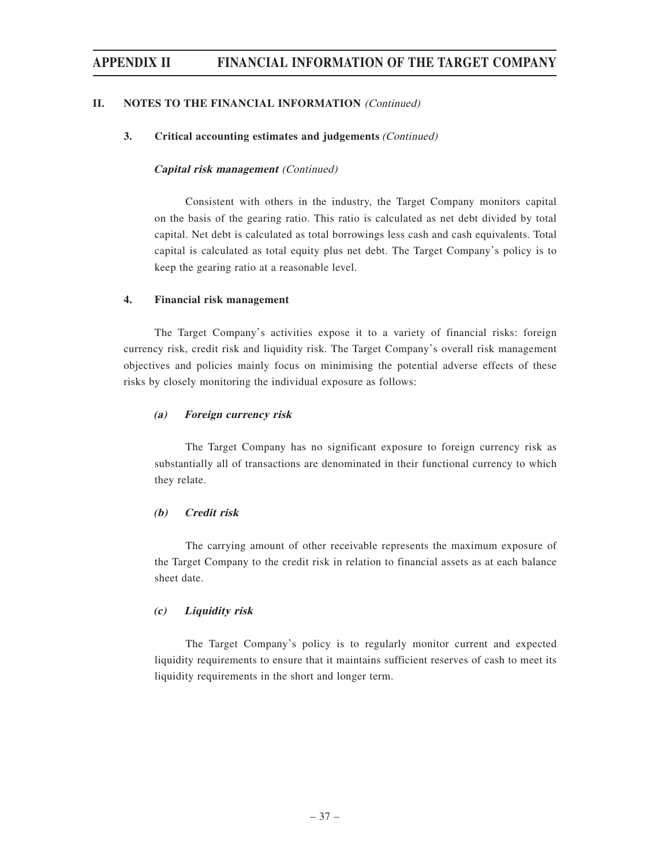#### **II. NOTES TO THE FINANCIAL INFORMATION** (Continued)

#### **3. Critical accounting estimates and judgements** (Continued)

#### **Capital risk management** (Continued)

Consistent with others in the industry, the Target Company monitors capital on the basis of the gearing ratio. This ratio is calculated as net debt divided by total capital. Net debt is calculated as total borrowings less cash and cash equivalents. Total capital is calculated as total equity plus net debt. The Target Company's policy is to keep the gearing ratio at a reasonable level.

#### **4. Financial risk management**

The Target Company's activities expose it to a variety of financial risks: foreign currency risk, credit risk and liquidity risk. The Target Company's overall risk management objectives and policies mainly focus on minimising the potential adverse effects of these risks by closely monitoring the individual exposure as follows:

#### **(a) Foreign currency risk**

The Target Company has no significant exposure to foreign currency risk as substantially all of transactions are denominated in their functional currency to which they relate.

#### **(b) Credit risk**

The carrying amount of other receivable represents the maximum exposure of the Target Company to the credit risk in relation to financial assets as at each balance sheet date.

#### **(c) Liquidity risk**

The Target Company's policy is to regularly monitor current and expected liquidity requirements to ensure that it maintains sufficient reserves of cash to meet its liquidity requirements in the short and longer term.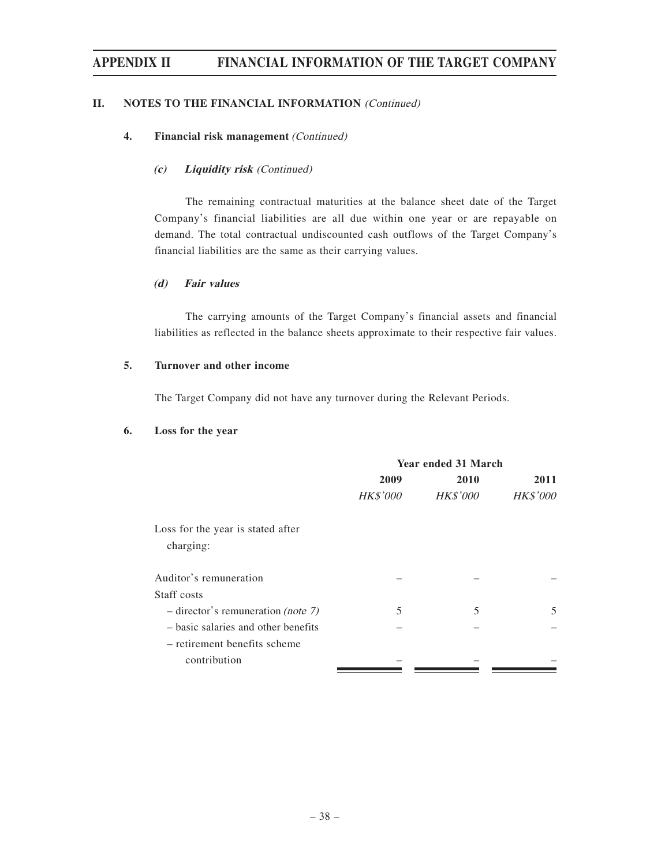#### **II. NOTES TO THE FINANCIAL INFORMATION** (Continued)

#### **4. Financial risk management** (Continued)

#### **(c) Liquidity risk** (Continued)

The remaining contractual maturities at the balance sheet date of the Target Company's financial liabilities are all due within one year or are repayable on demand. The total contractual undiscounted cash outflows of the Target Company's financial liabilities are the same as their carrying values.

#### **(d) Fair values**

The carrying amounts of the Target Company's financial assets and financial liabilities as reflected in the balance sheets approximate to their respective fair values.

#### **5. Turnover and other income**

The Target Company did not have any turnover during the Relevant Periods.

#### **6. Loss for the year**

|                                      | <b>Year ended 31 March</b> |                 |                 |  |
|--------------------------------------|----------------------------|-----------------|-----------------|--|
|                                      | 2009                       | 2010            | 2011            |  |
|                                      | <b>HK\$'000</b>            | <b>HK\$'000</b> | <b>HK\$'000</b> |  |
| Loss for the year is stated after    |                            |                 |                 |  |
| charging:                            |                            |                 |                 |  |
| Auditor's remuneration               |                            |                 |                 |  |
| Staff costs                          |                            |                 |                 |  |
| $-$ director's remuneration (note 7) | 5                          | 5               | 5               |  |
| - basic salaries and other benefits  |                            |                 |                 |  |
| - retirement benefits scheme         |                            |                 |                 |  |
| contribution                         |                            |                 |                 |  |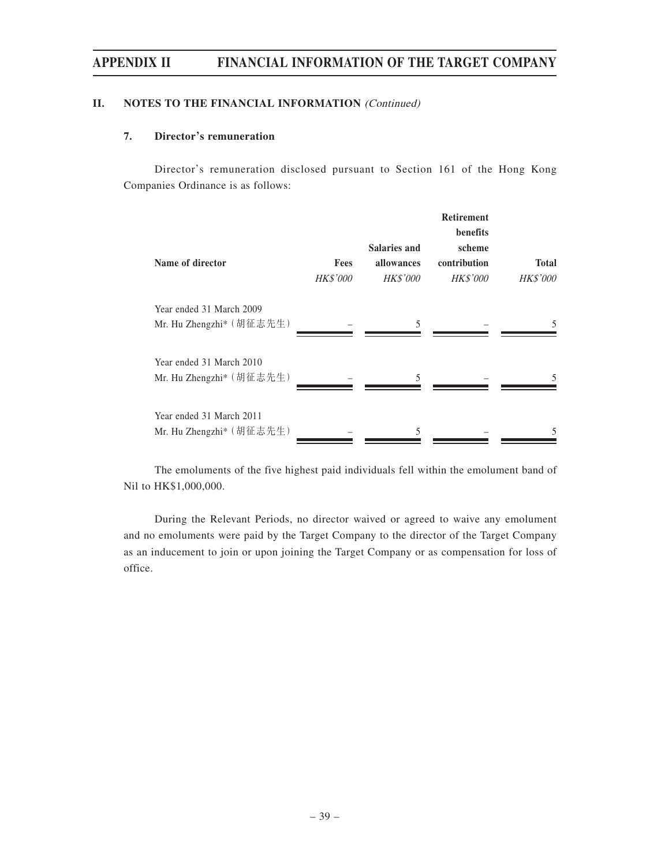#### **II. NOTES TO THE FINANCIAL INFORMATION** (Continued)

#### **7. Director's remuneration**

Director's remuneration disclosed pursuant to Section 161 of the Hong Kong Companies Ordinance is as follows:

| Name of director                                     | <b>Fees</b><br><b>HK\$'000</b> | <b>Salaries and</b><br>allowances<br><b>HK\$'000</b> | <b>Retirement</b><br>benefits<br>scheme<br>contribution<br><b>HK\$'000</b> | <b>Total</b><br><b>HK\$'000</b> |
|------------------------------------------------------|--------------------------------|------------------------------------------------------|----------------------------------------------------------------------------|---------------------------------|
| Year ended 31 March 2009<br>Mr. Hu Zhengzhi* (胡征志先生) |                                | 5                                                    |                                                                            | 5                               |
| Year ended 31 March 2010<br>Mr. Hu Zhengzhi* (胡征志先生) |                                | 5                                                    |                                                                            | 5.                              |
| Year ended 31 March 2011<br>Mr. Hu Zhengzhi* (胡征志先生) |                                |                                                      |                                                                            |                                 |

The emoluments of the five highest paid individuals fell within the emolument band of Nil to HK\$1,000,000.

During the Relevant Periods, no director waived or agreed to waive any emolument and no emoluments were paid by the Target Company to the director of the Target Company as an inducement to join or upon joining the Target Company or as compensation for loss of office.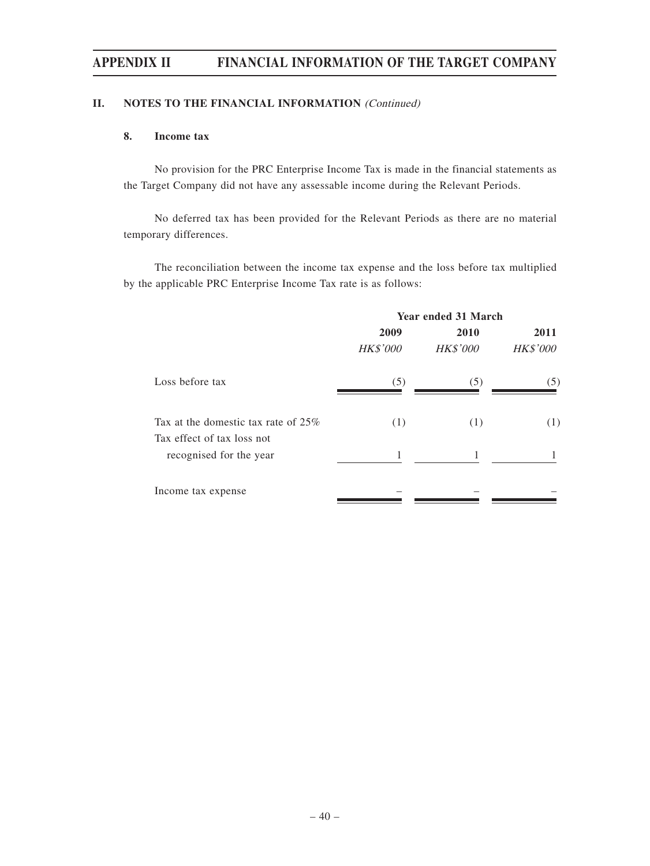#### **II. NOTES TO THE FINANCIAL INFORMATION** (Continued)

#### **8. Income tax**

No provision for the PRC Enterprise Income Tax is made in the financial statements as the Target Company did not have any assessable income during the Relevant Periods.

No deferred tax has been provided for the Relevant Periods as there are no material temporary differences.

The reconciliation between the income tax expense and the loss before tax multiplied by the applicable PRC Enterprise Income Tax rate is as follows:

|                                                                      | <b>Year ended 31 March</b> |                 |                 |  |
|----------------------------------------------------------------------|----------------------------|-----------------|-----------------|--|
|                                                                      | 2009                       | 2010            | 2011            |  |
|                                                                      | <b>HK\$'000</b>            | <b>HK\$'000</b> | <b>HK\$'000</b> |  |
| Loss before tax                                                      | (5)                        | (5)             | (5)             |  |
| Tax at the domestic tax rate of $25\%$<br>Tax effect of tax loss not | (1)                        | (1)             | (1)             |  |
| recognised for the year                                              | 1                          |                 |                 |  |
| Income tax expense                                                   |                            |                 |                 |  |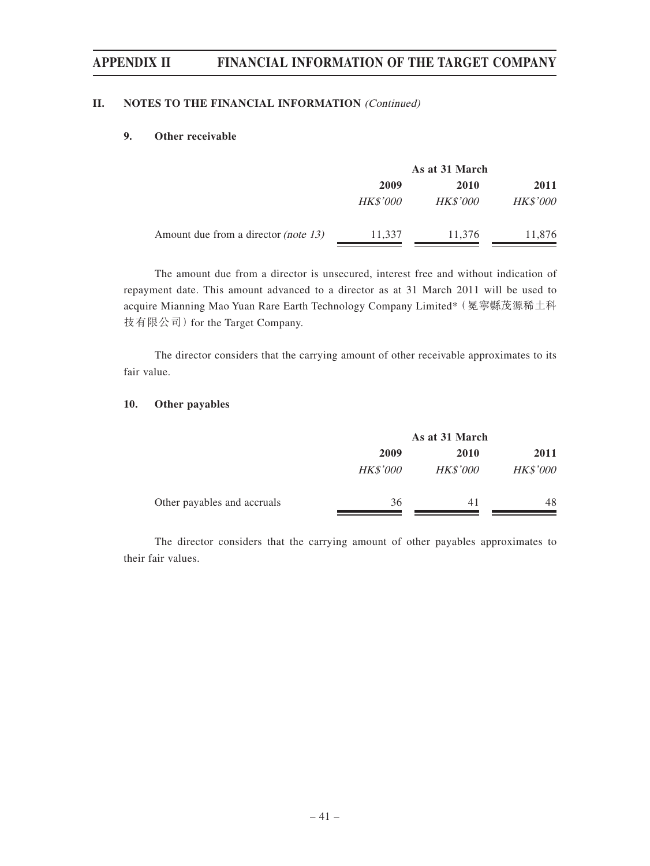#### **II. NOTES TO THE FINANCIAL INFORMATION** (Continued)

#### **9. Other receivable**

|                                             | As at 31 March  |                 |                 |
|---------------------------------------------|-----------------|-----------------|-----------------|
|                                             | 2009            | <b>2010</b>     | 2011            |
|                                             | <b>HK\$'000</b> | <b>HK\$'000</b> | <b>HK\$'000</b> |
| Amount due from a director <i>(note 13)</i> | 11,337          | 11,376          | 11,876          |

The amount due from a director is unsecured, interest free and without indication of repayment date. This amount advanced to a director as at 31 March 2011 will be used to acquire Mianning Mao Yuan Rare Earth Technology Company Limited\*(冕寧縣茂源稀土科 技有限公司) for the Target Company.

The director considers that the carrying amount of other receivable approximates to its fair value.

#### **10. Other payables**

|                             | As at 31 March  |                 |                 |  |
|-----------------------------|-----------------|-----------------|-----------------|--|
|                             | 2009            | 2010            | 2011            |  |
|                             | <b>HK\$'000</b> | <b>HK\$'000</b> | <b>HK\$'000</b> |  |
| Other payables and accruals | 36              | 41              | 48              |  |

The director considers that the carrying amount of other payables approximates to their fair values.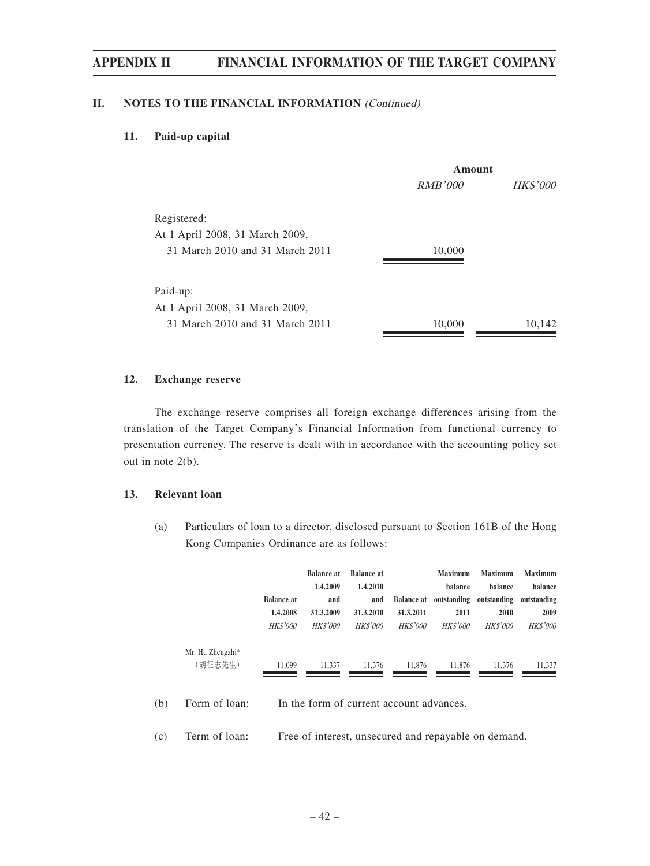#### **II. NOTES TO THE FINANCIAL INFORMATION** (Continued)

#### **11. Paid-up capital**

|                                 | Amount         |                 |  |
|---------------------------------|----------------|-----------------|--|
|                                 | <i>RMB'000</i> | <b>HK\$'000</b> |  |
| Registered:                     |                |                 |  |
| At 1 April 2008, 31 March 2009, |                |                 |  |
| 31 March 2010 and 31 March 2011 | 10,000         |                 |  |
| Paid-up:                        |                |                 |  |
| At 1 April 2008, 31 March 2009, |                |                 |  |
| 31 March 2010 and 31 March 2011 | 10,000         | 10.142          |  |

#### **12. Exchange reserve**

The exchange reserve comprises all foreign exchange differences arising from the translation of the Target Company's Financial Information from functional currency to presentation currency. The reserve is dealt with in accordance with the accounting policy set out in note 2(b).

#### **13. Relevant loan**

(a) Particulars of loan to a director, disclosed pursuant to Section 161B of the Hong Kong Companies Ordinance are as follows:

|     |                             |                               | <b>Balance at</b><br>1.4.2009            | <b>Balance at</b><br>1.4.2010 |                 | <b>Maximum</b><br><b>balance</b>           | <b>Maximum</b><br><b>balance</b> | <b>Maximum</b><br><b>balance</b> |
|-----|-----------------------------|-------------------------------|------------------------------------------|-------------------------------|-----------------|--------------------------------------------|----------------------------------|----------------------------------|
|     |                             | <b>Balance at</b><br>1.4.2008 | and<br>31.3.2009                         | and<br>31.3.2010              | 31.3.2011       | Balance at outstanding outstanding<br>2011 | 2010                             | outstanding<br>2009              |
|     |                             | <b>HK\$'000</b>               | <b>HK\$'000</b>                          | <b>HK\$'000</b>               | <b>HK\$'000</b> | <b>HKS'000</b>                             | <b>HK\$'000</b>                  | <b>HKS'000</b>                   |
|     | Mr. Hu Zhengzhi*<br>(胡征志先生) | 11.099                        | 11.337                                   | 11.376                        | 11.876          | 11.876                                     | 11.376                           | 11,337                           |
| (b) | Form of loan:               |                               | In the form of current account advances. |                               |                 |                                            |                                  |                                  |

(c) Term of loan: Free of interest, unsecured and repayable on demand.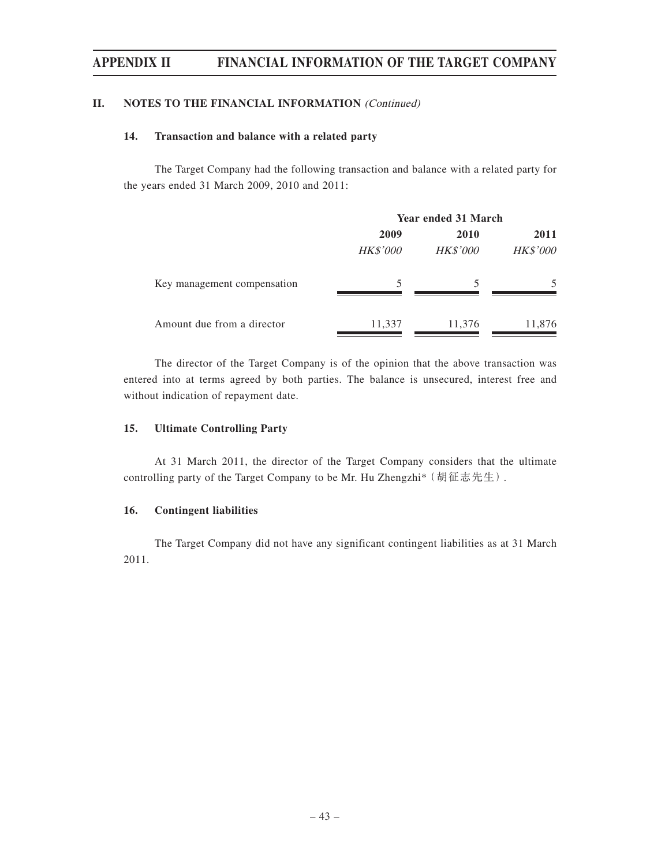#### **II. NOTES TO THE FINANCIAL INFORMATION** (Continued)

#### **14. Transaction and balance with a related party**

The Target Company had the following transaction and balance with a related party for the years ended 31 March 2009, 2010 and 2011:

|                             | <b>Year ended 31 March</b> |                 |                 |  |
|-----------------------------|----------------------------|-----------------|-----------------|--|
|                             | 2009                       | 2010            | 2011            |  |
|                             | <b>HK\$'000</b>            | <b>HK\$'000</b> | <b>HK\$'000</b> |  |
| Key management compensation | 5                          |                 |                 |  |
| Amount due from a director  | 11,337                     | 11,376          | 11,876          |  |

The director of the Target Company is of the opinion that the above transaction was entered into at terms agreed by both parties. The balance is unsecured, interest free and without indication of repayment date.

#### **15. Ultimate Controlling Party**

At 31 March 2011, the director of the Target Company considers that the ultimate controlling party of the Target Company to be Mr. Hu Zhengzhi\*(胡征志先生).

#### **16. Contingent liabilities**

The Target Company did not have any significant contingent liabilities as at 31 March 2011.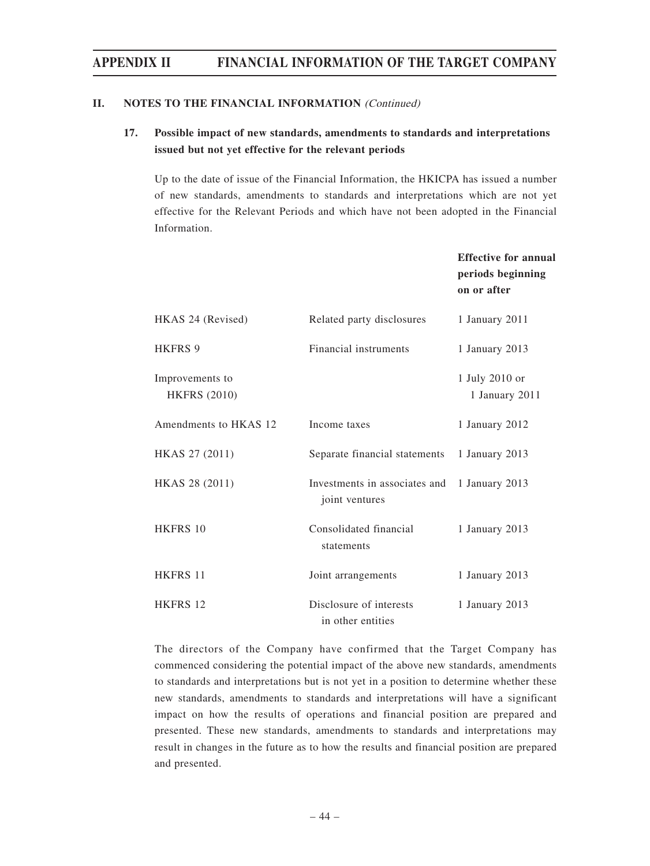#### **II. NOTES TO THE FINANCIAL INFORMATION** (Continued)

#### **17. Possible impact of new standards, amendments to standards and interpretations issued but not yet effective for the relevant periods**

Up to the date of issue of the Financial Information, the HKICPA has issued a number of new standards, amendments to standards and interpretations which are not yet effective for the Relevant Periods and which have not been adopted in the Financial Information.

|                                        |                                                 | <b>Effective for annual</b><br>periods beginning<br>on or after |
|----------------------------------------|-------------------------------------------------|-----------------------------------------------------------------|
| HKAS 24 (Revised)                      | Related party disclosures                       | 1 January 2011                                                  |
| <b>HKFRS 9</b>                         | Financial instruments                           | 1 January 2013                                                  |
| Improvements to<br><b>HKFRS (2010)</b> |                                                 | 1 July 2010 or<br>1 January 2011                                |
| Amendments to HKAS 12                  | Income taxes                                    | 1 January 2012                                                  |
| HKAS 27 (2011)                         | Separate financial statements                   | 1 January 2013                                                  |
| HKAS 28 (2011)                         | Investments in associates and<br>joint ventures | 1 January 2013                                                  |
| HKFRS 10                               | Consolidated financial<br>statements            | 1 January 2013                                                  |
| <b>HKFRS 11</b>                        | Joint arrangements                              | 1 January 2013                                                  |
| HKFRS 12                               | Disclosure of interests<br>in other entities    | 1 January 2013                                                  |

The directors of the Company have confirmed that the Target Company has commenced considering the potential impact of the above new standards, amendments to standards and interpretations but is not yet in a position to determine whether these new standards, amendments to standards and interpretations will have a significant impact on how the results of operations and financial position are prepared and presented. These new standards, amendments to standards and interpretations may result in changes in the future as to how the results and financial position are prepared and presented.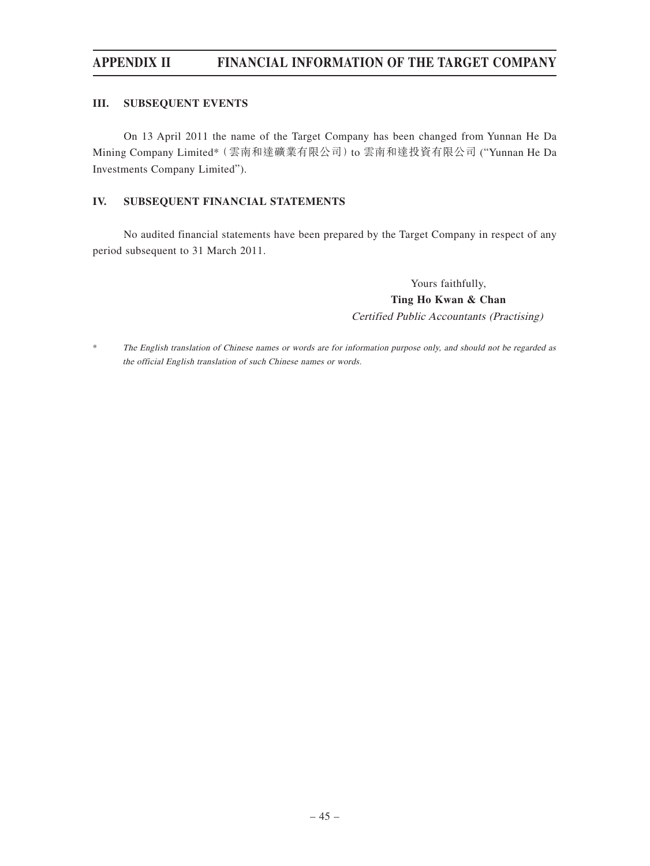#### **III. SUBSEQUENT EVENTS**

On 13 April 2011 the name of the Target Company has been changed from Yunnan He Da Mining Company Limited\* (雲南和達礦業有限公司) to 雲南和達投資有限公司 ("Yunnan He Da Investments Company Limited").

#### **IV. SUBSEQUENT FINANCIAL STATEMENTS**

No audited financial statements have been prepared by the Target Company in respect of any period subsequent to 31 March 2011.

> Yours faithfully, **Ting Ho Kwan & Chan** Certified Public Accountants (Practising)

\* The English translation of Chinese names or words are for information purpose only, and should not be regarded as the official English translation of such Chinese names or words.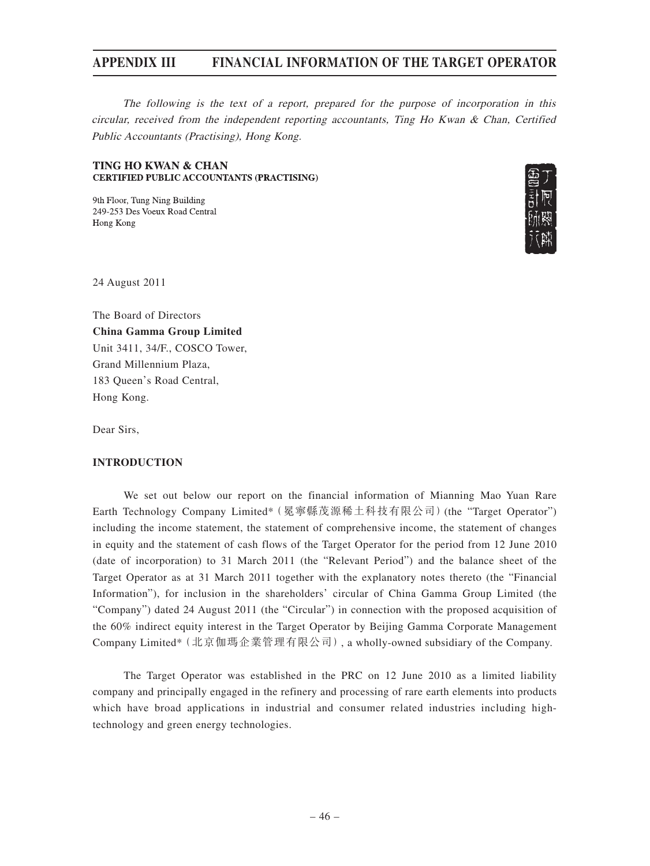The following is the text of a report, prepared for the purpose of incorporation in this circular, received from the independent reporting accountants, Ting Ho Kwan & Chan, Certified Public Accountants (Practising), Hong Kong.

#### **TING HO KWAN & CHAN CERTIFIED PUBLIC ACCOUNTANTS (PRACTISING)**

9th Floor, Tung Ning Building 249-253 Des Voeux Road Central Hong Kong



24 August 2011

The Board of Directors **China Gamma Group Limited** Unit 3411, 34/F., COSCO Tower, Grand Millennium Plaza, 183 Queen's Road Central, Hong Kong.

Dear Sirs,

#### **INTRODUCTION**

We set out below our report on the financial information of Mianning Mao Yuan Rare Earth Technology Company Limited\*(冕寧縣茂源稀土科技有限公司)(the "Target Operator") including the income statement, the statement of comprehensive income, the statement of changes in equity and the statement of cash flows of the Target Operator for the period from 12 June 2010 (date of incorporation) to 31 March 2011 (the "Relevant Period") and the balance sheet of the Target Operator as at 31 March 2011 together with the explanatory notes thereto (the "Financial Information"), for inclusion in the shareholders' circular of China Gamma Group Limited (the "Company") dated 24 August 2011 (the "Circular") in connection with the proposed acquisition of the 60% indirect equity interest in the Target Operator by Beijing Gamma Corporate Management Company Limited\*(北京伽瑪企業管理有限公司), a wholly-owned subsidiary of the Company.

The Target Operator was established in the PRC on 12 June 2010 as a limited liability company and principally engaged in the refinery and processing of rare earth elements into products which have broad applications in industrial and consumer related industries including hightechnology and green energy technologies.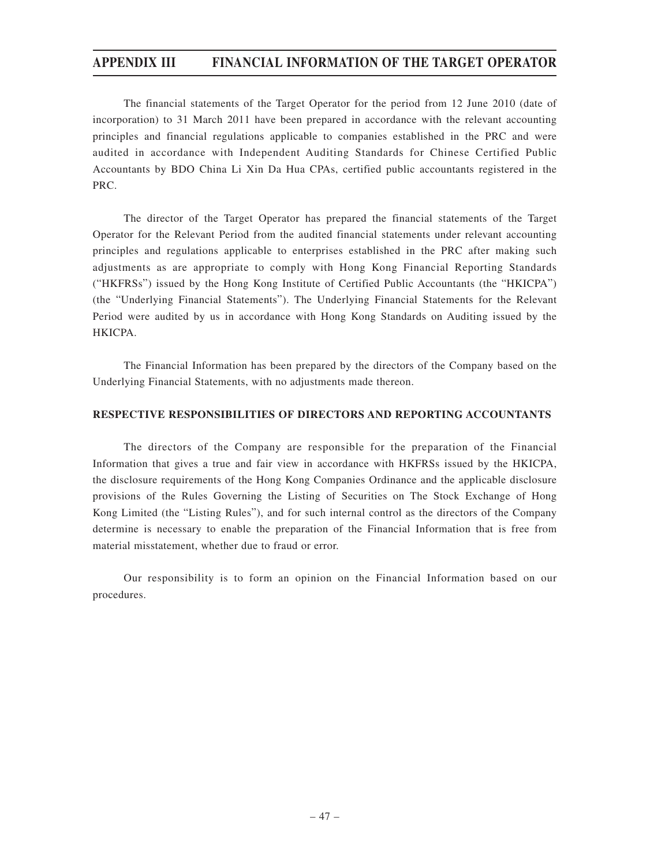The financial statements of the Target Operator for the period from 12 June 2010 (date of incorporation) to 31 March 2011 have been prepared in accordance with the relevant accounting principles and financial regulations applicable to companies established in the PRC and were audited in accordance with Independent Auditing Standards for Chinese Certified Public Accountants by BDO China Li Xin Da Hua CPAs, certified public accountants registered in the PRC.

The director of the Target Operator has prepared the financial statements of the Target Operator for the Relevant Period from the audited financial statements under relevant accounting principles and regulations applicable to enterprises established in the PRC after making such adjustments as are appropriate to comply with Hong Kong Financial Reporting Standards ("HKFRSs") issued by the Hong Kong Institute of Certified Public Accountants (the "HKICPA") (the "Underlying Financial Statements"). The Underlying Financial Statements for the Relevant Period were audited by us in accordance with Hong Kong Standards on Auditing issued by the HKICPA.

The Financial Information has been prepared by the directors of the Company based on the Underlying Financial Statements, with no adjustments made thereon.

#### **RESPECTIVE RESPONSIBILITIES OF DIRECTORS AND REPORTING ACCOUNTANTS**

The directors of the Company are responsible for the preparation of the Financial Information that gives a true and fair view in accordance with HKFRSs issued by the HKICPA, the disclosure requirements of the Hong Kong Companies Ordinance and the applicable disclosure provisions of the Rules Governing the Listing of Securities on The Stock Exchange of Hong Kong Limited (the "Listing Rules"), and for such internal control as the directors of the Company determine is necessary to enable the preparation of the Financial Information that is free from material misstatement, whether due to fraud or error.

Our responsibility is to form an opinion on the Financial Information based on our procedures.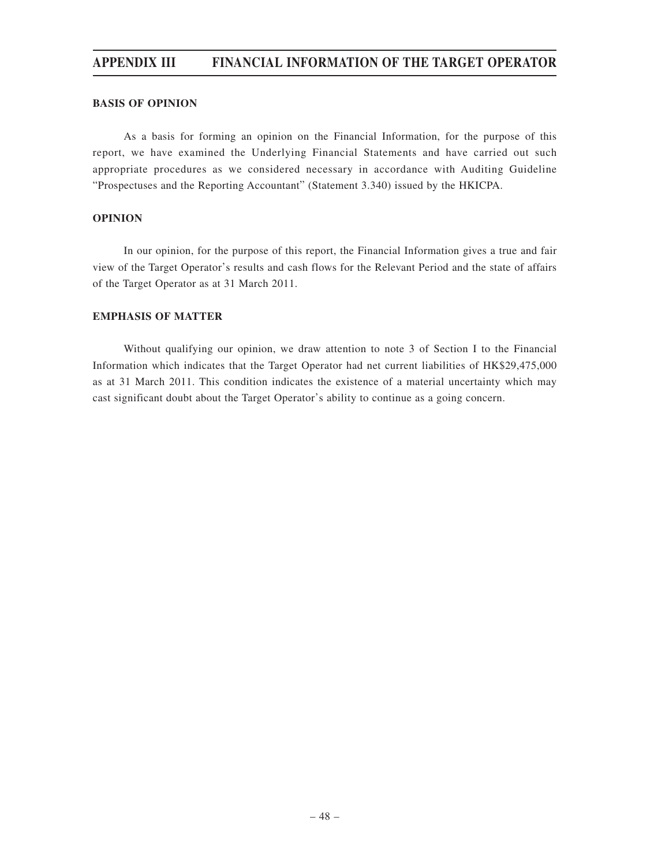#### **BASIS OF OPINION**

As a basis for forming an opinion on the Financial Information, for the purpose of this report, we have examined the Underlying Financial Statements and have carried out such appropriate procedures as we considered necessary in accordance with Auditing Guideline "Prospectuses and the Reporting Accountant" (Statement 3.340) issued by the HKICPA.

#### **OPINION**

In our opinion, for the purpose of this report, the Financial Information gives a true and fair view of the Target Operator's results and cash flows for the Relevant Period and the state of affairs of the Target Operator as at 31 March 2011.

#### **EMPHASIS OF MATTER**

Without qualifying our opinion, we draw attention to note 3 of Section I to the Financial Information which indicates that the Target Operator had net current liabilities of HK\$29,475,000 as at 31 March 2011. This condition indicates the existence of a material uncertainty which may cast significant doubt about the Target Operator's ability to continue as a going concern.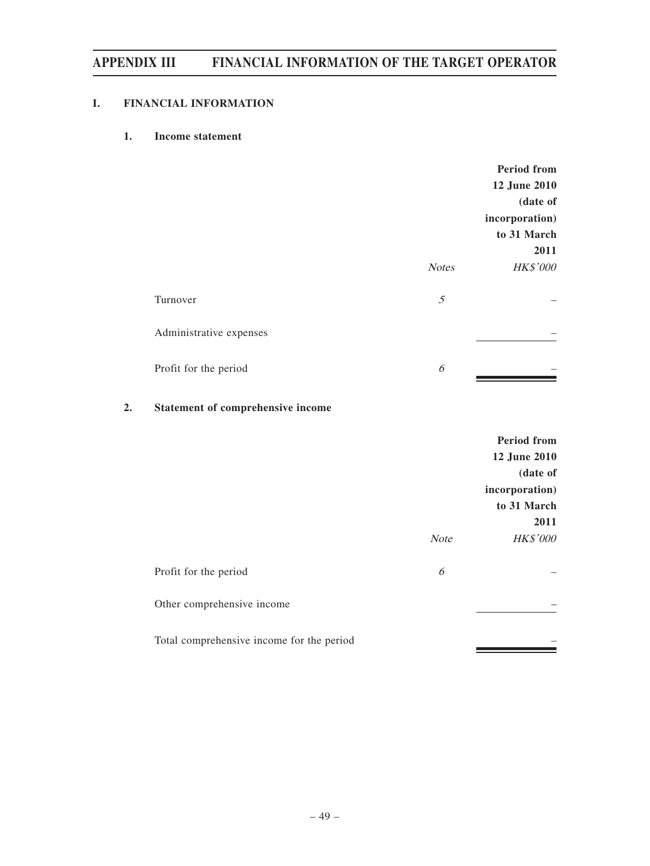### **I. FINANCIAL INFORMATION**

### **1. Income statement**

|                         |              | <b>Period from</b> |
|-------------------------|--------------|--------------------|
|                         |              | 12 June 2010       |
|                         |              | (date of           |
|                         |              | incorporation)     |
|                         |              | to 31 March        |
|                         |              | 2011               |
|                         | <b>Notes</b> | HK\$'000           |
| Turnover                | 5            |                    |
| Administrative expenses |              |                    |
| Profit for the period   | 6            |                    |

### **2. Statement of comprehensive income**

|                                           |             | <b>Period from</b><br>12 June 2010<br>(date of<br>incorporation)<br>to 31 March |
|-------------------------------------------|-------------|---------------------------------------------------------------------------------|
|                                           | <b>Note</b> | 2011<br><b>HK\$'000</b>                                                         |
| Profit for the period                     | 6           |                                                                                 |
| Other comprehensive income                |             |                                                                                 |
| Total comprehensive income for the period |             |                                                                                 |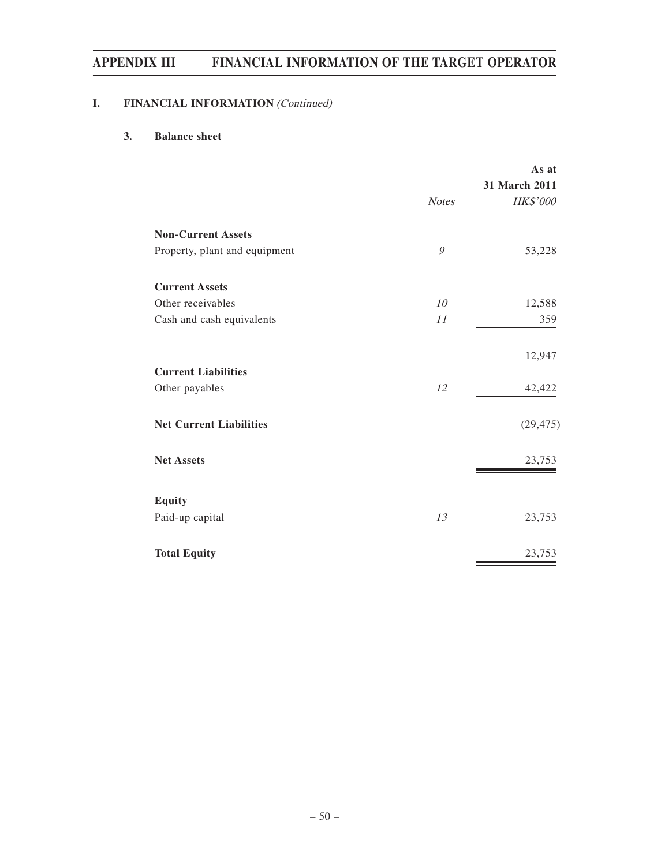### **I.** FINANCIAL INFORMATION (Continued)

### **3. Balance sheet**

|                                |              | As at<br>31 March 2011 |
|--------------------------------|--------------|------------------------|
|                                | <b>Notes</b> | HK\$'000               |
| <b>Non-Current Assets</b>      |              |                        |
| Property, plant and equipment  | 9            | 53,228                 |
| <b>Current Assets</b>          |              |                        |
| Other receivables              | 10           | 12,588                 |
| Cash and cash equivalents      | 11           | 359                    |
|                                |              | 12,947                 |
| <b>Current Liabilities</b>     |              |                        |
| Other payables                 | 12           | 42,422                 |
| <b>Net Current Liabilities</b> |              | (29, 475)              |
| <b>Net Assets</b>              |              | 23,753                 |
| <b>Equity</b>                  |              |                        |
| Paid-up capital                | 13           | 23,753                 |
| <b>Total Equity</b>            |              | 23,753                 |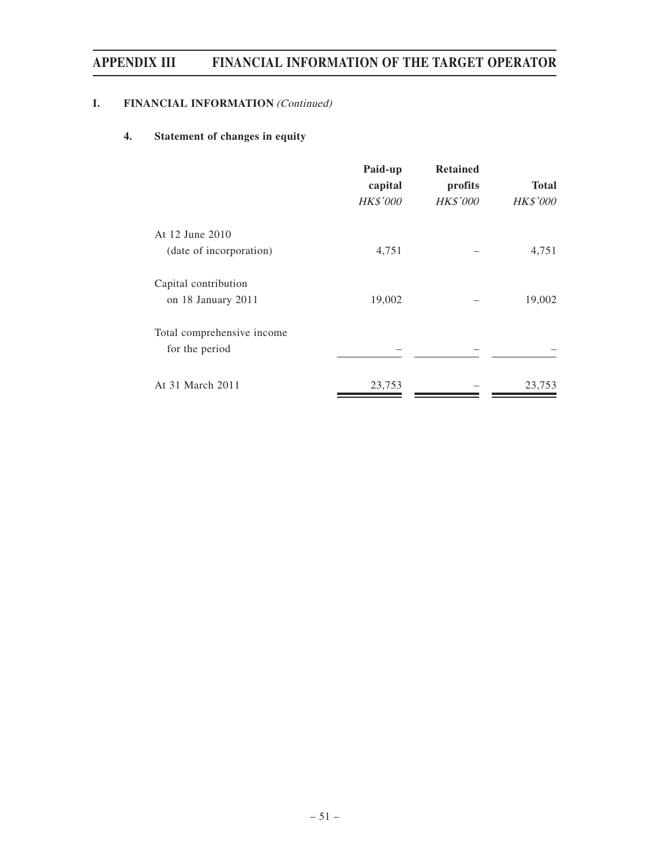### **I.** FINANCIAL INFORMATION (Continued)

### **4. Statement of changes in equity**

|                            | Paid-up<br>capital | <b>Retained</b><br>profits | <b>Total</b>    |  |
|----------------------------|--------------------|----------------------------|-----------------|--|
|                            | HK\$'000           | <b>HK\$'000</b>            | <b>HK\$'000</b> |  |
| At 12 June 2010            |                    |                            |                 |  |
| (date of incorporation)    | 4,751              |                            | 4,751           |  |
| Capital contribution       |                    |                            |                 |  |
| on 18 January 2011         | 19,002             |                            | 19,002          |  |
| Total comprehensive income |                    |                            |                 |  |
| for the period             |                    |                            |                 |  |
| At 31 March 2011           | 23,753             |                            | 23,753          |  |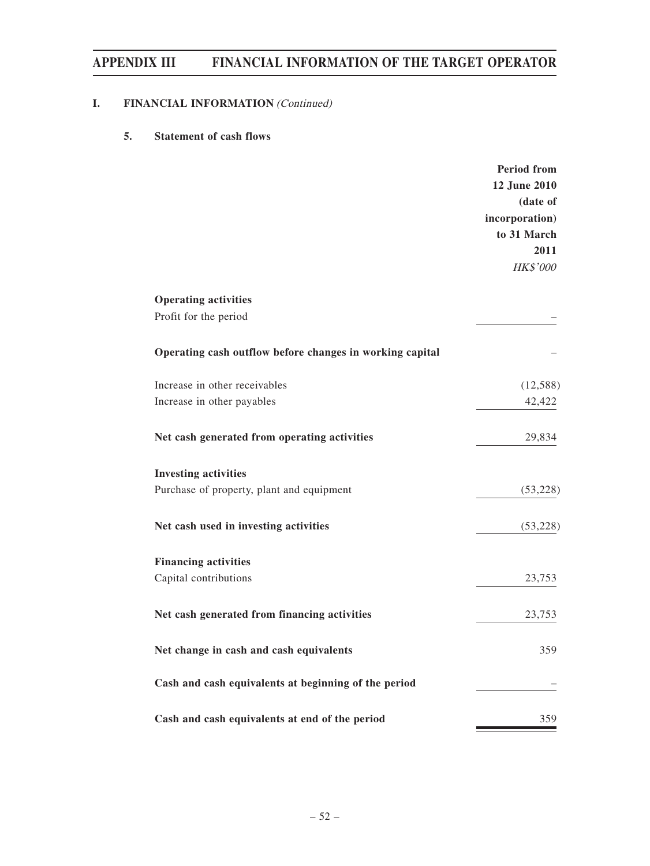### **I.** FINANCIAL INFORMATION (Continued)

### **5. Statement of cash flows**

|                                                          | <b>Period from</b>       |
|----------------------------------------------------------|--------------------------|
|                                                          | 12 June 2010<br>(date of |
|                                                          | incorporation)           |
|                                                          | to 31 March              |
|                                                          | 2011                     |
|                                                          | HK\$'000                 |
| <b>Operating activities</b>                              |                          |
| Profit for the period                                    |                          |
| Operating cash outflow before changes in working capital |                          |
| Increase in other receivables                            | (12, 588)                |
| Increase in other payables                               | 42,422                   |
| Net cash generated from operating activities             | 29,834                   |
| <b>Investing activities</b>                              |                          |
| Purchase of property, plant and equipment                | (53, 228)                |
| Net cash used in investing activities                    | (53, 228)                |
| <b>Financing activities</b>                              |                          |
| Capital contributions                                    | 23,753                   |
| Net cash generated from financing activities             | 23,753                   |
| Net change in cash and cash equivalents                  | 359                      |
| Cash and cash equivalents at beginning of the period     |                          |
| Cash and cash equivalents at end of the period           | 359                      |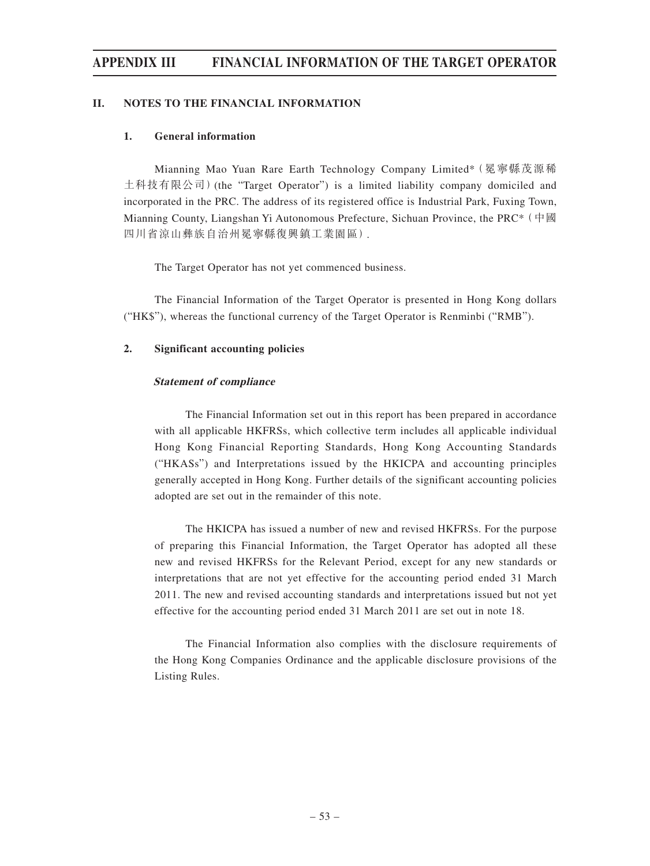#### **II. NOTES TO THE FINANCIAL INFORMATION**

#### **1. General information**

Mianning Mao Yuan Rare Earth Technology Company Limited\*(冕寧縣茂源稀 土科技有限公司)(the "Target Operator") is a limited liability company domiciled and incorporated in the PRC. The address of its registered office is Industrial Park, Fuxing Town, Mianning County, Liangshan Yi Autonomous Prefecture, Sichuan Province, the PRC\*(中國 四川省涼山彝族自治州冕寧縣復興鎮工業園區).

The Target Operator has not yet commenced business.

The Financial Information of the Target Operator is presented in Hong Kong dollars ("HK\$"), whereas the functional currency of the Target Operator is Renminbi ("RMB").

#### **2. Significant accounting policies**

#### **Statement of compliance**

The Financial Information set out in this report has been prepared in accordance with all applicable HKFRSs, which collective term includes all applicable individual Hong Kong Financial Reporting Standards, Hong Kong Accounting Standards ("HKASs") and Interpretations issued by the HKICPA and accounting principles generally accepted in Hong Kong. Further details of the significant accounting policies adopted are set out in the remainder of this note.

The HKICPA has issued a number of new and revised HKFRSs. For the purpose of preparing this Financial Information, the Target Operator has adopted all these new and revised HKFRSs for the Relevant Period, except for any new standards or interpretations that are not yet effective for the accounting period ended 31 March 2011. The new and revised accounting standards and interpretations issued but not yet effective for the accounting period ended 31 March 2011 are set out in note 18.

The Financial Information also complies with the disclosure requirements of the Hong Kong Companies Ordinance and the applicable disclosure provisions of the Listing Rules.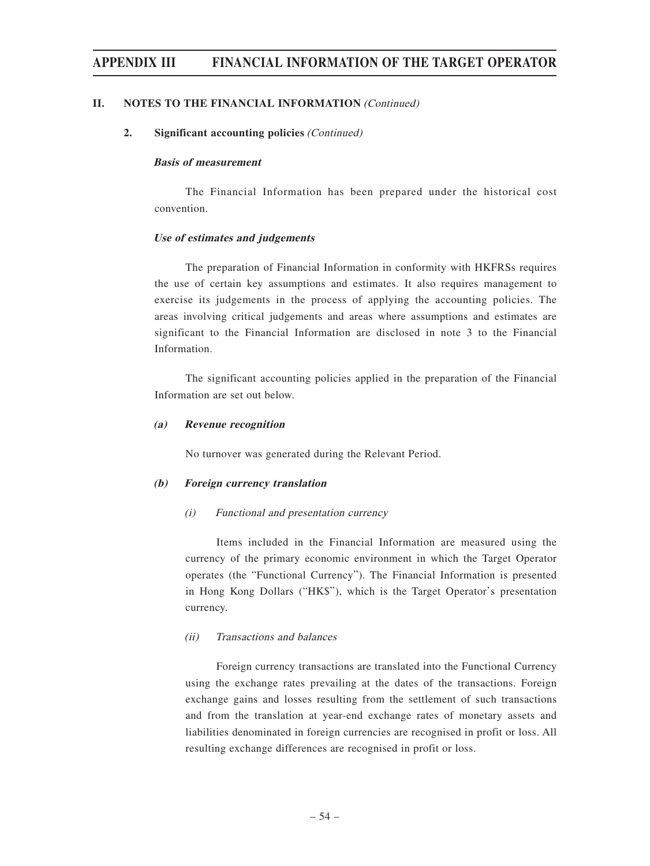#### **II. NOTES TO THE FINANCIAL INFORMATION (Continued)**

#### **2. Significant accounting policies** (Continued)

#### **Basis of measurement**

The Financial Information has been prepared under the historical cost convention.

#### **Use of estimates and judgements**

The preparation of Financial Information in conformity with HKFRSs requires the use of certain key assumptions and estimates. It also requires management to exercise its judgements in the process of applying the accounting policies. The areas involving critical judgements and areas where assumptions and estimates are significant to the Financial Information are disclosed in note 3 to the Financial Information.

The significant accounting policies applied in the preparation of the Financial Information are set out below.

#### **(a) Revenue recognition**

No turnover was generated during the Relevant Period.

#### **(b) Foreign currency translation**

#### (i) Functional and presentation currency

Items included in the Financial Information are measured using the currency of the primary economic environment in which the Target Operator operates (the "Functional Currency"). The Financial Information is presented in Hong Kong Dollars ("HK\$"), which is the Target Operator's presentation currency.

#### (ii) Transactions and balances

Foreign currency transactions are translated into the Functional Currency using the exchange rates prevailing at the dates of the transactions. Foreign exchange gains and losses resulting from the settlement of such transactions and from the translation at year-end exchange rates of monetary assets and liabilities denominated in foreign currencies are recognised in profit or loss. All resulting exchange differences are recognised in profit or loss.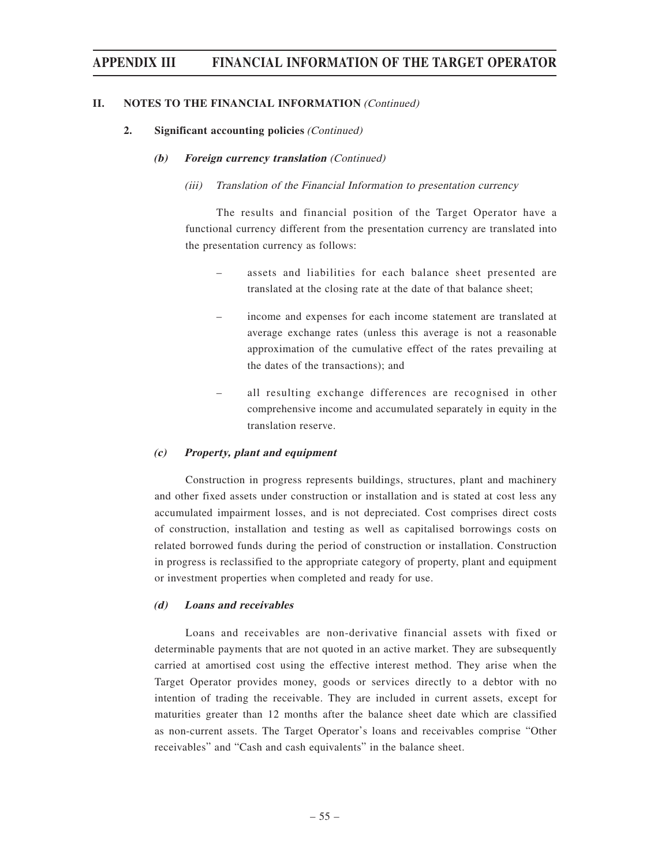#### **II. NOTES TO THE FINANCIAL INFORMATION (Continued)**

#### **2. Significant accounting policies** (Continued)

#### **(b) Foreign currency translation** (Continued)

#### (iii) Translation of the Financial Information to presentation currency

The results and financial position of the Target Operator have a functional currency different from the presentation currency are translated into the presentation currency as follows:

- assets and liabilities for each balance sheet presented are translated at the closing rate at the date of that balance sheet;
- income and expenses for each income statement are translated at average exchange rates (unless this average is not a reasonable approximation of the cumulative effect of the rates prevailing at the dates of the transactions); and
- all resulting exchange differences are recognised in other comprehensive income and accumulated separately in equity in the translation reserve.

#### **(c) Property, plant and equipment**

Construction in progress represents buildings, structures, plant and machinery and other fixed assets under construction or installation and is stated at cost less any accumulated impairment losses, and is not depreciated. Cost comprises direct costs of construction, installation and testing as well as capitalised borrowings costs on related borrowed funds during the period of construction or installation. Construction in progress is reclassified to the appropriate category of property, plant and equipment or investment properties when completed and ready for use.

#### **(d) Loans and receivables**

Loans and receivables are non-derivative financial assets with fixed or determinable payments that are not quoted in an active market. They are subsequently carried at amortised cost using the effective interest method. They arise when the Target Operator provides money, goods or services directly to a debtor with no intention of trading the receivable. They are included in current assets, except for maturities greater than 12 months after the balance sheet date which are classified as non-current assets. The Target Operator's loans and receivables comprise "Other receivables" and "Cash and cash equivalents" in the balance sheet.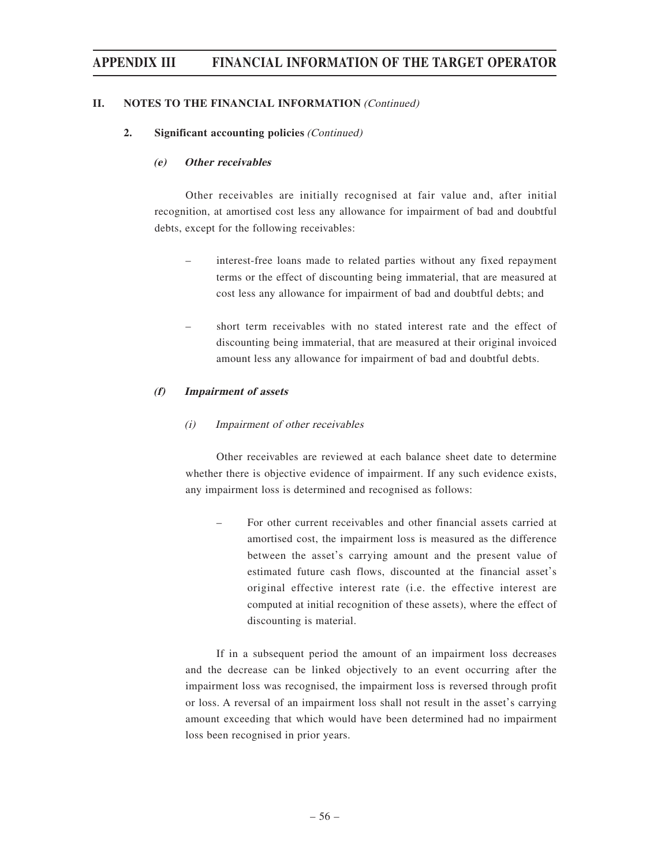#### **II. NOTES TO THE FINANCIAL INFORMATION** (Continued)

#### **2. Significant accounting policies** (Continued)

#### **(e) Other receivables**

Other receivables are initially recognised at fair value and, after initial recognition, at amortised cost less any allowance for impairment of bad and doubtful debts, except for the following receivables:

- interest-free loans made to related parties without any fixed repayment terms or the effect of discounting being immaterial, that are measured at cost less any allowance for impairment of bad and doubtful debts; and
- short term receivables with no stated interest rate and the effect of discounting being immaterial, that are measured at their original invoiced amount less any allowance for impairment of bad and doubtful debts.

#### **(f) Impairment of assets**

#### (i) Impairment of other receivables

Other receivables are reviewed at each balance sheet date to determine whether there is objective evidence of impairment. If any such evidence exists, any impairment loss is determined and recognised as follows:

– For other current receivables and other financial assets carried at amortised cost, the impairment loss is measured as the difference between the asset's carrying amount and the present value of estimated future cash flows, discounted at the financial asset's original effective interest rate (i.e. the effective interest are computed at initial recognition of these assets), where the effect of discounting is material.

If in a subsequent period the amount of an impairment loss decreases and the decrease can be linked objectively to an event occurring after the impairment loss was recognised, the impairment loss is reversed through profit or loss. A reversal of an impairment loss shall not result in the asset's carrying amount exceeding that which would have been determined had no impairment loss been recognised in prior years.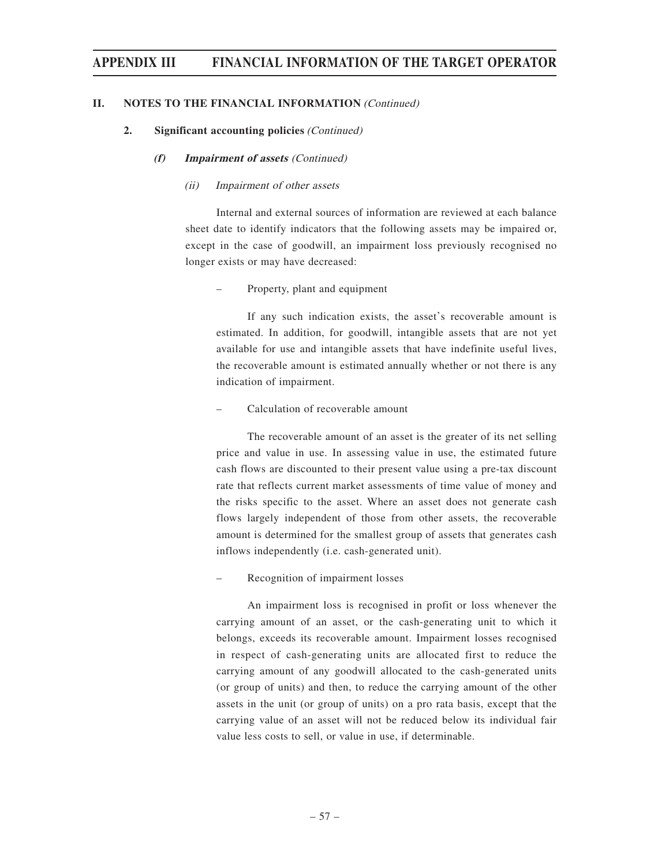#### **II. NOTES TO THE FINANCIAL INFORMATION** (Continued)

#### **2. Significant accounting policies** (Continued)

#### **(f) Impairment of assets** (Continued)

#### (ii) Impairment of other assets

Internal and external sources of information are reviewed at each balance sheet date to identify indicators that the following assets may be impaired or, except in the case of goodwill, an impairment loss previously recognised no longer exists or may have decreased:

#### – Property, plant and equipment

If any such indication exists, the asset's recoverable amount is estimated. In addition, for goodwill, intangible assets that are not yet available for use and intangible assets that have indefinite useful lives, the recoverable amount is estimated annually whether or not there is any indication of impairment.

#### – Calculation of recoverable amount

The recoverable amount of an asset is the greater of its net selling price and value in use. In assessing value in use, the estimated future cash flows are discounted to their present value using a pre-tax discount rate that reflects current market assessments of time value of money and the risks specific to the asset. Where an asset does not generate cash flows largely independent of those from other assets, the recoverable amount is determined for the smallest group of assets that generates cash inflows independently (i.e. cash-generated unit).

– Recognition of impairment losses

An impairment loss is recognised in profit or loss whenever the carrying amount of an asset, or the cash-generating unit to which it belongs, exceeds its recoverable amount. Impairment losses recognised in respect of cash-generating units are allocated first to reduce the carrying amount of any goodwill allocated to the cash-generated units (or group of units) and then, to reduce the carrying amount of the other assets in the unit (or group of units) on a pro rata basis, except that the carrying value of an asset will not be reduced below its individual fair value less costs to sell, or value in use, if determinable.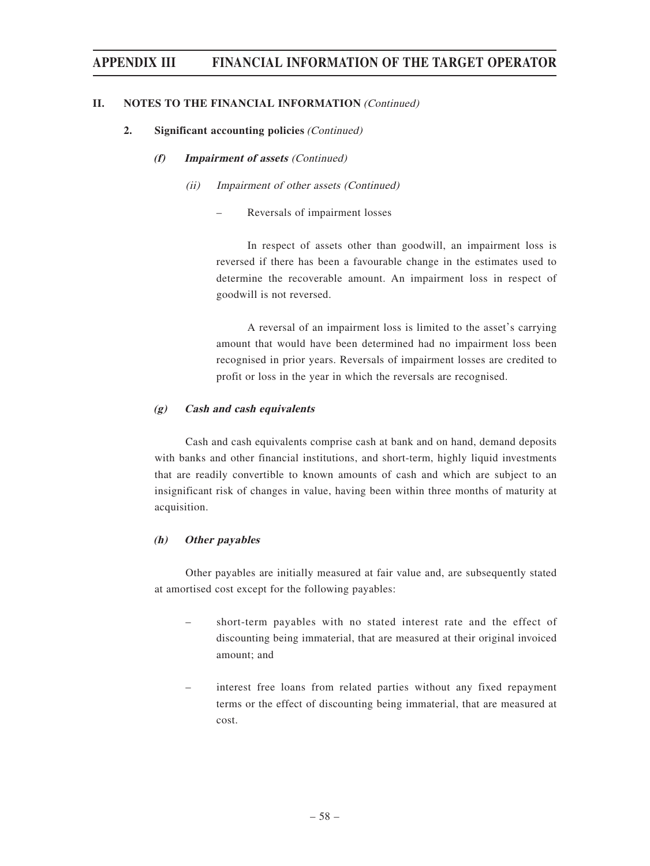#### **II. NOTES TO THE FINANCIAL INFORMATION (Continued)**

#### **2. Significant accounting policies** (Continued)

#### **(f) Impairment of assets** (Continued)

#### (ii) Impairment of other assets (Continued)

– Reversals of impairment losses

In respect of assets other than goodwill, an impairment loss is reversed if there has been a favourable change in the estimates used to determine the recoverable amount. An impairment loss in respect of goodwill is not reversed.

A reversal of an impairment loss is limited to the asset's carrying amount that would have been determined had no impairment loss been recognised in prior years. Reversals of impairment losses are credited to profit or loss in the year in which the reversals are recognised.

#### **(g) Cash and cash equivalents**

Cash and cash equivalents comprise cash at bank and on hand, demand deposits with banks and other financial institutions, and short-term, highly liquid investments that are readily convertible to known amounts of cash and which are subject to an insignificant risk of changes in value, having been within three months of maturity at acquisition.

#### **(h) Other payables**

Other payables are initially measured at fair value and, are subsequently stated at amortised cost except for the following payables:

- short-term payables with no stated interest rate and the effect of discounting being immaterial, that are measured at their original invoiced amount; and
- interest free loans from related parties without any fixed repayment terms or the effect of discounting being immaterial, that are measured at cost.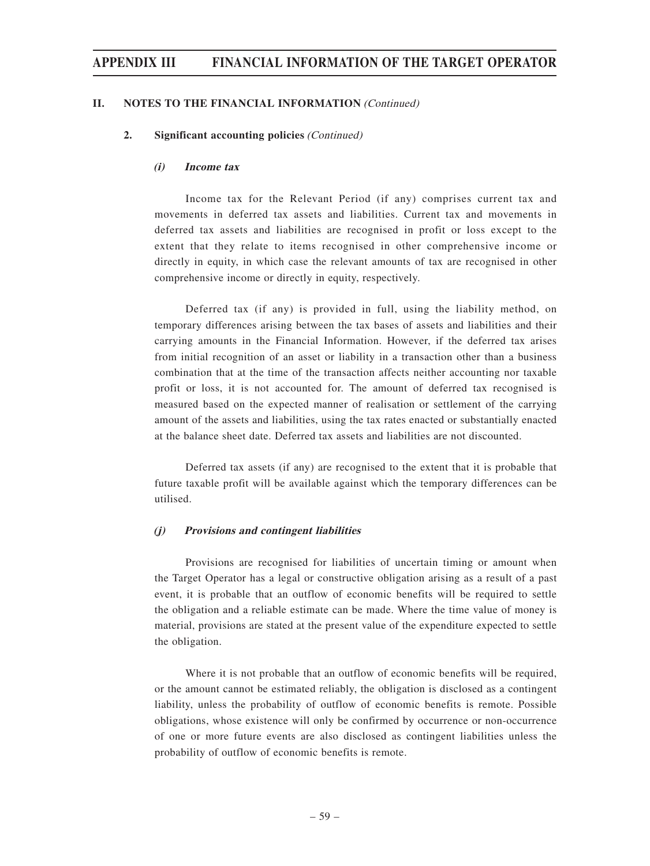#### **II. NOTES TO THE FINANCIAL INFORMATION** (Continued)

#### **2. Significant accounting policies** (Continued)

#### **(i) Income tax**

Income tax for the Relevant Period (if any) comprises current tax and movements in deferred tax assets and liabilities. Current tax and movements in deferred tax assets and liabilities are recognised in profit or loss except to the extent that they relate to items recognised in other comprehensive income or directly in equity, in which case the relevant amounts of tax are recognised in other comprehensive income or directly in equity, respectively.

Deferred tax (if any) is provided in full, using the liability method, on temporary differences arising between the tax bases of assets and liabilities and their carrying amounts in the Financial Information. However, if the deferred tax arises from initial recognition of an asset or liability in a transaction other than a business combination that at the time of the transaction affects neither accounting nor taxable profit or loss, it is not accounted for. The amount of deferred tax recognised is measured based on the expected manner of realisation or settlement of the carrying amount of the assets and liabilities, using the tax rates enacted or substantially enacted at the balance sheet date. Deferred tax assets and liabilities are not discounted.

Deferred tax assets (if any) are recognised to the extent that it is probable that future taxable profit will be available against which the temporary differences can be utilised.

#### **(j) Provisions and contingent liabilities**

Provisions are recognised for liabilities of uncertain timing or amount when the Target Operator has a legal or constructive obligation arising as a result of a past event, it is probable that an outflow of economic benefits will be required to settle the obligation and a reliable estimate can be made. Where the time value of money is material, provisions are stated at the present value of the expenditure expected to settle the obligation.

Where it is not probable that an outflow of economic benefits will be required, or the amount cannot be estimated reliably, the obligation is disclosed as a contingent liability, unless the probability of outflow of economic benefits is remote. Possible obligations, whose existence will only be confirmed by occurrence or non-occurrence of one or more future events are also disclosed as contingent liabilities unless the probability of outflow of economic benefits is remote.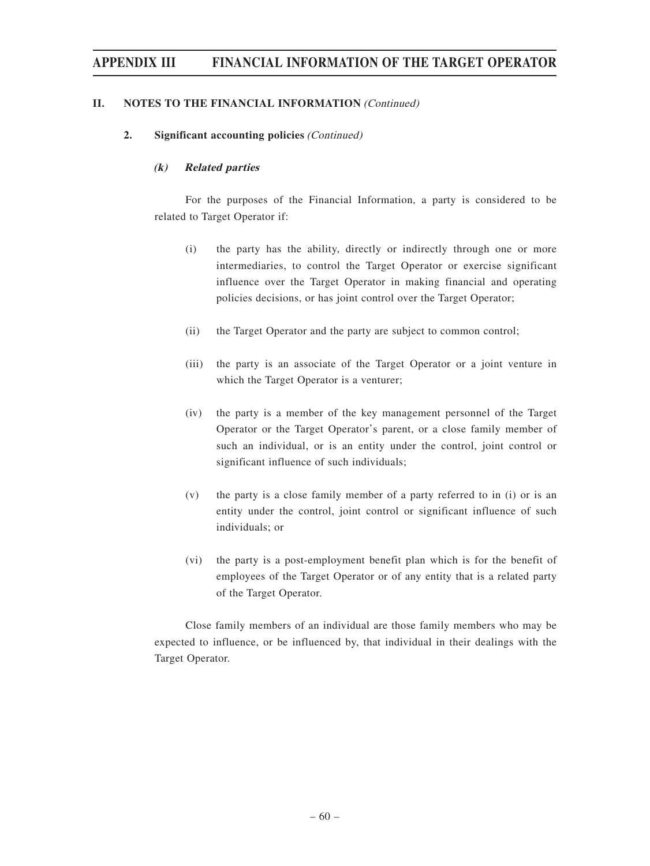#### **II. NOTES TO THE FINANCIAL INFORMATION** (Continued)

#### **2. Significant accounting policies** (Continued)

#### **(k) Related parties**

For the purposes of the Financial Information, a party is considered to be related to Target Operator if:

- (i) the party has the ability, directly or indirectly through one or more intermediaries, to control the Target Operator or exercise significant influence over the Target Operator in making financial and operating policies decisions, or has joint control over the Target Operator;
- (ii) the Target Operator and the party are subject to common control;
- (iii) the party is an associate of the Target Operator or a joint venture in which the Target Operator is a venturer;
- (iv) the party is a member of the key management personnel of the Target Operator or the Target Operator's parent, or a close family member of such an individual, or is an entity under the control, joint control or significant influence of such individuals;
- (v) the party is a close family member of a party referred to in (i) or is an entity under the control, joint control or significant influence of such individuals; or
- (vi) the party is a post-employment benefit plan which is for the benefit of employees of the Target Operator or of any entity that is a related party of the Target Operator.

Close family members of an individual are those family members who may be expected to influence, or be influenced by, that individual in their dealings with the Target Operator.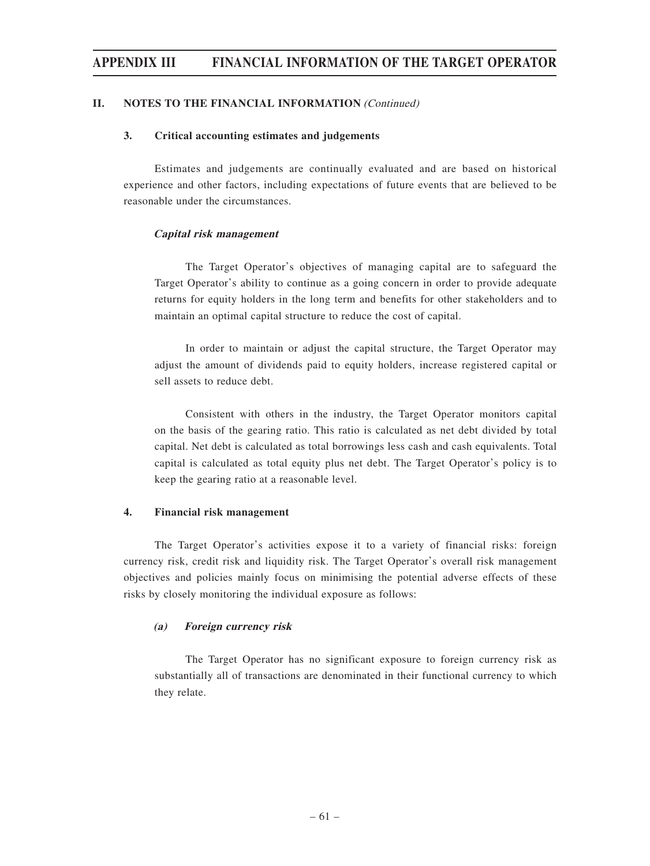#### **II. NOTES TO THE FINANCIAL INFORMATION** (Continued)

#### **3. Critical accounting estimates and judgements**

Estimates and judgements are continually evaluated and are based on historical experience and other factors, including expectations of future events that are believed to be reasonable under the circumstances.

#### **Capital risk management**

The Target Operator's objectives of managing capital are to safeguard the Target Operator's ability to continue as a going concern in order to provide adequate returns for equity holders in the long term and benefits for other stakeholders and to maintain an optimal capital structure to reduce the cost of capital.

In order to maintain or adjust the capital structure, the Target Operator may adjust the amount of dividends paid to equity holders, increase registered capital or sell assets to reduce debt.

Consistent with others in the industry, the Target Operator monitors capital on the basis of the gearing ratio. This ratio is calculated as net debt divided by total capital. Net debt is calculated as total borrowings less cash and cash equivalents. Total capital is calculated as total equity plus net debt. The Target Operator's policy is to keep the gearing ratio at a reasonable level.

#### **4. Financial risk management**

The Target Operator's activities expose it to a variety of financial risks: foreign currency risk, credit risk and liquidity risk. The Target Operator's overall risk management objectives and policies mainly focus on minimising the potential adverse effects of these risks by closely monitoring the individual exposure as follows:

#### **(a) Foreign currency risk**

The Target Operator has no significant exposure to foreign currency risk as substantially all of transactions are denominated in their functional currency to which they relate.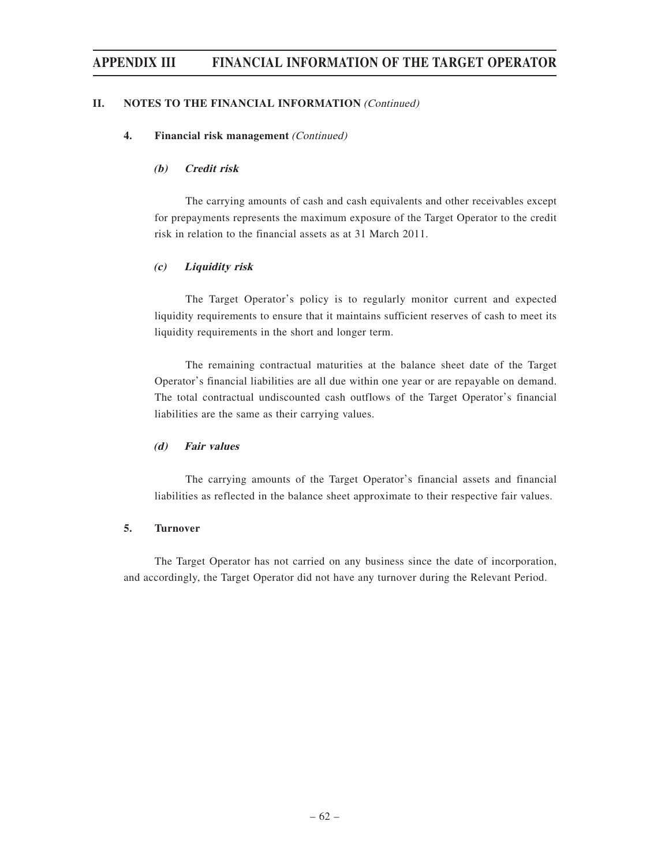#### **II. NOTES TO THE FINANCIAL INFORMATION** (Continued)

#### **4. Financial risk management** (Continued)

#### **(b) Credit risk**

The carrying amounts of cash and cash equivalents and other receivables except for prepayments represents the maximum exposure of the Target Operator to the credit risk in relation to the financial assets as at 31 March 2011.

#### **(c) Liquidity risk**

The Target Operator's policy is to regularly monitor current and expected liquidity requirements to ensure that it maintains sufficient reserves of cash to meet its liquidity requirements in the short and longer term.

The remaining contractual maturities at the balance sheet date of the Target Operator's financial liabilities are all due within one year or are repayable on demand. The total contractual undiscounted cash outflows of the Target Operator's financial liabilities are the same as their carrying values.

#### **(d) Fair values**

The carrying amounts of the Target Operator's financial assets and financial liabilities as reflected in the balance sheet approximate to their respective fair values.

#### **5. Turnover**

The Target Operator has not carried on any business since the date of incorporation, and accordingly, the Target Operator did not have any turnover during the Relevant Period.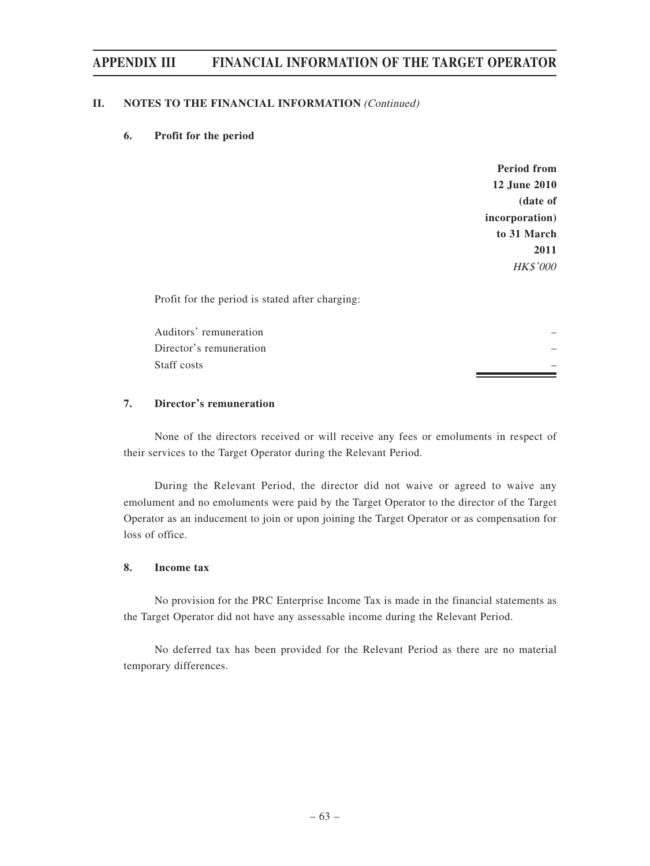#### **II. NOTES TO THE FINANCIAL INFORMATION (Continued)**

#### **6. Profit for the period**

**Period from 12 June 2010 (date of incorporation) to 31 March 2011** HK\$'000

Profit for the period is stated after charging:

Auditors' remuneration – Director's remuneration – Staff costs – the costs – the costs – the costs – the costs – the costs – the costs – the costs – the costs – the costs – the costs – the costs – the costs – the costs – the costs – the costs – the costs – the costs – the

#### **7. Director's remuneration**

None of the directors received or will receive any fees or emoluments in respect of their services to the Target Operator during the Relevant Period.

During the Relevant Period, the director did not waive or agreed to waive any emolument and no emoluments were paid by the Target Operator to the director of the Target Operator as an inducement to join or upon joining the Target Operator or as compensation for loss of office.

#### **8. Income tax**

No provision for the PRC Enterprise Income Tax is made in the financial statements as the Target Operator did not have any assessable income during the Relevant Period.

No deferred tax has been provided for the Relevant Period as there are no material temporary differences.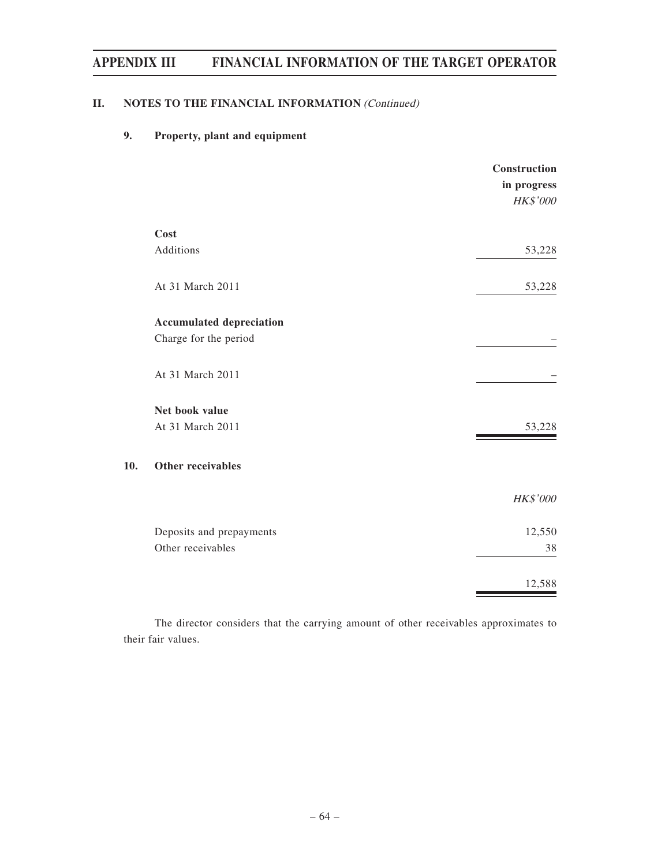### **II.** NOTES TO THE FINANCIAL INFORMATION *(Continued)*

### **9. Property, plant and equipment**

**10.** 

|                                 | Construction<br>in progress<br>HK\$'000 |
|---------------------------------|-----------------------------------------|
| Cost                            |                                         |
| Additions                       | 53,228                                  |
| At 31 March 2011                | 53,228                                  |
| <b>Accumulated depreciation</b> |                                         |
| Charge for the period           |                                         |
| At 31 March 2011                |                                         |
| Net book value                  |                                         |
| At 31 March 2011                | 53,228                                  |
| Other receivables               |                                         |
|                                 | HK\$'000                                |
| Deposits and prepayments        | 12,550                                  |
| Other receivables               | 38                                      |
|                                 | 12,588                                  |

The director considers that the carrying amount of other receivables approximates to their fair values.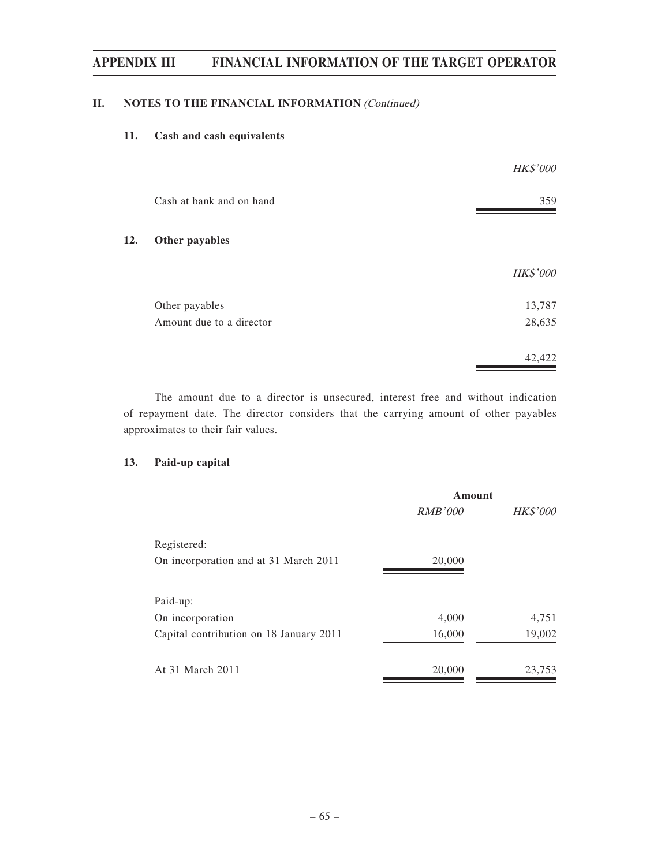#### **II. NOTES TO THE FINANCIAL INFORMATION** (Continued)

### **11. Cash and cash equivalents**

|     |                          | <b>HK\$'000</b> |
|-----|--------------------------|-----------------|
|     | Cash at bank and on hand | 359             |
| 12. | Other payables           |                 |
|     |                          | HK\$'000        |
|     | Other payables           | 13,787          |
|     | Amount due to a director | 28,635          |
|     |                          | 42,422          |

The amount due to a director is unsecured, interest free and without indication of repayment date. The director considers that the carrying amount of other payables approximates to their fair values.

#### **13. Paid-up capital**

|                                         | Amount         |                 |  |
|-----------------------------------------|----------------|-----------------|--|
|                                         | <b>RMB'000</b> | <b>HK\$'000</b> |  |
| Registered:                             |                |                 |  |
| On incorporation and at 31 March 2011   | 20,000         |                 |  |
| Paid-up:                                |                |                 |  |
| On incorporation                        | 4,000          | 4,751           |  |
| Capital contribution on 18 January 2011 | 16,000         | 19,002          |  |
| At 31 March 2011                        | 20,000         | 23,753          |  |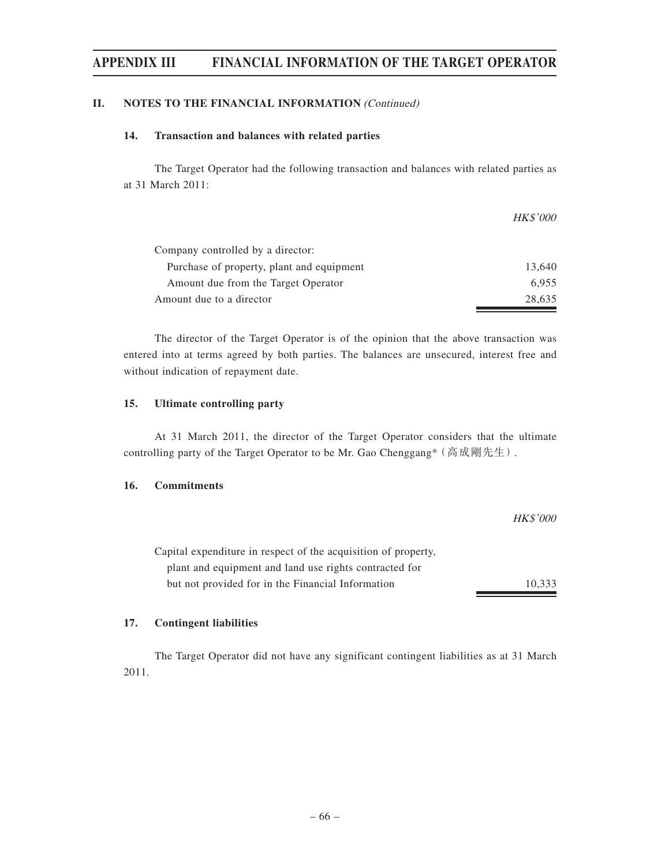#### **II. NOTES TO THE FINANCIAL INFORMATION** (Continued)

#### **14. Transaction and balances with related parties**

The Target Operator had the following transaction and balances with related parties as at 31 March 2011:

|                                           | <b>HK\$'000</b> |
|-------------------------------------------|-----------------|
| Company controlled by a director:         |                 |
| Purchase of property, plant and equipment | 13.640          |
| Amount due from the Target Operator       | 6.955           |
| Amount due to a director                  | 28.635          |

The director of the Target Operator is of the opinion that the above transaction was entered into at terms agreed by both parties. The balances are unsecured, interest free and without indication of repayment date.

#### **15. Ultimate controlling party**

At 31 March 2011, the director of the Target Operator considers that the ultimate controlling party of the Target Operator to be Mr. Gao Chenggang<sup>\*</sup> (高成剛先生).

#### **16. Commitments**

| Capital expenditure in respect of the acquisition of property, |        |
|----------------------------------------------------------------|--------|
| plant and equipment and land use rights contracted for         |        |
| but not provided for in the Financial Information              | 10.333 |

HK\$'000

#### **17. Contingent liabilities**

The Target Operator did not have any significant contingent liabilities as at 31 March 2011.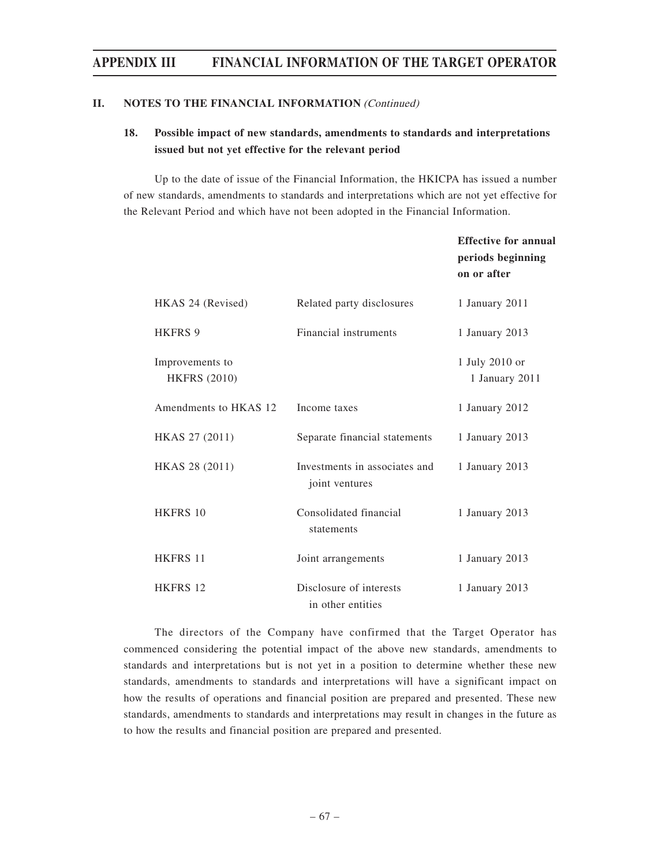#### **II. NOTES TO THE FINANCIAL INFORMATION** (Continued)

### **18. Possible impact of new standards, amendments to standards and interpretations issued but not yet effective for the relevant period**

Up to the date of issue of the Financial Information, the HKICPA has issued a number of new standards, amendments to standards and interpretations which are not yet effective for the Relevant Period and which have not been adopted in the Financial Information.

|                                        |                                                 | <b>Effective for annual</b><br>periods beginning<br>on or after |
|----------------------------------------|-------------------------------------------------|-----------------------------------------------------------------|
| HKAS 24 (Revised)                      | Related party disclosures                       | 1 January 2011                                                  |
| <b>HKFRS 9</b>                         | Financial instruments                           | 1 January 2013                                                  |
| Improvements to<br><b>HKFRS (2010)</b> |                                                 | 1 July 2010 or<br>1 January 2011                                |
| Amendments to HKAS 12                  | Income taxes                                    | 1 January 2012                                                  |
| HKAS 27 (2011)                         | Separate financial statements                   | 1 January 2013                                                  |
| HKAS 28 (2011)                         | Investments in associates and<br>joint ventures | 1 January 2013                                                  |
| HKFRS 10                               | Consolidated financial<br>statements            | 1 January 2013                                                  |
| <b>HKFRS 11</b>                        | Joint arrangements                              | 1 January 2013                                                  |
| <b>HKFRS 12</b>                        | Disclosure of interests<br>in other entities    | 1 January 2013                                                  |

The directors of the Company have confirmed that the Target Operator has commenced considering the potential impact of the above new standards, amendments to standards and interpretations but is not yet in a position to determine whether these new standards, amendments to standards and interpretations will have a significant impact on how the results of operations and financial position are prepared and presented. These new standards, amendments to standards and interpretations may result in changes in the future as to how the results and financial position are prepared and presented.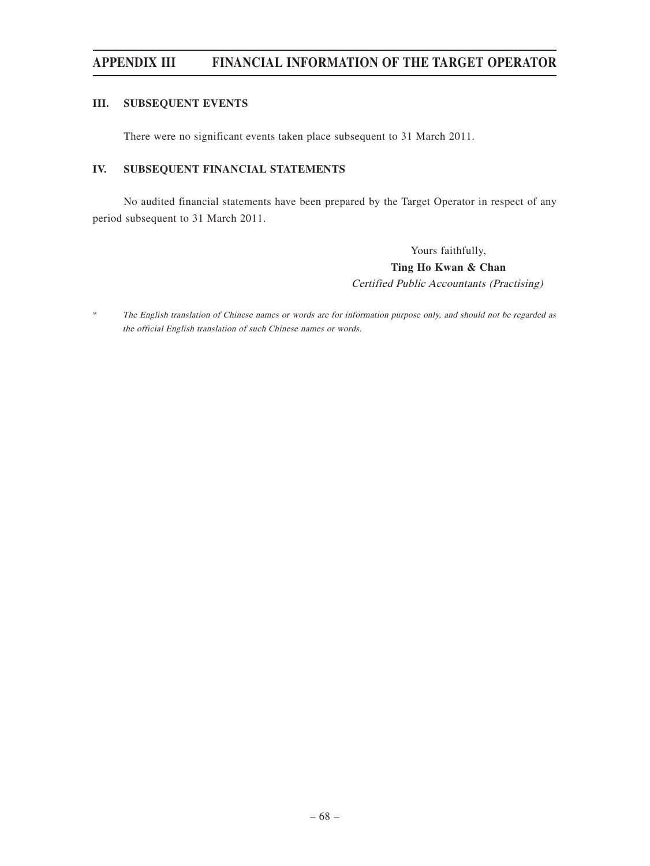#### **III. SUBSEQUENT EVENTS**

There were no significant events taken place subsequent to 31 March 2011.

#### **IV. SUBSEQUENT FINANCIAL STATEMENTS**

No audited financial statements have been prepared by the Target Operator in respect of any period subsequent to 31 March 2011.

> Yours faithfully, **Ting Ho Kwan & Chan** Certified Public Accountants (Practising)

\* The English translation of Chinese names or words are for information purpose only, and should not be regarded as the official English translation of such Chinese names or words.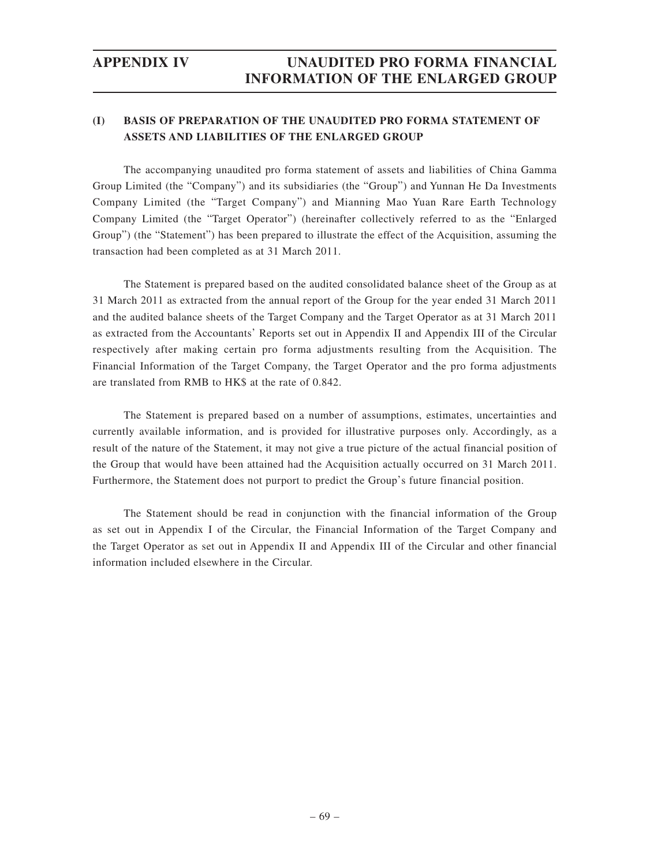# **APPENDIX IV UNAUDITED PRO FORMA FINANCIAL INFORMATION OF THE ENLARGED GROUP**

### **(I) BASIS OF PREPARATION OF THE UNAUDITED PRO FORMA STATEMENT OF ASSETS AND LIABILITIES OF THE ENLARGED GROUP**

The accompanying unaudited pro forma statement of assets and liabilities of China Gamma Group Limited (the "Company") and its subsidiaries (the "Group") and Yunnan He Da Investments Company Limited (the "Target Company") and Mianning Mao Yuan Rare Earth Technology Company Limited (the "Target Operator") (hereinafter collectively referred to as the "Enlarged Group") (the "Statement") has been prepared to illustrate the effect of the Acquisition, assuming the transaction had been completed as at 31 March 2011.

The Statement is prepared based on the audited consolidated balance sheet of the Group as at 31 March 2011 as extracted from the annual report of the Group for the year ended 31 March 2011 and the audited balance sheets of the Target Company and the Target Operator as at 31 March 2011 as extracted from the Accountants' Reports set out in Appendix II and Appendix III of the Circular respectively after making certain pro forma adjustments resulting from the Acquisition. The Financial Information of the Target Company, the Target Operator and the pro forma adjustments are translated from RMB to HK\$ at the rate of 0.842.

The Statement is prepared based on a number of assumptions, estimates, uncertainties and currently available information, and is provided for illustrative purposes only. Accordingly, as a result of the nature of the Statement, it may not give a true picture of the actual financial position of the Group that would have been attained had the Acquisition actually occurred on 31 March 2011. Furthermore, the Statement does not purport to predict the Group's future financial position.

The Statement should be read in conjunction with the financial information of the Group as set out in Appendix I of the Circular, the Financial Information of the Target Company and the Target Operator as set out in Appendix II and Appendix III of the Circular and other financial information included elsewhere in the Circular.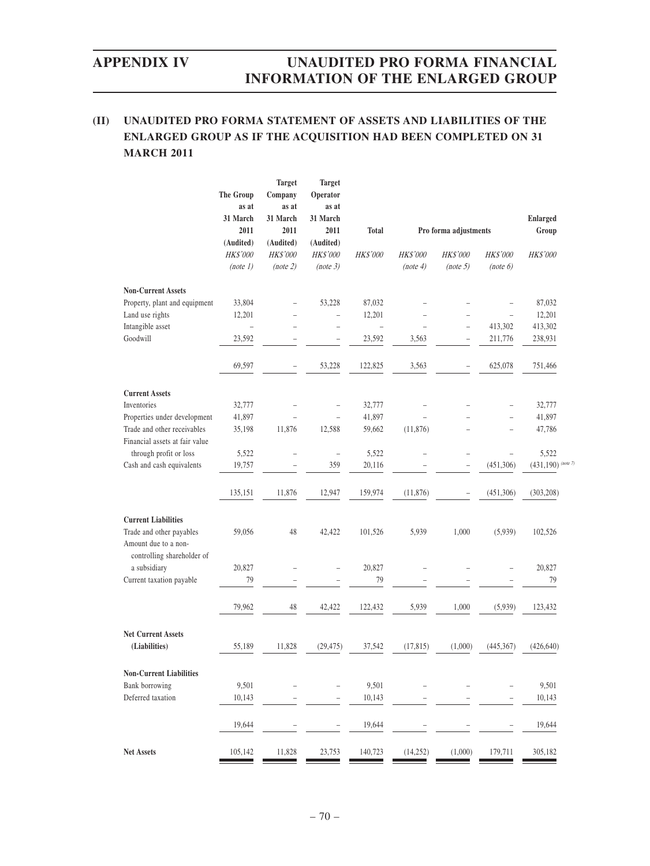# **APPENDIX IV UNAUDITED PRO FORMA FINANCIAL INFORMATION OF THE ENLARGED GROUP**

## **(II) UNAUDITED PRO FORMA STATEMENT OF ASSETS AND LIABILITIES OF THE ENLARGED GROUP AS IF THE ACQUISITION HAD BEEN COMPLETED ON 31 MARCH 2011**

|                                                                                | <b>The Group</b><br>as at<br>31 March<br>2011<br>(Audited)<br><b>HK\$'000</b> | <b>Target</b><br>Company<br>as at<br>31 March<br>2011<br>(Audited)<br><b>HK\$'000</b> | <b>Target</b><br>Operator<br>as at<br>31 March<br>2011<br>(Audited)<br><b>HK\$'000</b> | <b>Total</b><br><b>HK\$'000</b> | <b>HK\$'000</b>          | Pro forma adjustments<br><b>HK\$'000</b> | <b>HK\$'000</b>          | <b>Enlarged</b><br>Group<br><b>HK\$'000</b> |
|--------------------------------------------------------------------------------|-------------------------------------------------------------------------------|---------------------------------------------------------------------------------------|----------------------------------------------------------------------------------------|---------------------------------|--------------------------|------------------------------------------|--------------------------|---------------------------------------------|
|                                                                                | (note 1)                                                                      | (note 2)                                                                              | (note 3)                                                                               |                                 | (note 4)                 | (note 5)                                 | (note 6)                 |                                             |
| <b>Non-Current Assets</b>                                                      |                                                                               |                                                                                       |                                                                                        |                                 |                          |                                          |                          |                                             |
| Property, plant and equipment                                                  | 33,804                                                                        | $\overline{a}$                                                                        | 53,228                                                                                 | 87,032                          |                          | $\overline{\phantom{0}}$                 |                          | 87,032                                      |
| Land use rights                                                                | 12,201                                                                        | $\overline{\phantom{0}}$                                                              | $\qquad \qquad -$                                                                      | 12,201                          |                          |                                          | $\overline{\phantom{0}}$ | 12,201                                      |
| Intangible asset                                                               | $\overline{a}$                                                                |                                                                                       | $\overline{a}$                                                                         | $\overline{a}$                  |                          | $\overline{\phantom{0}}$                 | 413,302                  | 413,302                                     |
| Goodwill                                                                       | 23,592                                                                        | $\overline{\phantom{a}}$                                                              | $\overline{a}$                                                                         | 23,592                          | 3,563                    | $\overline{a}$                           | 211,776                  | 238,931                                     |
|                                                                                | 69,597                                                                        | $\overline{a}$                                                                        | 53,228                                                                                 | 122,825                         | 3,563                    | $\overline{a}$                           | 625,078                  | 751,466                                     |
| <b>Current Assets</b>                                                          |                                                                               |                                                                                       |                                                                                        |                                 |                          |                                          |                          |                                             |
| Inventories                                                                    | 32,777                                                                        |                                                                                       |                                                                                        | 32,777                          |                          | $\overline{a}$                           |                          | 32,777                                      |
| Properties under development                                                   | 41,897                                                                        |                                                                                       | $\overline{\phantom{0}}$                                                               | 41,897                          |                          |                                          | $\overline{a}$           | 41,897                                      |
| Trade and other receivables                                                    | 35,198                                                                        | 11,876                                                                                | 12,588                                                                                 | 59,662                          | (11, 876)                |                                          | $\overline{a}$           | 47,786                                      |
| Financial assets at fair value                                                 |                                                                               |                                                                                       |                                                                                        |                                 |                          |                                          |                          |                                             |
| through profit or loss                                                         | 5,522                                                                         | $\overline{a}$                                                                        | $\overline{\phantom{0}}$                                                               | 5,522                           | $\overline{\phantom{a}}$ | $\overline{\phantom{a}}$                 | $\overline{a}$           | 5,522                                       |
| Cash and cash equivalents                                                      | 19,757                                                                        | $\overline{a}$                                                                        | 359                                                                                    | 20,116                          |                          | $\overline{a}$                           | (451,306)                | $(431, 190)$ (note 7)                       |
|                                                                                | 135,151                                                                       | 11,876                                                                                | 12,947                                                                                 | 159,974                         | (11, 876)                | $\overline{\phantom{a}}$                 | (451, 306)               | (303, 208)                                  |
| <b>Current Liabilities</b><br>Trade and other payables<br>Amount due to a non- | 59,056                                                                        | 48                                                                                    | 42,422                                                                                 | 101,526                         | 5,939                    | 1,000                                    | (5,939)                  | 102,526                                     |
| controlling shareholder of<br>a subsidiary                                     | 20,827                                                                        | $\overline{\phantom{0}}$                                                              | $\overline{a}$                                                                         | 20,827                          | $\overline{a}$           | $\overline{\phantom{0}}$                 |                          | 20,827                                      |
| Current taxation payable                                                       | 79                                                                            | $\overline{a}$                                                                        |                                                                                        | 79                              |                          |                                          |                          | 79                                          |
|                                                                                | 79,962                                                                        | 48                                                                                    | 42,422                                                                                 | 122,432                         | 5,939                    | 1,000                                    | (5,939)                  | 123,432                                     |
| <b>Net Current Assets</b>                                                      |                                                                               |                                                                                       |                                                                                        |                                 |                          |                                          |                          |                                             |
| (Liabilities)                                                                  | 55,189                                                                        | 11,828                                                                                | (29, 475)                                                                              | 37,542                          | (17, 815)                | (1,000)                                  | (445, 367)               | (426, 640)                                  |
| <b>Non-Current Liabilities</b>                                                 |                                                                               |                                                                                       |                                                                                        |                                 |                          |                                          |                          |                                             |
| Bank borrowing                                                                 | 9,501                                                                         |                                                                                       |                                                                                        | 9,501                           |                          |                                          |                          | 9,501                                       |
| Deferred taxation                                                              | 10,143                                                                        |                                                                                       |                                                                                        | 10,143                          |                          |                                          |                          | 10,143                                      |
|                                                                                |                                                                               |                                                                                       |                                                                                        |                                 |                          |                                          |                          |                                             |
|                                                                                | 19,644                                                                        |                                                                                       |                                                                                        | 19,644                          |                          |                                          |                          | 19,644                                      |
| Net Assets                                                                     | 105,142                                                                       | 11,828                                                                                | 23,753                                                                                 | 140,723                         | (14, 252)                | (1,000)                                  | 179,711                  | 305,182                                     |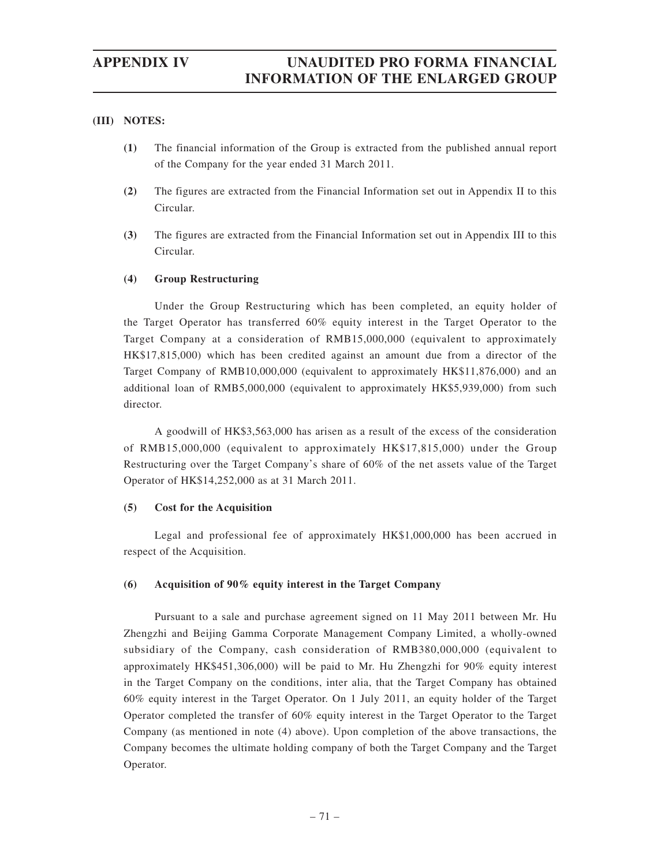#### **(III) NOTES:**

- **(1)** The financial information of the Group is extracted from the published annual report of the Company for the year ended 31 March 2011.
- **(2)** The figures are extracted from the Financial Information set out in Appendix II to this Circular.
- **(3)** The figures are extracted from the Financial Information set out in Appendix III to this Circular.

### **(4) Group Restructuring**

Under the Group Restructuring which has been completed, an equity holder of the Target Operator has transferred 60% equity interest in the Target Operator to the Target Company at a consideration of RMB15,000,000 (equivalent to approximately HK\$17,815,000) which has been credited against an amount due from a director of the Target Company of RMB10,000,000 (equivalent to approximately HK\$11,876,000) and an additional loan of RMB5,000,000 (equivalent to approximately HK\$5,939,000) from such director.

A goodwill of HK\$3,563,000 has arisen as a result of the excess of the consideration of RMB15,000,000 (equivalent to approximately HK\$17,815,000) under the Group Restructuring over the Target Company's share of 60% of the net assets value of the Target Operator of HK\$14,252,000 as at 31 March 2011.

#### **(5) Cost for the Acquisition**

Legal and professional fee of approximately HK\$1,000,000 has been accrued in respect of the Acquisition.

#### **(6) Acquisition of 90% equity interest in the Target Company**

Pursuant to a sale and purchase agreement signed on 11 May 2011 between Mr. Hu Zhengzhi and Beijing Gamma Corporate Management Company Limited, a wholly-owned subsidiary of the Company, cash consideration of RMB380,000,000 (equivalent to approximately HK\$451,306,000) will be paid to Mr. Hu Zhengzhi for 90% equity interest in the Target Company on the conditions, inter alia, that the Target Company has obtained 60% equity interest in the Target Operator. On 1 July 2011, an equity holder of the Target Operator completed the transfer of 60% equity interest in the Target Operator to the Target Company (as mentioned in note (4) above). Upon completion of the above transactions, the Company becomes the ultimate holding company of both the Target Company and the Target Operator.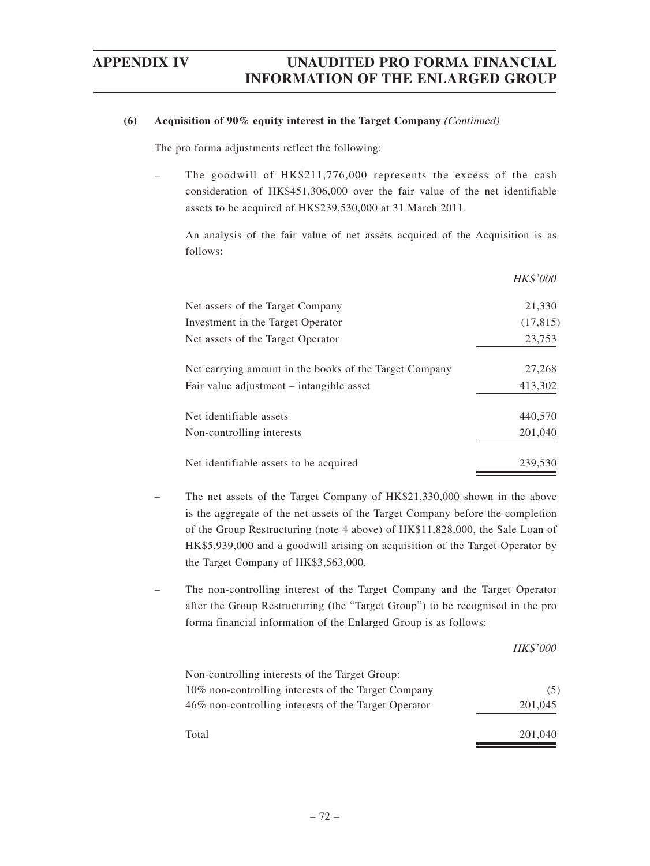### **(6) Acquisition of 90% equity interest in the Target Company** (Continued)

The pro forma adjustments reflect the following:

The goodwill of HK\$211,776,000 represents the excess of the cash consideration of HK\$451,306,000 over the fair value of the net identifiable assets to be acquired of HK\$239,530,000 at 31 March 2011.

An analysis of the fair value of net assets acquired of the Acquisition is as follows:

|                                                        | <b>HK\$'000</b> |
|--------------------------------------------------------|-----------------|
| Net assets of the Target Company                       | 21,330          |
| Investment in the Target Operator                      | (17, 815)       |
| Net assets of the Target Operator                      | 23,753          |
| Net carrying amount in the books of the Target Company | 27,268          |
| Fair value adjustment – intangible asset               | 413,302         |
| Net identifiable assets                                | 440,570         |
| Non-controlling interests                              | 201,040         |
| Net identifiable assets to be acquired                 | 239,530         |

- The net assets of the Target Company of HK\$21,330,000 shown in the above is the aggregate of the net assets of the Target Company before the completion of the Group Restructuring (note 4 above) of HK\$11,828,000, the Sale Loan of HK\$5,939,000 and a goodwill arising on acquisition of the Target Operator by the Target Company of HK\$3,563,000.
- The non-controlling interest of the Target Company and the Target Operator after the Group Restructuring (the "Target Group") to be recognised in the pro forma financial information of the Enlarged Group is as follows:

|                                                      | <b>HK\$'000</b> |
|------------------------------------------------------|-----------------|
| Non-controlling interests of the Target Group:       |                 |
| 10% non-controlling interests of the Target Company  | (5)             |
| 46% non-controlling interests of the Target Operator | 201,045         |
| Total                                                | 201,040         |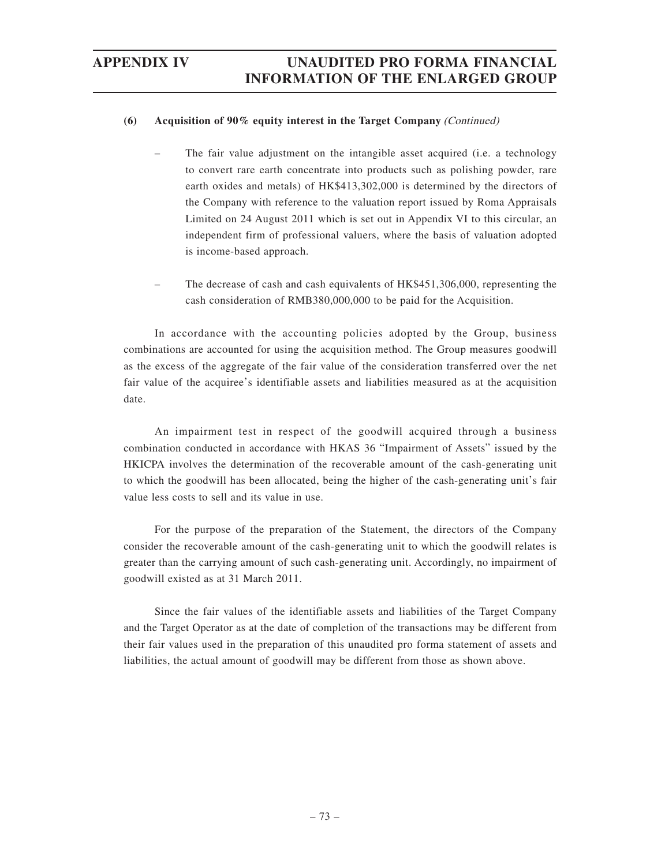### **(6) Acquisition of 90% equity interest in the Target Company** (Continued)

- The fair value adjustment on the intangible asset acquired (i.e. a technology to convert rare earth concentrate into products such as polishing powder, rare earth oxides and metals) of HK\$413,302,000 is determined by the directors of the Company with reference to the valuation report issued by Roma Appraisals Limited on 24 August 2011 which is set out in Appendix VI to this circular, an independent firm of professional valuers, where the basis of valuation adopted is income-based approach.
- The decrease of cash and cash equivalents of HK\$451,306,000, representing the cash consideration of RMB380,000,000 to be paid for the Acquisition.

In accordance with the accounting policies adopted by the Group, business combinations are accounted for using the acquisition method. The Group measures goodwill as the excess of the aggregate of the fair value of the consideration transferred over the net fair value of the acquiree's identifiable assets and liabilities measured as at the acquisition date.

An impairment test in respect of the goodwill acquired through a business combination conducted in accordance with HKAS 36 "Impairment of Assets" issued by the HKICPA involves the determination of the recoverable amount of the cash-generating unit to which the goodwill has been allocated, being the higher of the cash-generating unit's fair value less costs to sell and its value in use.

For the purpose of the preparation of the Statement, the directors of the Company consider the recoverable amount of the cash-generating unit to which the goodwill relates is greater than the carrying amount of such cash-generating unit. Accordingly, no impairment of goodwill existed as at 31 March 2011.

Since the fair values of the identifiable assets and liabilities of the Target Company and the Target Operator as at the date of completion of the transactions may be different from their fair values used in the preparation of this unaudited pro forma statement of assets and liabilities, the actual amount of goodwill may be different from those as shown above.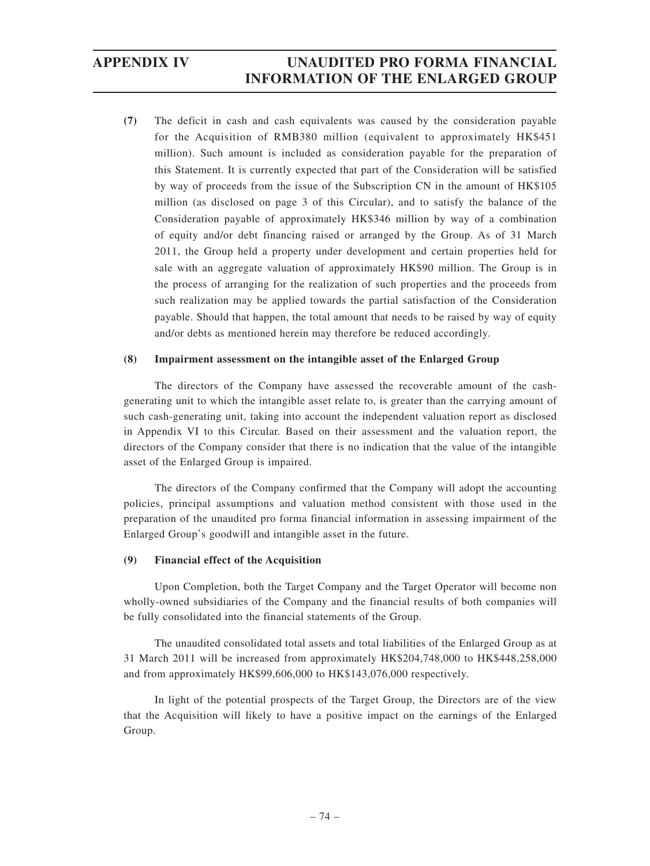**(7)** The deficit in cash and cash equivalents was caused by the consideration payable for the Acquisition of RMB380 million (equivalent to approximately HK\$451 million). Such amount is included as consideration payable for the preparation of this Statement. It is currently expected that part of the Consideration will be satisfied by way of proceeds from the issue of the Subscription CN in the amount of HK\$105 million (as disclosed on page 3 of this Circular), and to satisfy the balance of the Consideration payable of approximately HK\$346 million by way of a combination of equity and/or debt financing raised or arranged by the Group. As of 31 March 2011, the Group held a property under development and certain properties held for sale with an aggregate valuation of approximately HK\$90 million. The Group is in the process of arranging for the realization of such properties and the proceeds from such realization may be applied towards the partial satisfaction of the Consideration payable. Should that happen, the total amount that needs to be raised by way of equity and/or debts as mentioned herein may therefore be reduced accordingly.

### **(8) Impairment assessment on the intangible asset of the Enlarged Group**

The directors of the Company have assessed the recoverable amount of the cashgenerating unit to which the intangible asset relate to, is greater than the carrying amount of such cash-generating unit, taking into account the independent valuation report as disclosed in Appendix VI to this Circular. Based on their assessment and the valuation report, the directors of the Company consider that there is no indication that the value of the intangible asset of the Enlarged Group is impaired.

The directors of the Company confirmed that the Company will adopt the accounting policies, principal assumptions and valuation method consistent with those used in the preparation of the unaudited pro forma financial information in assessing impairment of the Enlarged Group's goodwill and intangible asset in the future.

### **(9) Financial effect of the Acquisition**

Upon Completion, both the Target Company and the Target Operator will become non wholly-owned subsidiaries of the Company and the financial results of both companies will be fully consolidated into the financial statements of the Group.

The unaudited consolidated total assets and total liabilities of the Enlarged Group as at 31 March 2011 will be increased from approximately HK\$204,748,000 to HK\$448,258,000 and from approximately HK\$99,606,000 to HK\$143,076,000 respectively.

In light of the potential prospects of the Target Group, the Directors are of the view that the Acquisition will likely to have a positive impact on the earnings of the Enlarged Group.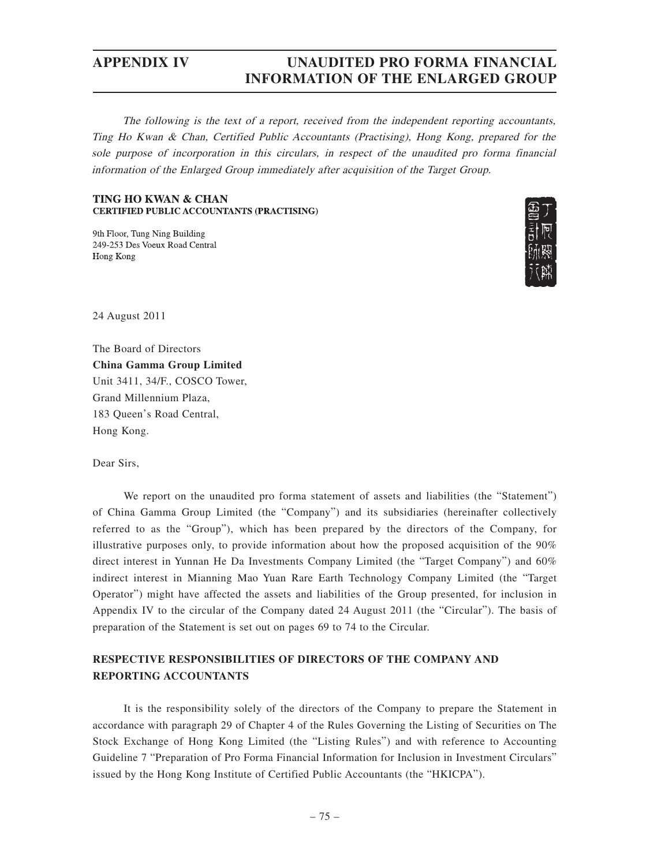The following is the text of a report, received from the independent reporting accountants, Ting Ho Kwan & Chan, Certified Public Accountants (Practising), Hong Kong, prepared for the sole purpose of incorporation in this circulars, in respect of the unaudited pro forma financial information of the Enlarged Group immediately after acquisition of the Target Group.

#### **TING HO KWAN & CHAN CERTIFIED PUBLIC ACCOUNTANTS (PRACTISING)**

9th Floor, Tung Ning Building 249-253 Des Voeux Road Central Hong Kong



24 August 2011

The Board of Directors **China Gamma Group Limited** Unit 3411, 34/F., COSCO Tower, Grand Millennium Plaza, 183 Queen's Road Central, Hong Kong.

Dear Sirs,

We report on the unaudited pro forma statement of assets and liabilities (the "Statement") of China Gamma Group Limited (the "Company") and its subsidiaries (hereinafter collectively referred to as the "Group"), which has been prepared by the directors of the Company, for illustrative purposes only, to provide information about how the proposed acquisition of the 90% direct interest in Yunnan He Da Investments Company Limited (the "Target Company") and 60% indirect interest in Mianning Mao Yuan Rare Earth Technology Company Limited (the "Target Operator") might have affected the assets and liabilities of the Group presented, for inclusion in Appendix IV to the circular of the Company dated 24 August 2011 (the "Circular"). The basis of preparation of the Statement is set out on pages 69 to 74 to the Circular.

### **RESPECTIVE RESPONSIBILITIES OF DIRECTORS OF THE COMPANY AND REPORTING ACCOUNTANTS**

It is the responsibility solely of the directors of the Company to prepare the Statement in accordance with paragraph 29 of Chapter 4 of the Rules Governing the Listing of Securities on The Stock Exchange of Hong Kong Limited (the "Listing Rules") and with reference to Accounting Guideline 7 "Preparation of Pro Forma Financial Information for Inclusion in Investment Circulars" issued by the Hong Kong Institute of Certified Public Accountants (the "HKICPA").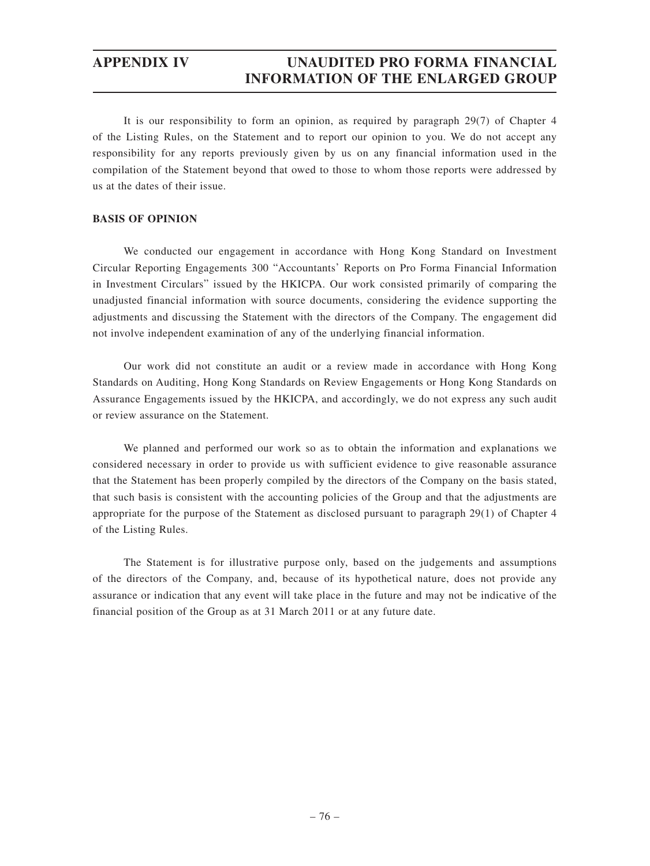It is our responsibility to form an opinion, as required by paragraph 29(7) of Chapter 4 of the Listing Rules, on the Statement and to report our opinion to you. We do not accept any responsibility for any reports previously given by us on any financial information used in the compilation of the Statement beyond that owed to those to whom those reports were addressed by us at the dates of their issue.

### **BASIS OF OPINION**

We conducted our engagement in accordance with Hong Kong Standard on Investment Circular Reporting Engagements 300 "Accountants' Reports on Pro Forma Financial Information in Investment Circulars" issued by the HKICPA. Our work consisted primarily of comparing the unadjusted financial information with source documents, considering the evidence supporting the adjustments and discussing the Statement with the directors of the Company. The engagement did not involve independent examination of any of the underlying financial information.

Our work did not constitute an audit or a review made in accordance with Hong Kong Standards on Auditing, Hong Kong Standards on Review Engagements or Hong Kong Standards on Assurance Engagements issued by the HKICPA, and accordingly, we do not express any such audit or review assurance on the Statement.

We planned and performed our work so as to obtain the information and explanations we considered necessary in order to provide us with sufficient evidence to give reasonable assurance that the Statement has been properly compiled by the directors of the Company on the basis stated, that such basis is consistent with the accounting policies of the Group and that the adjustments are appropriate for the purpose of the Statement as disclosed pursuant to paragraph 29(1) of Chapter 4 of the Listing Rules.

The Statement is for illustrative purpose only, based on the judgements and assumptions of the directors of the Company, and, because of its hypothetical nature, does not provide any assurance or indication that any event will take place in the future and may not be indicative of the financial position of the Group as at 31 March 2011 or at any future date.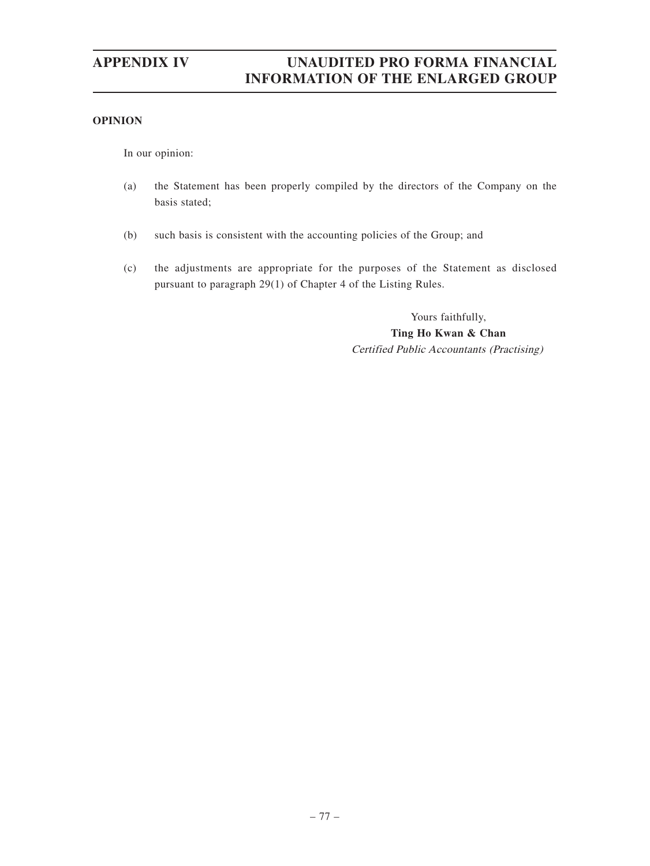### **OPINION**

In our opinion:

- (a) the Statement has been properly compiled by the directors of the Company on the basis stated;
- (b) such basis is consistent with the accounting policies of the Group; and
- (c) the adjustments are appropriate for the purposes of the Statement as disclosed pursuant to paragraph 29(1) of Chapter 4 of the Listing Rules.

Yours faithfully, **Ting Ho Kwan & Chan** Certified Public Accountants (Practising)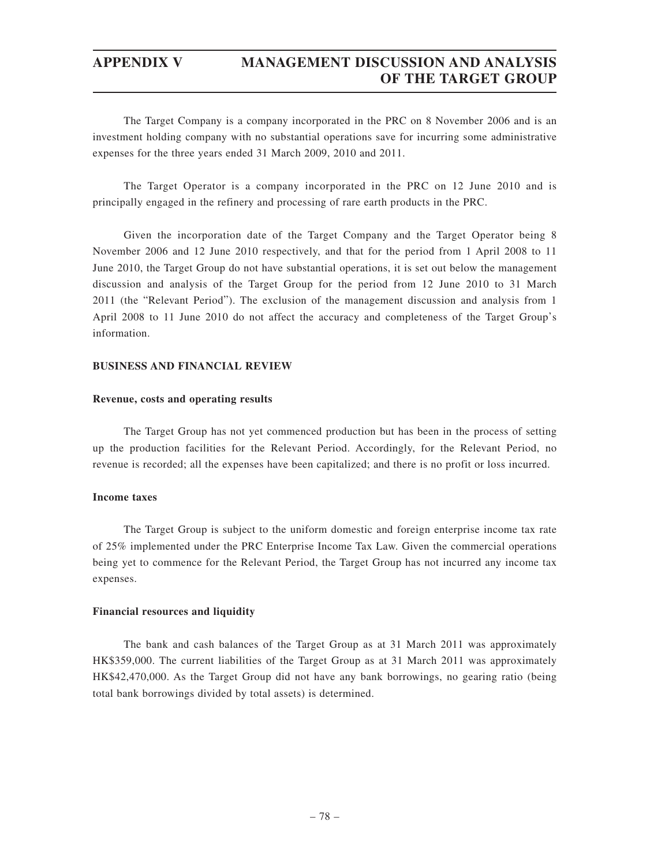## **APPENDIX V MANAGEMENT DISCUSSION AND ANALYSIS OF THE TARGET GROUP**

The Target Company is a company incorporated in the PRC on 8 November 2006 and is an investment holding company with no substantial operations save for incurring some administrative expenses for the three years ended 31 March 2009, 2010 and 2011.

The Target Operator is a company incorporated in the PRC on 12 June 2010 and is principally engaged in the refinery and processing of rare earth products in the PRC.

Given the incorporation date of the Target Company and the Target Operator being 8 November 2006 and 12 June 2010 respectively, and that for the period from 1 April 2008 to 11 June 2010, the Target Group do not have substantial operations, it is set out below the management discussion and analysis of the Target Group for the period from 12 June 2010 to 31 March 2011 (the "Relevant Period"). The exclusion of the management discussion and analysis from 1 April 2008 to 11 June 2010 do not affect the accuracy and completeness of the Target Group's information.

### **BUSINESS AND FINANCIAL REVIEW**

#### **Revenue, costs and operating results**

The Target Group has not yet commenced production but has been in the process of setting up the production facilities for the Relevant Period. Accordingly, for the Relevant Period, no revenue is recorded; all the expenses have been capitalized; and there is no profit or loss incurred.

#### **Income taxes**

The Target Group is subject to the uniform domestic and foreign enterprise income tax rate of 25% implemented under the PRC Enterprise Income Tax Law. Given the commercial operations being yet to commence for the Relevant Period, the Target Group has not incurred any income tax expenses.

#### **Financial resources and liquidity**

The bank and cash balances of the Target Group as at 31 March 2011 was approximately HK\$359,000. The current liabilities of the Target Group as at 31 March 2011 was approximately HK\$42,470,000. As the Target Group did not have any bank borrowings, no gearing ratio (being total bank borrowings divided by total assets) is determined.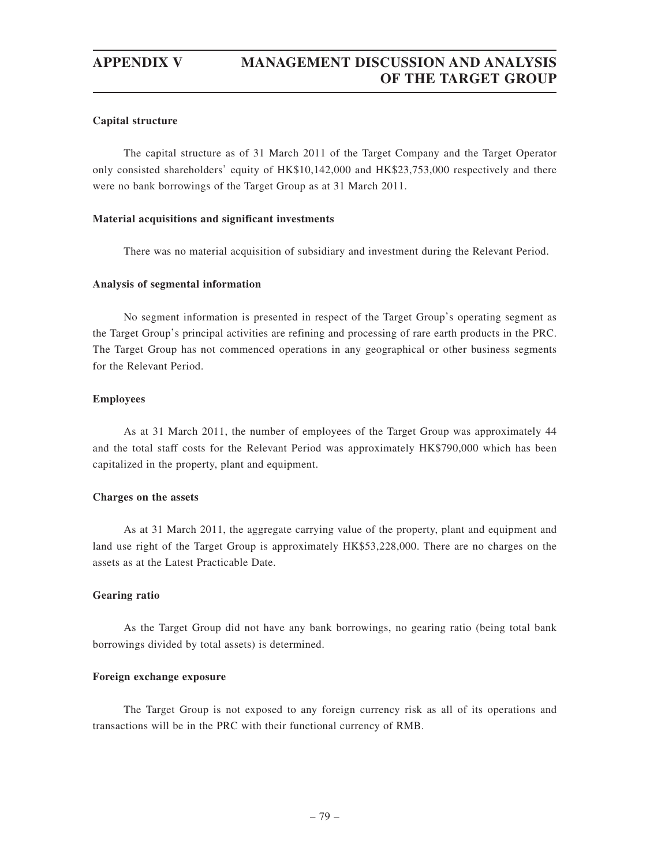# **APPENDIX V MANAGEMENT DISCUSSION AND ANALYSIS OF THE TARGET GROUP**

#### **Capital structure**

The capital structure as of 31 March 2011 of the Target Company and the Target Operator only consisted shareholders' equity of HK\$10,142,000 and HK\$23,753,000 respectively and there were no bank borrowings of the Target Group as at 31 March 2011.

#### **Material acquisitions and significant investments**

There was no material acquisition of subsidiary and investment during the Relevant Period.

#### **Analysis of segmental information**

No segment information is presented in respect of the Target Group's operating segment as the Target Group's principal activities are refining and processing of rare earth products in the PRC. The Target Group has not commenced operations in any geographical or other business segments for the Relevant Period.

#### **Employees**

As at 31 March 2011, the number of employees of the Target Group was approximately 44 and the total staff costs for the Relevant Period was approximately HK\$790,000 which has been capitalized in the property, plant and equipment.

#### **Charges on the assets**

As at 31 March 2011, the aggregate carrying value of the property, plant and equipment and land use right of the Target Group is approximately HK\$53,228,000. There are no charges on the assets as at the Latest Practicable Date.

#### **Gearing ratio**

As the Target Group did not have any bank borrowings, no gearing ratio (being total bank borrowings divided by total assets) is determined.

#### **Foreign exchange exposure**

The Target Group is not exposed to any foreign currency risk as all of its operations and transactions will be in the PRC with their functional currency of RMB.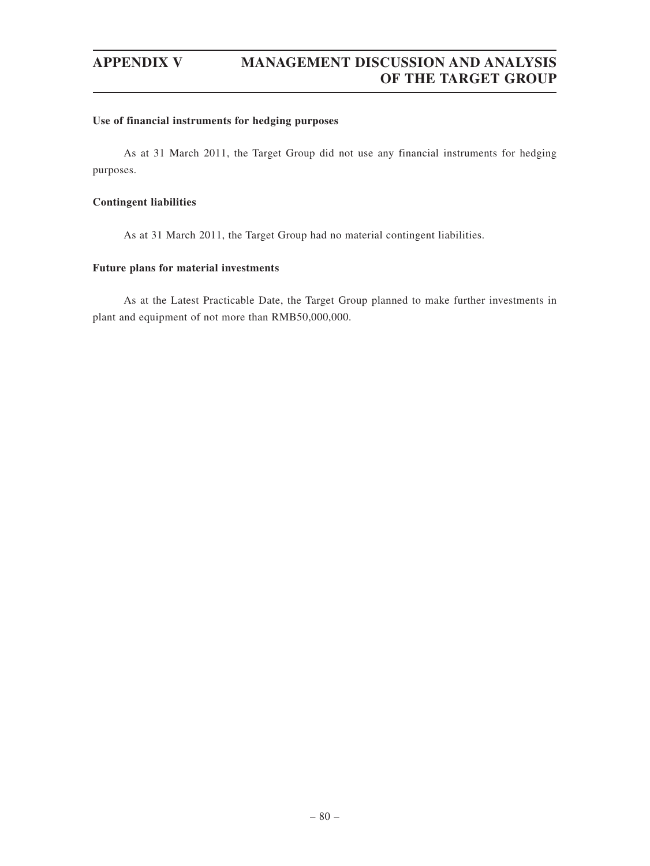## **APPENDIX V MANAGEMENT DISCUSSION AND ANALYSIS OF THE TARGET GROUP**

#### **Use of financial instruments for hedging purposes**

As at 31 March 2011, the Target Group did not use any financial instruments for hedging purposes.

### **Contingent liabilities**

As at 31 March 2011, the Target Group had no material contingent liabilities.

#### **Future plans for material investments**

As at the Latest Practicable Date, the Target Group planned to make further investments in plant and equipment of not more than RMB50,000,000.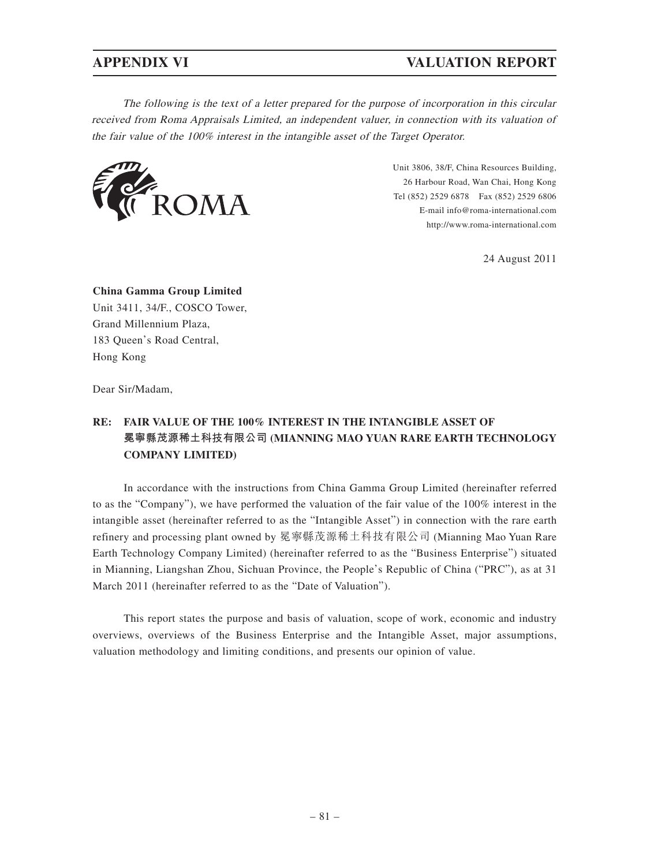## **APPENDIX VI VALUATION REPORT**

The following is the text of a letter prepared for the purpose of incorporation in this circular received from Roma Appraisals Limited, an independent valuer, in connection with its valuation of the fair value of the 100% interest in the intangible asset of the Target Operator.



Unit 3806, 38/F, China Resources Building, 26 Harbour Road, Wan Chai, Hong Kong Tel (852) 2529 6878 Fax (852) 2529 6806 E-mail info@roma-international.com http://www.roma-international.com

24 August 2011

**China Gamma Group Limited** Unit 3411, 34/F., COSCO Tower, Grand Millennium Plaza, 183 Queen's Road Central, Hong Kong

Dear Sir/Madam,

## **RE: FAIR VALUE OF THE 100% INTEREST IN THE INTANGIBLE ASSET OF 冕寧縣茂源稀土科技有限公司 (MIANNING MAO YUAN RARE EARTH TECHNOLOGY COMPANY LIMITED)**

In accordance with the instructions from China Gamma Group Limited (hereinafter referred to as the "Company"), we have performed the valuation of the fair value of the 100% interest in the intangible asset (hereinafter referred to as the "Intangible Asset") in connection with the rare earth refinery and processing plant owned by 冕寧縣茂源稀土科技有限公司 (Mianning Mao Yuan Rare Earth Technology Company Limited) (hereinafter referred to as the "Business Enterprise") situated in Mianning, Liangshan Zhou, Sichuan Province, the People's Republic of China ("PRC"), as at 31 March 2011 (hereinafter referred to as the "Date of Valuation").

This report states the purpose and basis of valuation, scope of work, economic and industry overviews, overviews of the Business Enterprise and the Intangible Asset, major assumptions, valuation methodology and limiting conditions, and presents our opinion of value.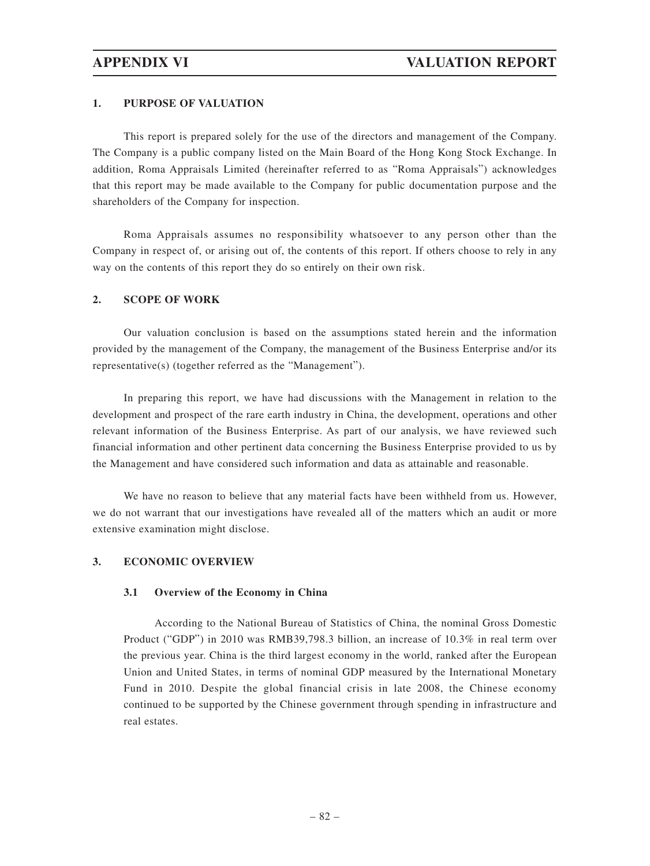### **1. PURPOSE OF VALUATION**

This report is prepared solely for the use of the directors and management of the Company. The Company is a public company listed on the Main Board of the Hong Kong Stock Exchange. In addition, Roma Appraisals Limited (hereinafter referred to as "Roma Appraisals") acknowledges that this report may be made available to the Company for public documentation purpose and the shareholders of the Company for inspection.

Roma Appraisals assumes no responsibility whatsoever to any person other than the Company in respect of, or arising out of, the contents of this report. If others choose to rely in any way on the contents of this report they do so entirely on their own risk.

### **2. SCOPE OF WORK**

Our valuation conclusion is based on the assumptions stated herein and the information provided by the management of the Company, the management of the Business Enterprise and/or its representative(s) (together referred as the "Management").

In preparing this report, we have had discussions with the Management in relation to the development and prospect of the rare earth industry in China, the development, operations and other relevant information of the Business Enterprise. As part of our analysis, we have reviewed such financial information and other pertinent data concerning the Business Enterprise provided to us by the Management and have considered such information and data as attainable and reasonable.

We have no reason to believe that any material facts have been withheld from us. However, we do not warrant that our investigations have revealed all of the matters which an audit or more extensive examination might disclose.

#### **3. ECONOMIC OVERVIEW**

#### **3.1 Overview of the Economy in China**

According to the National Bureau of Statistics of China, the nominal Gross Domestic Product ("GDP") in 2010 was RMB39,798.3 billion, an increase of 10.3% in real term over the previous year. China is the third largest economy in the world, ranked after the European Union and United States, in terms of nominal GDP measured by the International Monetary Fund in 2010. Despite the global financial crisis in late 2008, the Chinese economy continued to be supported by the Chinese government through spending in infrastructure and real estates.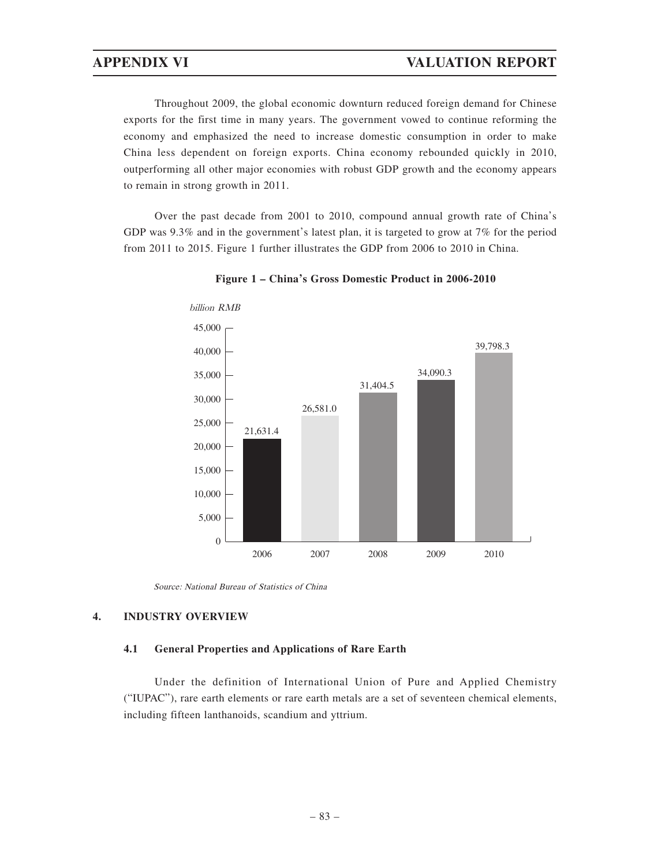Throughout 2009, the global economic downturn reduced foreign demand for Chinese exports for the first time in many years. The government vowed to continue reforming the economy and emphasized the need to increase domestic consumption in order to make China less dependent on foreign exports. China economy rebounded quickly in 2010, outperforming all other major economies with robust GDP growth and the economy appears to remain in strong growth in 2011.

Over the past decade from 2001 to 2010, compound annual growth rate of China's GDP was 9.3% and in the government's latest plan, it is targeted to grow at 7% for the period from 2011 to 2015. Figure 1 further illustrates the GDP from 2006 to 2010 in China.



**Figure 1 – China's Gross Domestic Product in 2006-2010**

Source: National Bureau of Statistics of China

### **4. INDUSTRY OVERVIEW**

#### **4.1 General Properties and Applications of Rare Earth**

Under the definition of International Union of Pure and Applied Chemistry ("IUPAC"), rare earth elements or rare earth metals are a set of seventeen chemical elements, including fifteen lanthanoids, scandium and yttrium.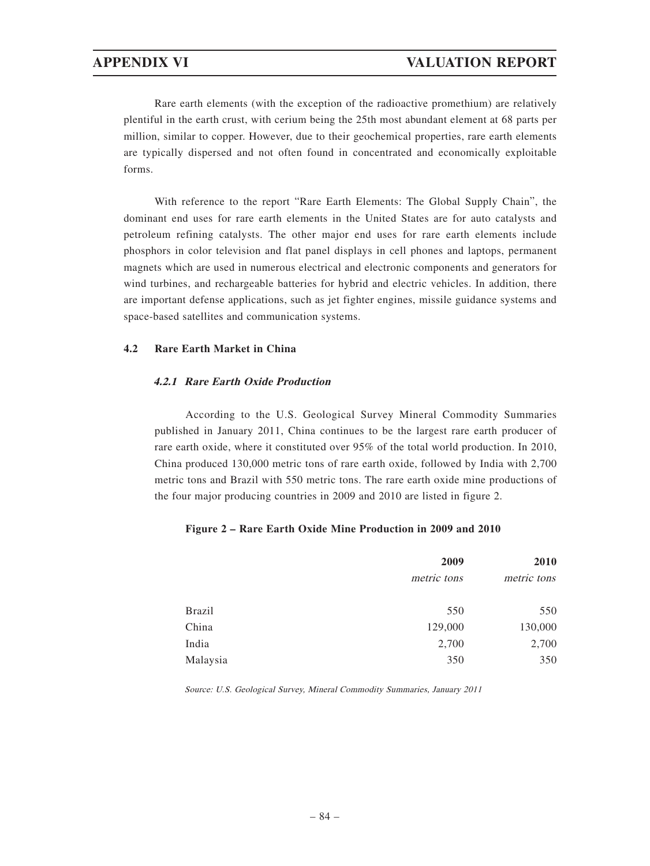Rare earth elements (with the exception of the radioactive promethium) are relatively plentiful in the earth crust, with cerium being the 25th most abundant element at 68 parts per million, similar to copper. However, due to their geochemical properties, rare earth elements are typically dispersed and not often found in concentrated and economically exploitable forms.

With reference to the report "Rare Earth Elements: The Global Supply Chain", the dominant end uses for rare earth elements in the United States are for auto catalysts and petroleum refining catalysts. The other major end uses for rare earth elements include phosphors in color television and flat panel displays in cell phones and laptops, permanent magnets which are used in numerous electrical and electronic components and generators for wind turbines, and rechargeable batteries for hybrid and electric vehicles. In addition, there are important defense applications, such as jet fighter engines, missile guidance systems and space-based satellites and communication systems.

### **4.2 Rare Earth Market in China**

### **4.2.1 Rare Earth Oxide Production**

According to the U.S. Geological Survey Mineral Commodity Summaries published in January 2011, China continues to be the largest rare earth producer of rare earth oxide, where it constituted over 95% of the total world production. In 2010, China produced 130,000 metric tons of rare earth oxide, followed by India with 2,700 metric tons and Brazil with 550 metric tons. The rare earth oxide mine productions of the four major producing countries in 2009 and 2010 are listed in figure 2.

#### **Figure 2 – Rare Earth Oxide Mine Production in 2009 and 2010**

| 2009        |             |
|-------------|-------------|
| metric tons | metric tons |
| 550         | 550         |
| 129,000     | 130,000     |
| 2,700       | 2,700       |
| 350         | 350         |
|             |             |

Source: U.S. Geological Survey, Mineral Commodity Summaries, January 2011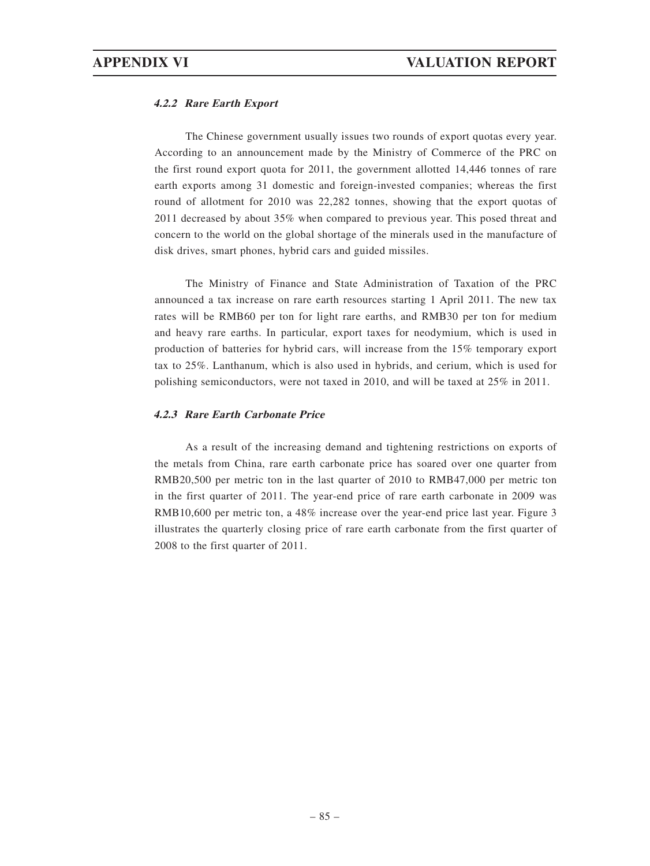### **4.2.2 Rare Earth Export**

The Chinese government usually issues two rounds of export quotas every year. According to an announcement made by the Ministry of Commerce of the PRC on the first round export quota for 2011, the government allotted 14,446 tonnes of rare earth exports among 31 domestic and foreign-invested companies; whereas the first round of allotment for 2010 was 22,282 tonnes, showing that the export quotas of 2011 decreased by about 35% when compared to previous year. This posed threat and concern to the world on the global shortage of the minerals used in the manufacture of disk drives, smart phones, hybrid cars and guided missiles.

The Ministry of Finance and State Administration of Taxation of the PRC announced a tax increase on rare earth resources starting 1 April 2011. The new tax rates will be RMB60 per ton for light rare earths, and RMB30 per ton for medium and heavy rare earths. In particular, export taxes for neodymium, which is used in production of batteries for hybrid cars, will increase from the 15% temporary export tax to 25%. Lanthanum, which is also used in hybrids, and cerium, which is used for polishing semiconductors, were not taxed in 2010, and will be taxed at 25% in 2011.

### **4.2.3 Rare Earth Carbonate Price**

As a result of the increasing demand and tightening restrictions on exports of the metals from China, rare earth carbonate price has soared over one quarter from RMB20,500 per metric ton in the last quarter of 2010 to RMB47,000 per metric ton in the first quarter of 2011. The year-end price of rare earth carbonate in 2009 was RMB10,600 per metric ton, a 48% increase over the year-end price last year. Figure 3 illustrates the quarterly closing price of rare earth carbonate from the first quarter of 2008 to the first quarter of 2011.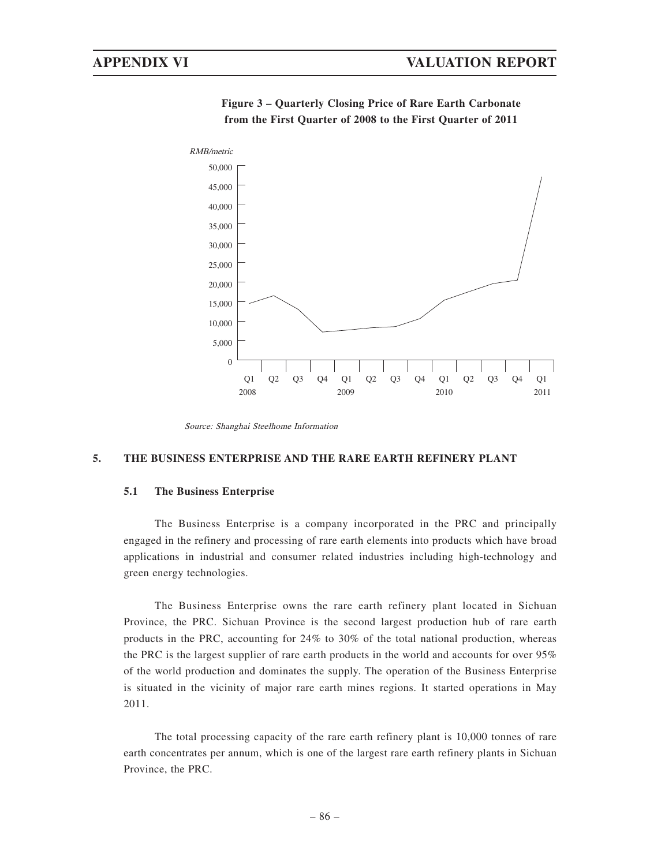

**Figure 3 – Quarterly Closing Price of Rare Earth Carbonate from the First Quarter of 2008 to the First Quarter of 2011**

#### **5. THE BUSINESS ENTERPRISE AND THE RARE EARTH REFINERY PLANT**

#### **5.1 The Business Enterprise**

The Business Enterprise is a company incorporated in the PRC and principally engaged in the refinery and processing of rare earth elements into products which have broad applications in industrial and consumer related industries including high-technology and green energy technologies.

The Business Enterprise owns the rare earth refinery plant located in Sichuan Province, the PRC. Sichuan Province is the second largest production hub of rare earth products in the PRC, accounting for 24% to 30% of the total national production, whereas the PRC is the largest supplier of rare earth products in the world and accounts for over 95% of the world production and dominates the supply. The operation of the Business Enterprise is situated in the vicinity of major rare earth mines regions. It started operations in May 2011.

The total processing capacity of the rare earth refinery plant is 10,000 tonnes of rare earth concentrates per annum, which is one of the largest rare earth refinery plants in Sichuan Province, the PRC.

Source: Shanghai Steelhome Information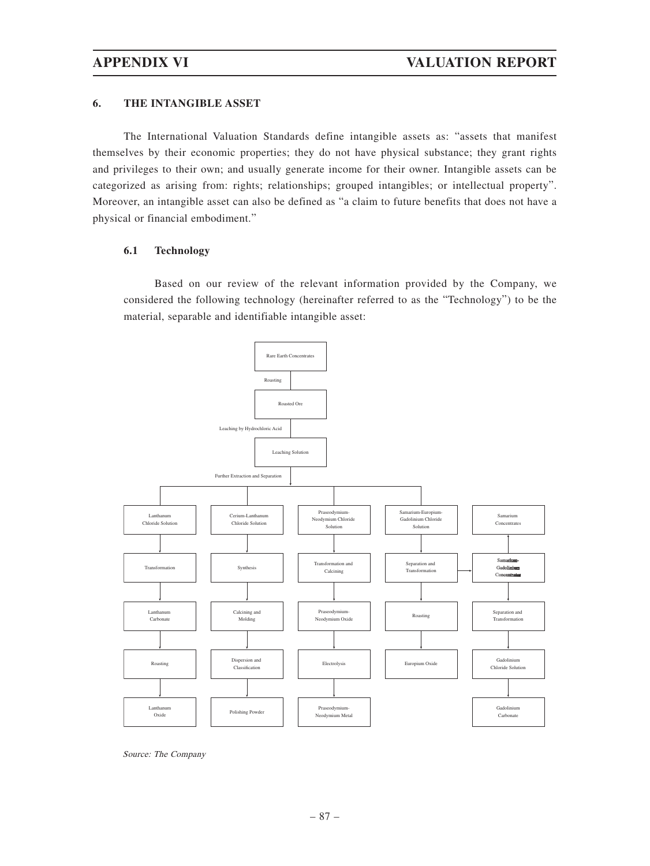#### **6. THE INTANGIBLE ASSET**

The International Valuation Standards define intangible assets as: "assets that manifest themselves by their economic properties; they do not have physical substance; they grant rights and privileges to their own; and usually generate income for their owner. Intangible assets can be categorized as arising from: rights; relationships; grouped intangibles; or intellectual property". Moreover, an intangible asset can also be defined as "a claim to future benefits that does not have a physical or financial embodiment."

#### **6.1 Technology**

Based on our review of the relevant information provided by the Company, we considered the following technology (hereinafter referred to as the "Technology") to be the material, separable and identifiable intangible asset:



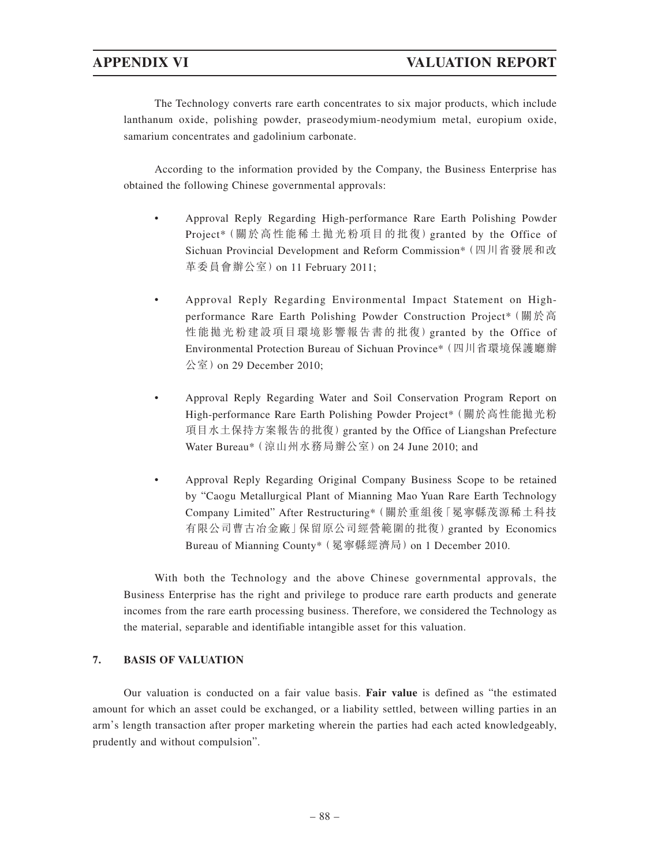The Technology converts rare earth concentrates to six major products, which include lanthanum oxide, polishing powder, praseodymium-neodymium metal, europium oxide, samarium concentrates and gadolinium carbonate.

According to the information provided by the Company, the Business Enterprise has obtained the following Chinese governmental approvals:

- Approval Reply Regarding High-performance Rare Earth Polishing Powder Project\*(關於高性能稀土拋光粉項目的批復)granted by the Office of Sichuan Provincial Development and Reform Commission\*(四川省發展和改 革委員會辦公室)on 11 February 2011;
- Approval Reply Regarding Environmental Impact Statement on Highperformance Rare Earth Polishing Powder Construction Project\* (關於高 性能拋光粉建設項目環境影響報告書的批復)granted by the Office of Environmental Protection Bureau of Sichuan Province\*(四川省環境保護廳辦 公室)on 29 December 2010;
- Approval Reply Regarding Water and Soil Conservation Program Report on High-performance Rare Earth Polishing Powder Project\* (關於高性能拋光粉 項目水土保持方案報告的批復)granted by the Office of Liangshan Prefecture Water Bureau\* (涼山州水務局辦公室) on 24 June 2010; and
- Approval Reply Regarding Original Company Business Scope to be retained by "Caogu Metallurgical Plant of Mianning Mao Yuan Rare Earth Technology Company Limited" After Restructuring\*(關於重組後「冕寧縣茂源稀土科技 有限公司曹古冶金廠」保留原公司經營範圍的批復)granted by Economics Bureau of Mianning County\* (冕寧縣經濟局) on 1 December 2010.

With both the Technology and the above Chinese governmental approvals, the Business Enterprise has the right and privilege to produce rare earth products and generate incomes from the rare earth processing business. Therefore, we considered the Technology as the material, separable and identifiable intangible asset for this valuation.

### **7. BASIS OF VALUATION**

Our valuation is conducted on a fair value basis. **Fair value** is defined as "the estimated amount for which an asset could be exchanged, or a liability settled, between willing parties in an arm's length transaction after proper marketing wherein the parties had each acted knowledgeably, prudently and without compulsion".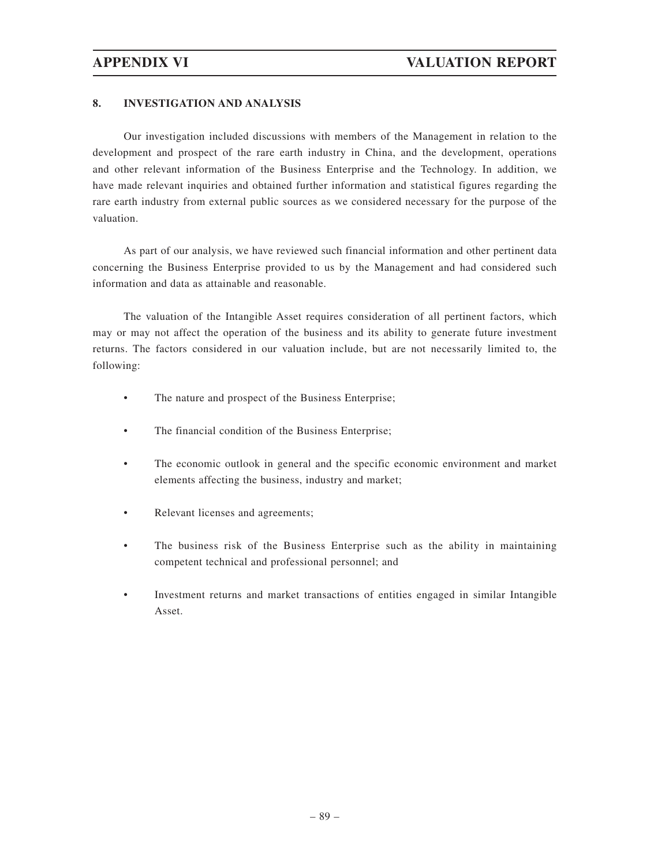### **8. INVESTIGATION AND ANALYSIS**

Our investigation included discussions with members of the Management in relation to the development and prospect of the rare earth industry in China, and the development, operations and other relevant information of the Business Enterprise and the Technology. In addition, we have made relevant inquiries and obtained further information and statistical figures regarding the rare earth industry from external public sources as we considered necessary for the purpose of the valuation.

As part of our analysis, we have reviewed such financial information and other pertinent data concerning the Business Enterprise provided to us by the Management and had considered such information and data as attainable and reasonable.

The valuation of the Intangible Asset requires consideration of all pertinent factors, which may or may not affect the operation of the business and its ability to generate future investment returns. The factors considered in our valuation include, but are not necessarily limited to, the following:

- The nature and prospect of the Business Enterprise;
- The financial condition of the Business Enterprise;
- The economic outlook in general and the specific economic environment and market elements affecting the business, industry and market;
- Relevant licenses and agreements;
- The business risk of the Business Enterprise such as the ability in maintaining competent technical and professional personnel; and
- Investment returns and market transactions of entities engaged in similar Intangible Asset.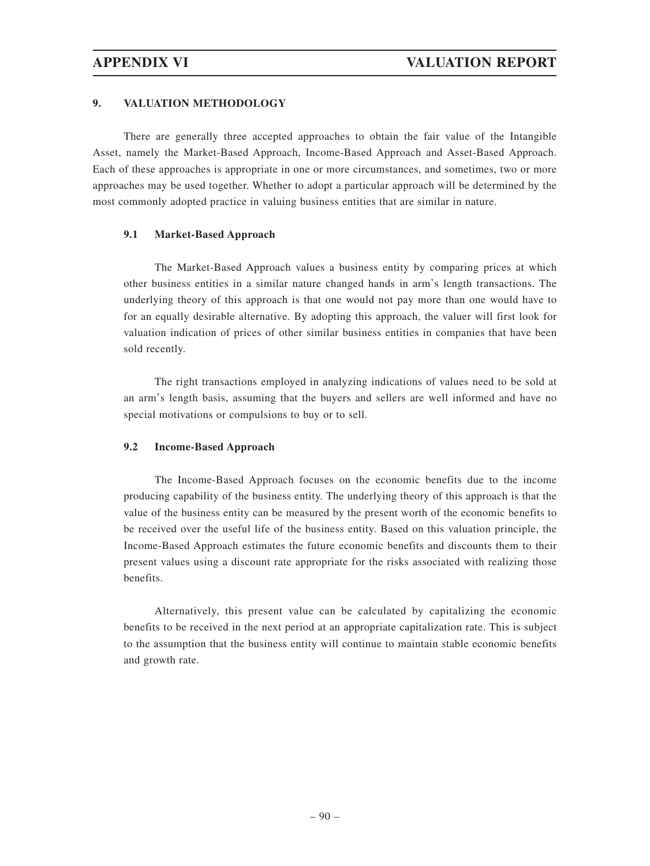### **9. VALUATION METHODOLOGY**

There are generally three accepted approaches to obtain the fair value of the Intangible Asset, namely the Market-Based Approach, Income-Based Approach and Asset-Based Approach. Each of these approaches is appropriate in one or more circumstances, and sometimes, two or more approaches may be used together. Whether to adopt a particular approach will be determined by the most commonly adopted practice in valuing business entities that are similar in nature.

### **9.1 Market-Based Approach**

The Market-Based Approach values a business entity by comparing prices at which other business entities in a similar nature changed hands in arm's length transactions. The underlying theory of this approach is that one would not pay more than one would have to for an equally desirable alternative. By adopting this approach, the valuer will first look for valuation indication of prices of other similar business entities in companies that have been sold recently.

The right transactions employed in analyzing indications of values need to be sold at an arm's length basis, assuming that the buyers and sellers are well informed and have no special motivations or compulsions to buy or to sell.

### **9.2 Income-Based Approach**

The Income-Based Approach focuses on the economic benefits due to the income producing capability of the business entity. The underlying theory of this approach is that the value of the business entity can be measured by the present worth of the economic benefits to be received over the useful life of the business entity. Based on this valuation principle, the Income-Based Approach estimates the future economic benefits and discounts them to their present values using a discount rate appropriate for the risks associated with realizing those benefits.

Alternatively, this present value can be calculated by capitalizing the economic benefits to be received in the next period at an appropriate capitalization rate. This is subject to the assumption that the business entity will continue to maintain stable economic benefits and growth rate.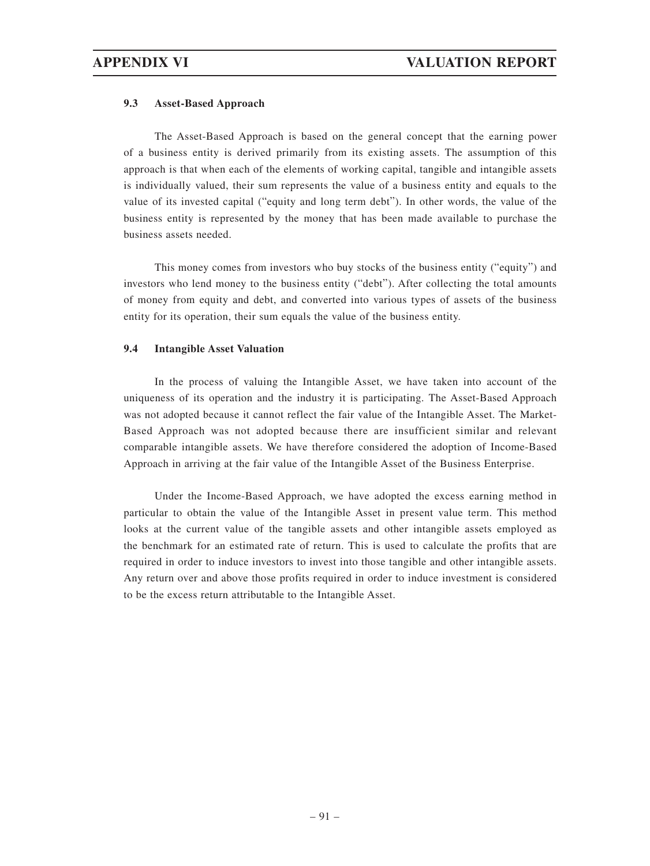### **9.3 Asset-Based Approach**

The Asset-Based Approach is based on the general concept that the earning power of a business entity is derived primarily from its existing assets. The assumption of this approach is that when each of the elements of working capital, tangible and intangible assets is individually valued, their sum represents the value of a business entity and equals to the value of its invested capital ("equity and long term debt"). In other words, the value of the business entity is represented by the money that has been made available to purchase the business assets needed.

This money comes from investors who buy stocks of the business entity ("equity") and investors who lend money to the business entity ("debt"). After collecting the total amounts of money from equity and debt, and converted into various types of assets of the business entity for its operation, their sum equals the value of the business entity.

### **9.4 Intangible Asset Valuation**

In the process of valuing the Intangible Asset, we have taken into account of the uniqueness of its operation and the industry it is participating. The Asset-Based Approach was not adopted because it cannot reflect the fair value of the Intangible Asset. The Market-Based Approach was not adopted because there are insufficient similar and relevant comparable intangible assets. We have therefore considered the adoption of Income-Based Approach in arriving at the fair value of the Intangible Asset of the Business Enterprise.

Under the Income-Based Approach, we have adopted the excess earning method in particular to obtain the value of the Intangible Asset in present value term. This method looks at the current value of the tangible assets and other intangible assets employed as the benchmark for an estimated rate of return. This is used to calculate the profits that are required in order to induce investors to invest into those tangible and other intangible assets. Any return over and above those profits required in order to induce investment is considered to be the excess return attributable to the Intangible Asset.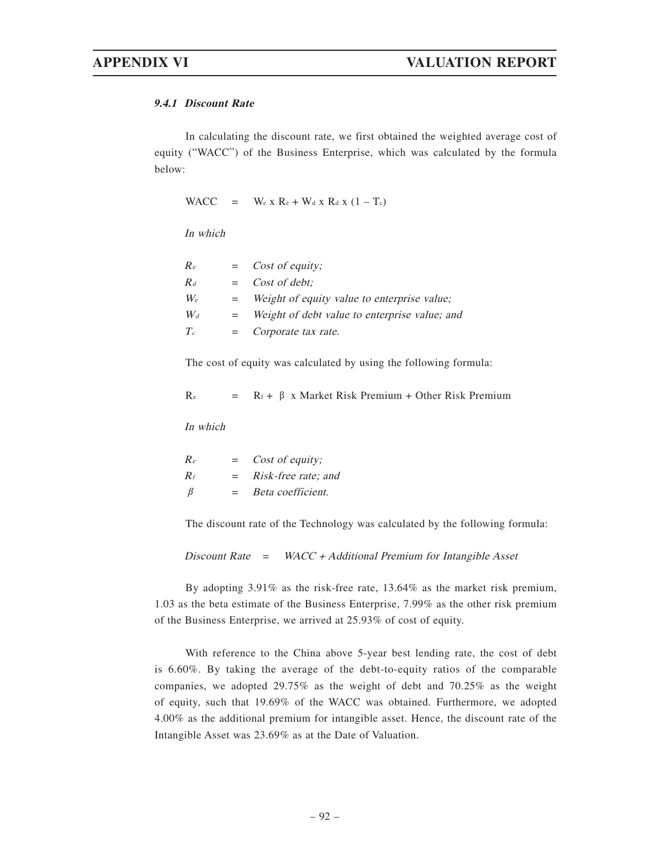#### **9.4.1 Discount Rate**

In calculating the discount rate, we first obtained the weighted average cost of equity ("WACC") of the Business Enterprise, which was calculated by the formula below:

WACC =  $W_e$  x R<sub>e</sub> + W<sub>d</sub> x R<sub>d</sub> x (1 – T<sub>c</sub>)

In which

| Re    |     | $=$ <i>Cost of equity;</i>                    |
|-------|-----|-----------------------------------------------|
| $R_d$ |     | $=$ Cost of debt:                             |
| $W_e$ | $=$ | Weight of equity value to enterprise value:   |
| $W_d$ | $=$ | Weight of debt value to enterprise value; and |
| $T_c$ | $=$ | Corporate tax rate.                           |
|       |     |                                               |

The cost of equity was calculated by using the following formula:

| $\rm Re$ |  |  |  |  | $R_f + \beta$ x Market Risk Premium + Other Risk Premium |  |  |  |
|----------|--|--|--|--|----------------------------------------------------------|--|--|--|
|----------|--|--|--|--|----------------------------------------------------------|--|--|--|

In which

| $R_{e}$ | $=$ | Cost of equity;            |
|---------|-----|----------------------------|
| $R_f$   | $=$ | <i>Risk-free rate; and</i> |
| - B     | $=$ | Beta coefficient.          |

The discount rate of the Technology was calculated by the following formula:

Discount Rate  $=$  WACC + Additional Premium for Intangible Asset

By adopting 3.91% as the risk-free rate, 13.64% as the market risk premium, 1.03 as the beta estimate of the Business Enterprise, 7.99% as the other risk premium of the Business Enterprise, we arrived at 25.93% of cost of equity.

With reference to the China above 5-year best lending rate, the cost of debt is 6.60%. By taking the average of the debt-to-equity ratios of the comparable companies, we adopted 29.75% as the weight of debt and 70.25% as the weight of equity, such that 19.69% of the WACC was obtained. Furthermore, we adopted 4.00% as the additional premium for intangible asset. Hence, the discount rate of the Intangible Asset was 23.69% as at the Date of Valuation.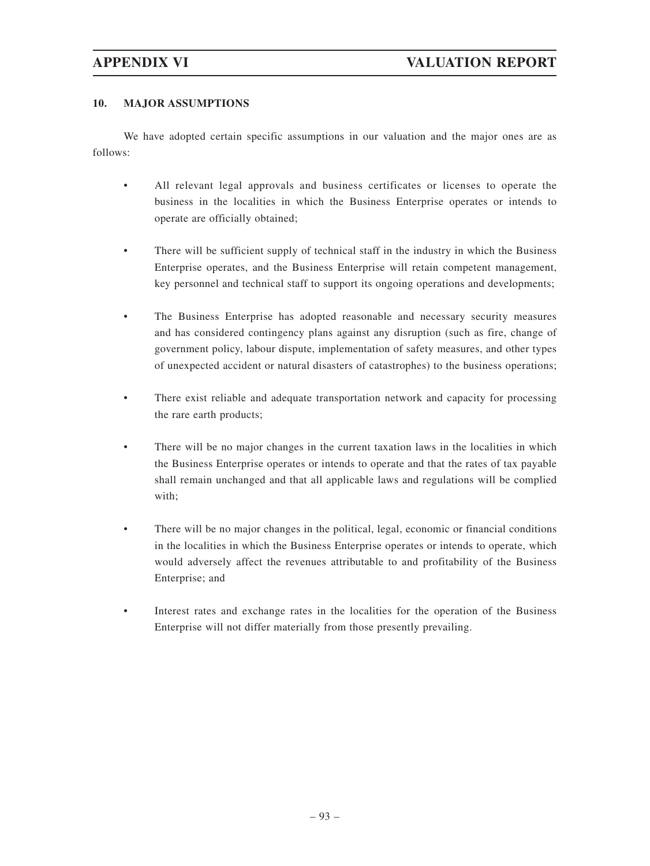### **10. MAJOR ASSUMPTIONS**

We have adopted certain specific assumptions in our valuation and the major ones are as follows:

- All relevant legal approvals and business certificates or licenses to operate the business in the localities in which the Business Enterprise operates or intends to operate are officially obtained;
- There will be sufficient supply of technical staff in the industry in which the Business Enterprise operates, and the Business Enterprise will retain competent management, key personnel and technical staff to support its ongoing operations and developments;
- The Business Enterprise has adopted reasonable and necessary security measures and has considered contingency plans against any disruption (such as fire, change of government policy, labour dispute, implementation of safety measures, and other types of unexpected accident or natural disasters of catastrophes) to the business operations;
- There exist reliable and adequate transportation network and capacity for processing the rare earth products;
- There will be no major changes in the current taxation laws in the localities in which the Business Enterprise operates or intends to operate and that the rates of tax payable shall remain unchanged and that all applicable laws and regulations will be complied with;
- There will be no major changes in the political, legal, economic or financial conditions in the localities in which the Business Enterprise operates or intends to operate, which would adversely affect the revenues attributable to and profitability of the Business Enterprise; and
- Interest rates and exchange rates in the localities for the operation of the Business Enterprise will not differ materially from those presently prevailing.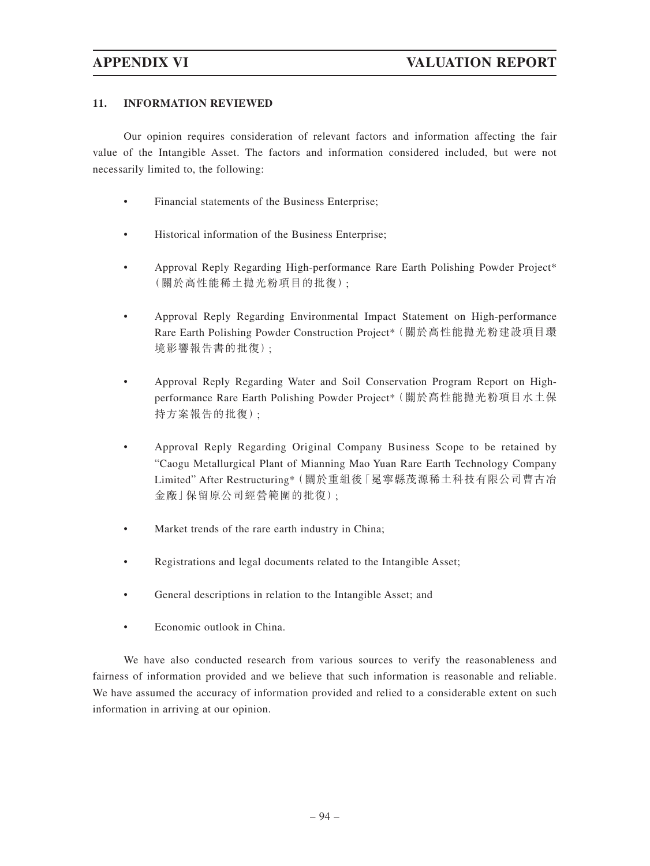### **11. INFORMATION REVIEWED**

Our opinion requires consideration of relevant factors and information affecting the fair value of the Intangible Asset. The factors and information considered included, but were not necessarily limited to, the following:

- Financial statements of the Business Enterprise;
- Historical information of the Business Enterprise;
- Approval Reply Regarding High-performance Rare Earth Polishing Powder Project\* (關於高性能稀土拋光粉項目的批復);
- Approval Reply Regarding Environmental Impact Statement on High-performance Rare Earth Polishing Powder Construction Project\*(關於高性能拋光粉建設項目環 境影響報告書的批復);
- Approval Reply Regarding Water and Soil Conservation Program Report on Highperformance Rare Earth Polishing Powder Project\*(關於高性能拋光粉項目水土保 持方案報告的批復);
- Approval Reply Regarding Original Company Business Scope to be retained by "Caogu Metallurgical Plant of Mianning Mao Yuan Rare Earth Technology Company Limited" After Restructuring\*(關於重組後「冕寧縣茂源稀土科技有限公司曹古冶 金廠」保留原公司經營範圍的批復);
- Market trends of the rare earth industry in China;
- Registrations and legal documents related to the Intangible Asset;
- General descriptions in relation to the Intangible Asset; and
- Economic outlook in China.

We have also conducted research from various sources to verify the reasonableness and fairness of information provided and we believe that such information is reasonable and reliable. We have assumed the accuracy of information provided and relied to a considerable extent on such information in arriving at our opinion.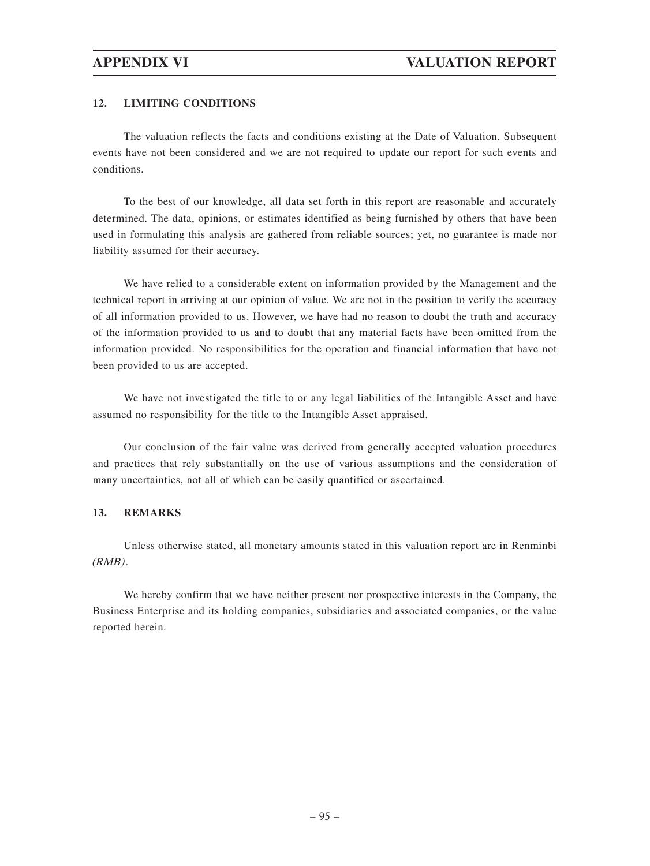### **12. LIMITING CONDITIONS**

The valuation reflects the facts and conditions existing at the Date of Valuation. Subsequent events have not been considered and we are not required to update our report for such events and conditions.

To the best of our knowledge, all data set forth in this report are reasonable and accurately determined. The data, opinions, or estimates identified as being furnished by others that have been used in formulating this analysis are gathered from reliable sources; yet, no guarantee is made nor liability assumed for their accuracy.

We have relied to a considerable extent on information provided by the Management and the technical report in arriving at our opinion of value. We are not in the position to verify the accuracy of all information provided to us. However, we have had no reason to doubt the truth and accuracy of the information provided to us and to doubt that any material facts have been omitted from the information provided. No responsibilities for the operation and financial information that have not been provided to us are accepted.

We have not investigated the title to or any legal liabilities of the Intangible Asset and have assumed no responsibility for the title to the Intangible Asset appraised.

Our conclusion of the fair value was derived from generally accepted valuation procedures and practices that rely substantially on the use of various assumptions and the consideration of many uncertainties, not all of which can be easily quantified or ascertained.

#### **13. REMARKS**

Unless otherwise stated, all monetary amounts stated in this valuation report are in Renminbi  $(RMB)$ .

We hereby confirm that we have neither present nor prospective interests in the Company, the Business Enterprise and its holding companies, subsidiaries and associated companies, or the value reported herein.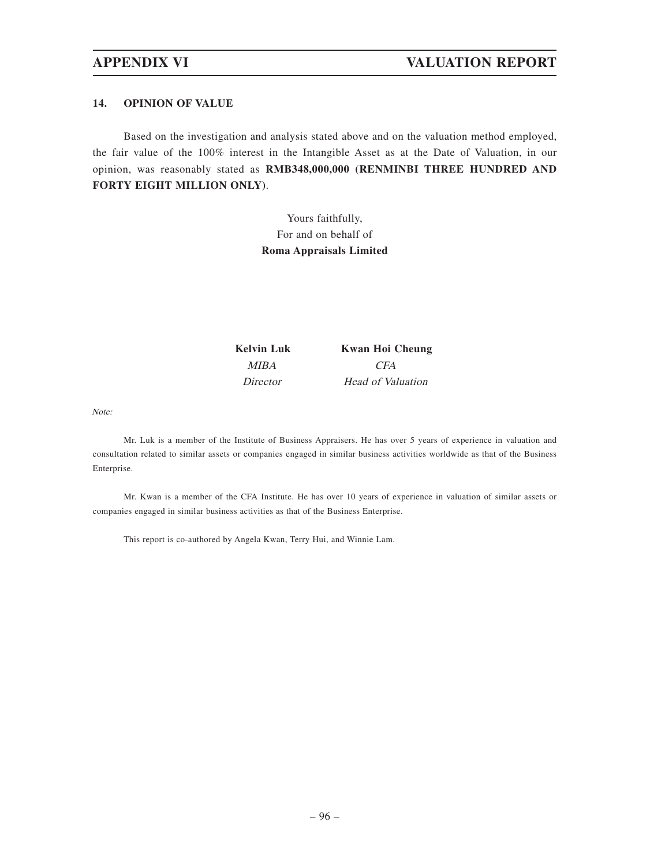#### **14. OPINION OF VALUE**

Based on the investigation and analysis stated above and on the valuation method employed, the fair value of the 100% interest in the Intangible Asset as at the Date of Valuation, in our opinion, was reasonably stated as **RMB348,000,000 (RENMINBI THREE HUNDRED AND FORTY EIGHT MILLION ONLY)**.

> Yours faithfully, For and on behalf of **Roma Appraisals Limited**

**Kelvin Luk Kwan Hoi Cheung** MIBA CFA Director Head of Valuation

Note:

Mr. Luk is a member of the Institute of Business Appraisers. He has over 5 years of experience in valuation and consultation related to similar assets or companies engaged in similar business activities worldwide as that of the Business Enterprise.

Mr. Kwan is a member of the CFA Institute. He has over 10 years of experience in valuation of similar assets or companies engaged in similar business activities as that of the Business Enterprise.

This report is co-authored by Angela Kwan, Terry Hui, and Winnie Lam.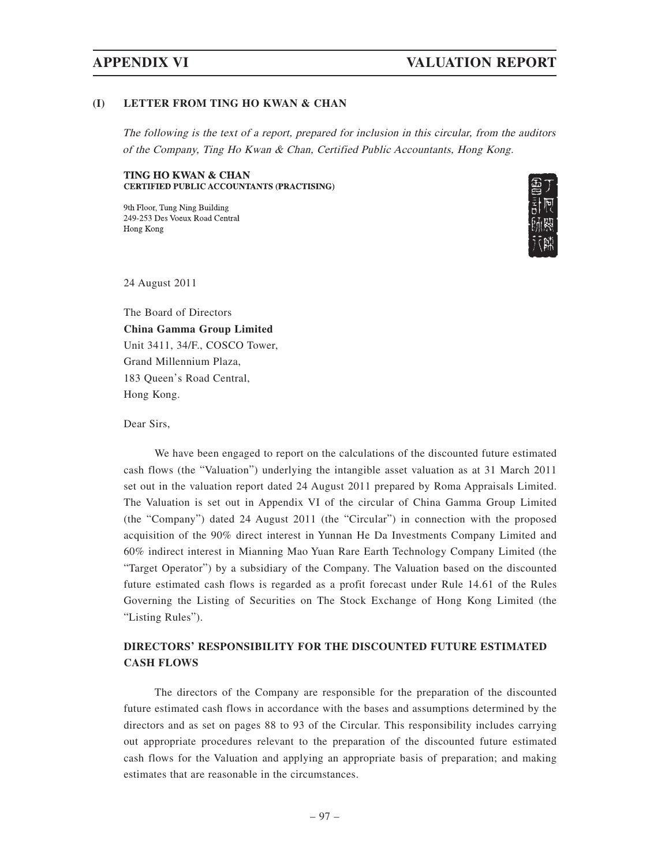## **APPENDIX VI VALUATION REPORT**

#### **(I) LETTER FROM TING HO KWAN & CHAN**

The following is the text of a report, prepared for inclusion in this circular, from the auditors of the Company, Ting Ho Kwan & Chan, Certified Public Accountants, Hong Kong.

#### **TING HO KWAN & CHAN CERTIFIED PUBLIC ACCOUNTANTS (PRACTISING)**

9th Floor, Tung Ning Building 249-253 Des Voeux Road Central Hong Kong



24 August 2011

The Board of Directors **China Gamma Group Limited** Unit 3411, 34/F., COSCO Tower, Grand Millennium Plaza, 183 Queen's Road Central, Hong Kong.

Dear Sirs,

We have been engaged to report on the calculations of the discounted future estimated cash flows (the "Valuation") underlying the intangible asset valuation as at 31 March 2011 set out in the valuation report dated 24 August 2011 prepared by Roma Appraisals Limited. The Valuation is set out in Appendix VI of the circular of China Gamma Group Limited (the "Company") dated 24 August 2011 (the "Circular") in connection with the proposed acquisition of the 90% direct interest in Yunnan He Da Investments Company Limited and 60% indirect interest in Mianning Mao Yuan Rare Earth Technology Company Limited (the "Target Operator") by a subsidiary of the Company. The Valuation based on the discounted future estimated cash flows is regarded as a profit forecast under Rule 14.61 of the Rules Governing the Listing of Securities on The Stock Exchange of Hong Kong Limited (the "Listing Rules").

## **DIRECTORS' RESPONSIBILITY FOR THE DISCOUNTED FUTURE ESTIMATED CASH FLOWS**

The directors of the Company are responsible for the preparation of the discounted future estimated cash flows in accordance with the bases and assumptions determined by the directors and as set on pages 88 to 93 of the Circular. This responsibility includes carrying out appropriate procedures relevant to the preparation of the discounted future estimated cash flows for the Valuation and applying an appropriate basis of preparation; and making estimates that are reasonable in the circumstances.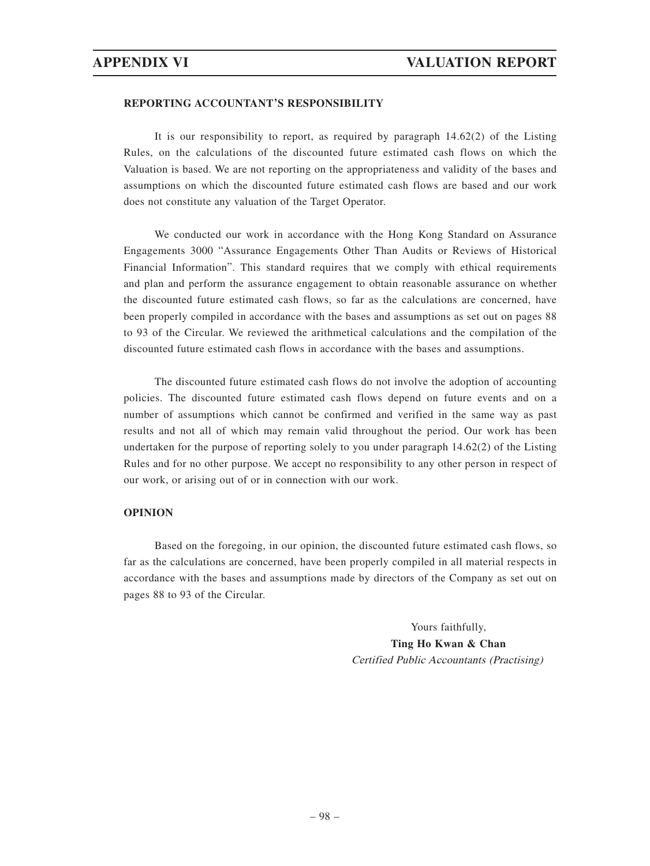#### **REPORTING ACCOUNTANT'S RESPONSIBILITY**

It is our responsibility to report, as required by paragraph 14.62(2) of the Listing Rules, on the calculations of the discounted future estimated cash flows on which the Valuation is based. We are not reporting on the appropriateness and validity of the bases and assumptions on which the discounted future estimated cash flows are based and our work does not constitute any valuation of the Target Operator.

We conducted our work in accordance with the Hong Kong Standard on Assurance Engagements 3000 "Assurance Engagements Other Than Audits or Reviews of Historical Financial Information". This standard requires that we comply with ethical requirements and plan and perform the assurance engagement to obtain reasonable assurance on whether the discounted future estimated cash flows, so far as the calculations are concerned, have been properly compiled in accordance with the bases and assumptions as set out on pages 88 to 93 of the Circular. We reviewed the arithmetical calculations and the compilation of the discounted future estimated cash flows in accordance with the bases and assumptions.

The discounted future estimated cash flows do not involve the adoption of accounting policies. The discounted future estimated cash flows depend on future events and on a number of assumptions which cannot be confirmed and verified in the same way as past results and not all of which may remain valid throughout the period. Our work has been undertaken for the purpose of reporting solely to you under paragraph 14.62(2) of the Listing Rules and for no other purpose. We accept no responsibility to any other person in respect of our work, or arising out of or in connection with our work.

#### **OPINION**

Based on the foregoing, in our opinion, the discounted future estimated cash flows, so far as the calculations are concerned, have been properly compiled in all material respects in accordance with the bases and assumptions made by directors of the Company as set out on pages 88 to 93 of the Circular.

> Yours faithfully, **Ting Ho Kwan & Chan** Certified Public Accountants (Practising)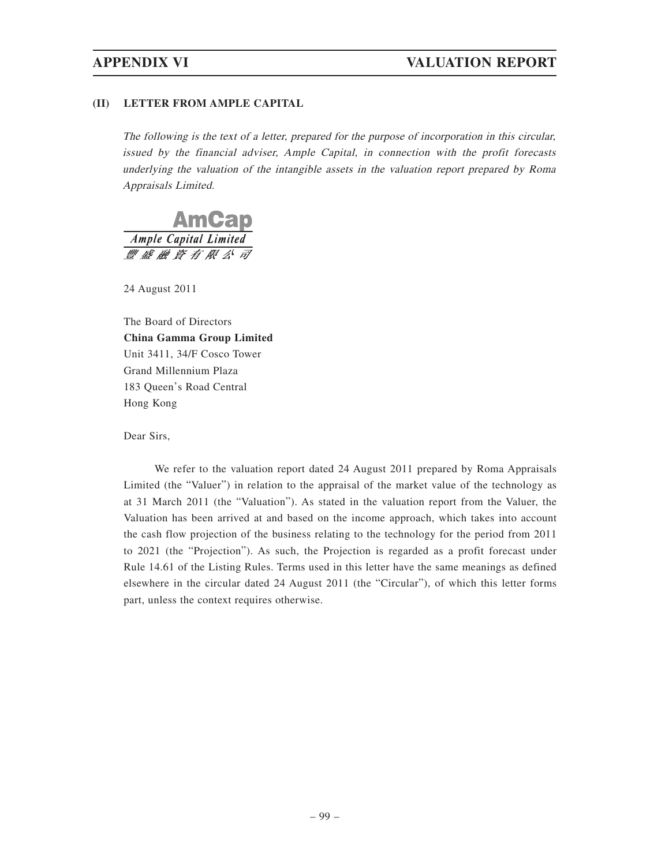### **(II) LETTER FROM AMPLE CAPITAL**

The following is the text of a letter, prepared for the purpose of incorporation in this circular, issued by the financial adviser, Ample Capital, in connection with the profit forecasts underlying the valuation of the intangible assets in the valuation report prepared by Roma Appraisals Limited.



24 August 2011

The Board of Directors **China Gamma Group Limited** Unit 3411, 34/F Cosco Tower Grand Millennium Plaza 183 Queen's Road Central Hong Kong

Dear Sirs,

We refer to the valuation report dated 24 August 2011 prepared by Roma Appraisals Limited (the "Valuer") in relation to the appraisal of the market value of the technology as at 31 March 2011 (the "Valuation"). As stated in the valuation report from the Valuer, the Valuation has been arrived at and based on the income approach, which takes into account the cash flow projection of the business relating to the technology for the period from 2011 to 2021 (the "Projection"). As such, the Projection is regarded as a profit forecast under Rule 14.61 of the Listing Rules. Terms used in this letter have the same meanings as defined elsewhere in the circular dated 24 August 2011 (the "Circular"), of which this letter forms part, unless the context requires otherwise.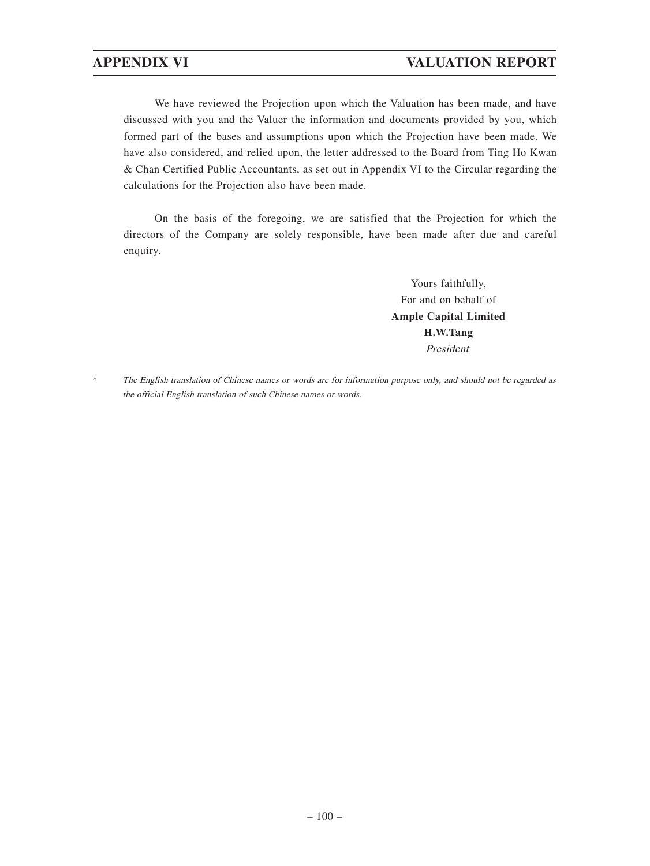We have reviewed the Projection upon which the Valuation has been made, and have discussed with you and the Valuer the information and documents provided by you, which formed part of the bases and assumptions upon which the Projection have been made. We have also considered, and relied upon, the letter addressed to the Board from Ting Ho Kwan & Chan Certified Public Accountants, as set out in Appendix VI to the Circular regarding the calculations for the Projection also have been made.

On the basis of the foregoing, we are satisfied that the Projection for which the directors of the Company are solely responsible, have been made after due and careful enquiry.

> Yours faithfully, For and on behalf of **Ample Capital Limited H.W.Tang** President

\* The English translation of Chinese names or words are for information purpose only, and should not be regarded as the official English translation of such Chinese names or words.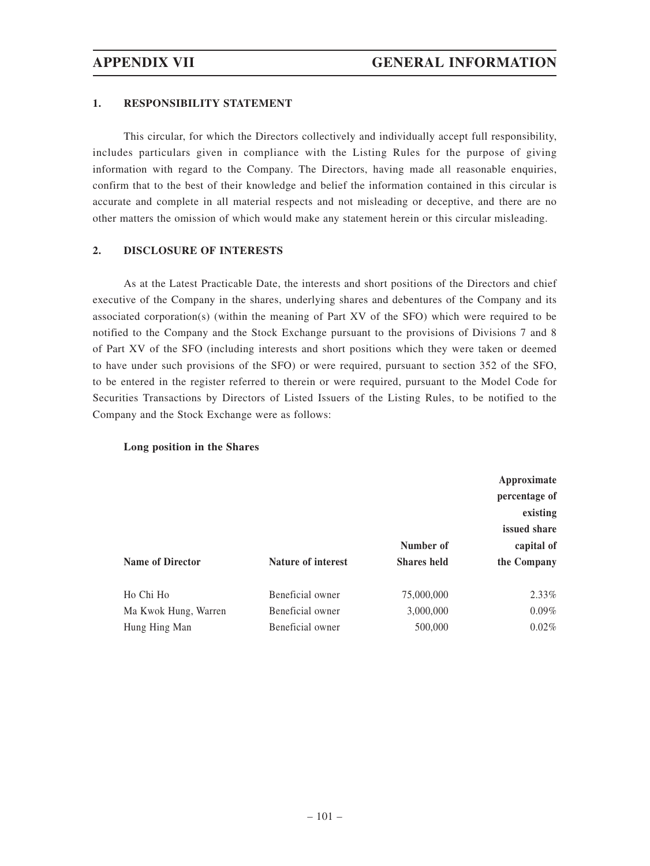### **1. RESPONSIBILITY STATEMENT**

This circular, for which the Directors collectively and individually accept full responsibility, includes particulars given in compliance with the Listing Rules for the purpose of giving information with regard to the Company. The Directors, having made all reasonable enquiries, confirm that to the best of their knowledge and belief the information contained in this circular is accurate and complete in all material respects and not misleading or deceptive, and there are no other matters the omission of which would make any statement herein or this circular misleading.

### **2. DISCLOSURE OF INTERESTS**

As at the Latest Practicable Date, the interests and short positions of the Directors and chief executive of the Company in the shares, underlying shares and debentures of the Company and its associated corporation(s) (within the meaning of Part XV of the SFO) which were required to be notified to the Company and the Stock Exchange pursuant to the provisions of Divisions 7 and 8 of Part XV of the SFO (including interests and short positions which they were taken or deemed to have under such provisions of the SFO) or were required, pursuant to section 352 of the SFO, to be entered in the register referred to therein or were required, pursuant to the Model Code for Securities Transactions by Directors of Listed Issuers of the Listing Rules, to be notified to the Company and the Stock Exchange were as follows:

#### **Long position in the Shares**

| <b>Name of Director</b> | <b>Nature of interest</b> | Number of<br><b>Shares held</b> | Approximate<br>percentage of<br>existing<br>issued share<br>capital of<br>the Company |
|-------------------------|---------------------------|---------------------------------|---------------------------------------------------------------------------------------|
| Ho Chi Ho               | Beneficial owner          | 75,000,000                      | $2.33\%$                                                                              |
| Ma Kwok Hung, Warren    | Beneficial owner          | 3,000,000                       | $0.09\%$                                                                              |
| Hung Hing Man           | Beneficial owner          | 500,000                         | $0.02\%$                                                                              |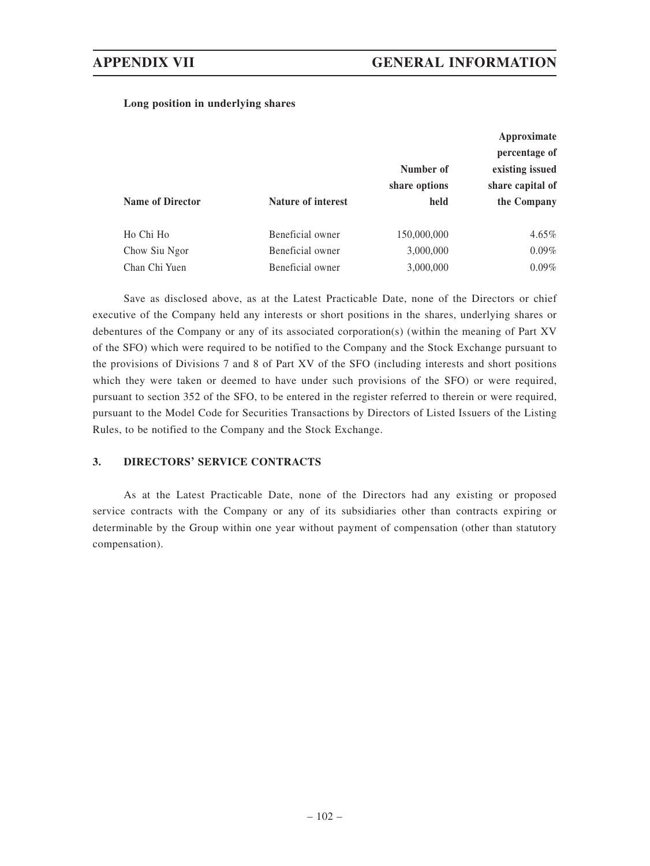### **Long position in underlying shares**

| Approximate                       |
|-----------------------------------|
| percentage of                     |
| Number of<br>existing issued      |
| share capital of<br>share options |
| held<br>the Company               |
|                                   |
| $4.65\%$<br>150,000,000           |
| $0.09\%$<br>3,000,000             |
| $0.09\%$<br>3,000,000             |
|                                   |

Save as disclosed above, as at the Latest Practicable Date, none of the Directors or chief executive of the Company held any interests or short positions in the shares, underlying shares or debentures of the Company or any of its associated corporation(s) (within the meaning of Part XV of the SFO) which were required to be notified to the Company and the Stock Exchange pursuant to the provisions of Divisions 7 and 8 of Part XV of the SFO (including interests and short positions which they were taken or deemed to have under such provisions of the SFO) or were required, pursuant to section 352 of the SFO, to be entered in the register referred to therein or were required, pursuant to the Model Code for Securities Transactions by Directors of Listed Issuers of the Listing Rules, to be notified to the Company and the Stock Exchange.

#### **3. DIRECTORS' SERVICE CONTRACTS**

As at the Latest Practicable Date, none of the Directors had any existing or proposed service contracts with the Company or any of its subsidiaries other than contracts expiring or determinable by the Group within one year without payment of compensation (other than statutory compensation).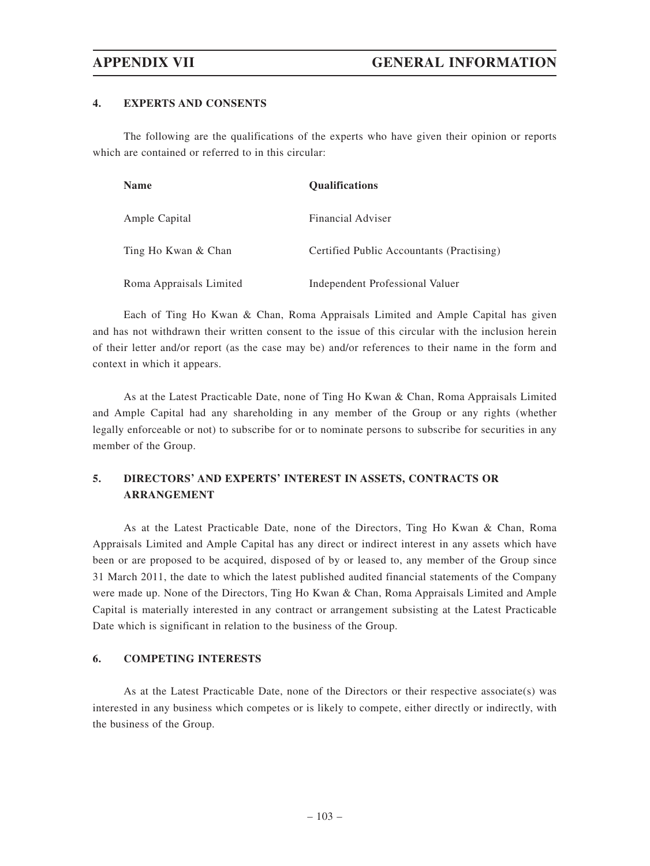### **4. EXPERTS AND CONSENTS**

The following are the qualifications of the experts who have given their opinion or reports which are contained or referred to in this circular:

| <b>Name</b>             | <b>Qualifications</b>                     |
|-------------------------|-------------------------------------------|
| Ample Capital           | <b>Financial Adviser</b>                  |
| Ting Ho Kwan & Chan     | Certified Public Accountants (Practising) |
| Roma Appraisals Limited | Independent Professional Valuer           |

Each of Ting Ho Kwan & Chan, Roma Appraisals Limited and Ample Capital has given and has not withdrawn their written consent to the issue of this circular with the inclusion herein of their letter and/or report (as the case may be) and/or references to their name in the form and context in which it appears.

As at the Latest Practicable Date, none of Ting Ho Kwan & Chan, Roma Appraisals Limited and Ample Capital had any shareholding in any member of the Group or any rights (whether legally enforceable or not) to subscribe for or to nominate persons to subscribe for securities in any member of the Group.

## **5. DIRECTORS' AND EXPERTS' INTEREST IN ASSETS, CONTRACTS OR ARRANGEMENT**

As at the Latest Practicable Date, none of the Directors, Ting Ho Kwan & Chan, Roma Appraisals Limited and Ample Capital has any direct or indirect interest in any assets which have been or are proposed to be acquired, disposed of by or leased to, any member of the Group since 31 March 2011, the date to which the latest published audited financial statements of the Company were made up. None of the Directors, Ting Ho Kwan & Chan, Roma Appraisals Limited and Ample Capital is materially interested in any contract or arrangement subsisting at the Latest Practicable Date which is significant in relation to the business of the Group.

#### **6. COMPETING INTERESTS**

As at the Latest Practicable Date, none of the Directors or their respective associate(s) was interested in any business which competes or is likely to compete, either directly or indirectly, with the business of the Group.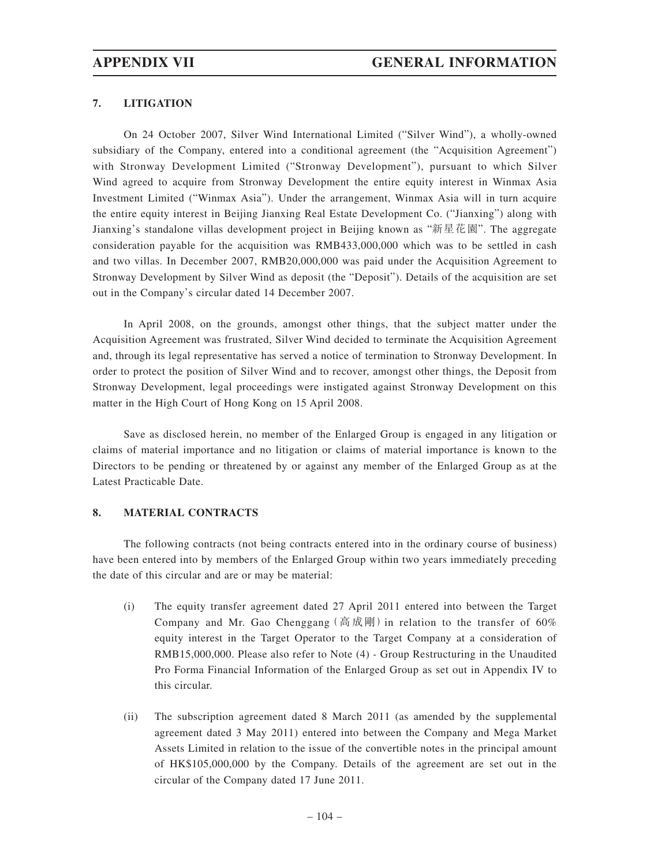### **7. LITIGATION**

On 24 October 2007, Silver Wind International Limited ("Silver Wind"), a wholly-owned subsidiary of the Company, entered into a conditional agreement (the "Acquisition Agreement") with Stronway Development Limited ("Stronway Development"), pursuant to which Silver Wind agreed to acquire from Stronway Development the entire equity interest in Winmax Asia Investment Limited ("Winmax Asia"). Under the arrangement, Winmax Asia will in turn acquire the entire equity interest in Beijing Jianxing Real Estate Development Co. ("Jianxing") along with Jianxing's standalone villas development project in Beijing known as "新星花園". The aggregate consideration payable for the acquisition was RMB433,000,000 which was to be settled in cash and two villas. In December 2007, RMB20,000,000 was paid under the Acquisition Agreement to Stronway Development by Silver Wind as deposit (the "Deposit"). Details of the acquisition are set out in the Company's circular dated 14 December 2007.

In April 2008, on the grounds, amongst other things, that the subject matter under the Acquisition Agreement was frustrated, Silver Wind decided to terminate the Acquisition Agreement and, through its legal representative has served a notice of termination to Stronway Development. In order to protect the position of Silver Wind and to recover, amongst other things, the Deposit from Stronway Development, legal proceedings were instigated against Stronway Development on this matter in the High Court of Hong Kong on 15 April 2008.

Save as disclosed herein, no member of the Enlarged Group is engaged in any litigation or claims of material importance and no litigation or claims of material importance is known to the Directors to be pending or threatened by or against any member of the Enlarged Group as at the Latest Practicable Date.

### **8. MATERIAL CONTRACTS**

The following contracts (not being contracts entered into in the ordinary course of business) have been entered into by members of the Enlarged Group within two years immediately preceding the date of this circular and are or may be material:

- (i) The equity transfer agreement dated 27 April 2011 entered into between the Target Company and Mr. Gao Chenggang (高成剛) in relation to the transfer of 60% equity interest in the Target Operator to the Target Company at a consideration of RMB15,000,000. Please also refer to Note (4) - Group Restructuring in the Unaudited Pro Forma Financial Information of the Enlarged Group as set out in Appendix IV to this circular.
- (ii) The subscription agreement dated 8 March 2011 (as amended by the supplemental agreement dated 3 May 2011) entered into between the Company and Mega Market Assets Limited in relation to the issue of the convertible notes in the principal amount of HK\$105,000,000 by the Company. Details of the agreement are set out in the circular of the Company dated 17 June 2011.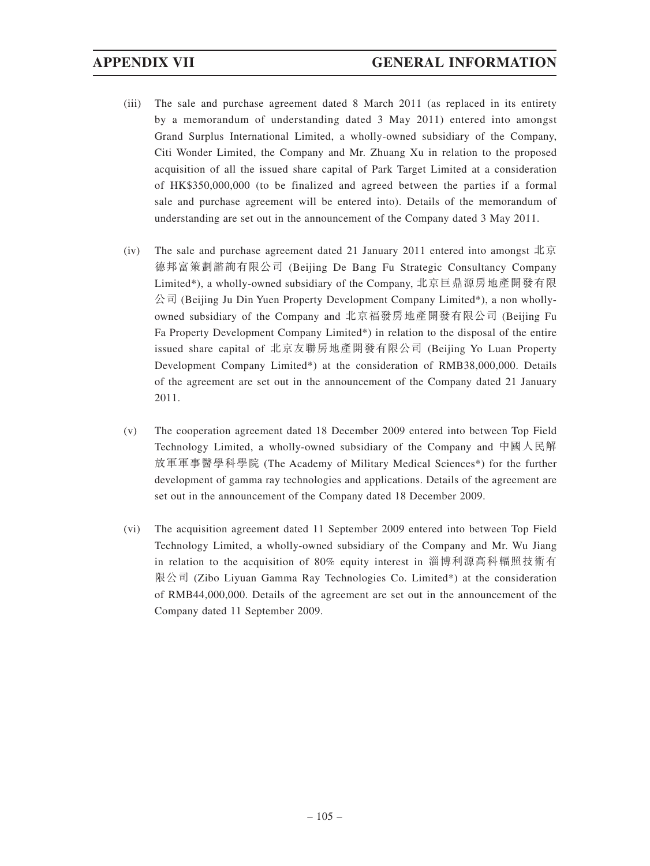- (iii) The sale and purchase agreement dated 8 March 2011 (as replaced in its entirety by a memorandum of understanding dated 3 May 2011) entered into amongst Grand Surplus International Limited, a wholly-owned subsidiary of the Company, Citi Wonder Limited, the Company and Mr. Zhuang Xu in relation to the proposed acquisition of all the issued share capital of Park Target Limited at a consideration of HK\$350,000,000 (to be finalized and agreed between the parties if a formal sale and purchase agreement will be entered into). Details of the memorandum of understanding are set out in the announcement of the Company dated 3 May 2011.
- (iv) The sale and purchase agreement dated 21 January 2011 entered into amongst 北京 德邦富策劃諮詢有限公司 (Beijing De Bang Fu Strategic Consultancy Company Limited\*), a wholly-owned subsidiary of the Company, 北京巨鼎源房地產開發有限 公司 (Beijing Ju Din Yuen Property Development Company Limited\*), a non whollyowned subsidiary of the Company and 北京福發房地產開發有限公司 (Beijing Fu Fa Property Development Company Limited\*) in relation to the disposal of the entire issued share capital of 北京友聯房地產開發有限公司 (Beijing Yo Luan Property Development Company Limited\*) at the consideration of RMB38,000,000. Details of the agreement are set out in the announcement of the Company dated 21 January 2011.
- (v) The cooperation agreement dated 18 December 2009 entered into between Top Field Technology Limited, a wholly-owned subsidiary of the Company and 中國人民解 放軍軍事醫學科學院 (The Academy of Military Medical Sciences\*) for the further development of gamma ray technologies and applications. Details of the agreement are set out in the announcement of the Company dated 18 December 2009.
- (vi) The acquisition agreement dated 11 September 2009 entered into between Top Field Technology Limited, a wholly-owned subsidiary of the Company and Mr. Wu Jiang in relation to the acquisition of 80% equity interest in 淄博利源高科輻照技術有 限公司 (Zibo Liyuan Gamma Ray Technologies Co. Limited\*) at the consideration of RMB44,000,000. Details of the agreement are set out in the announcement of the Company dated 11 September 2009.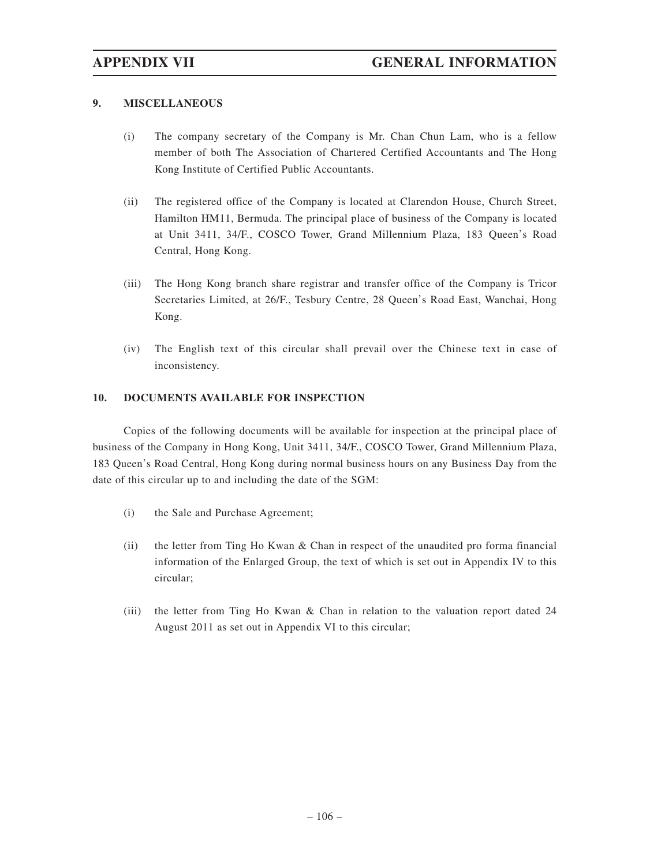### **9. MISCELLANEOUS**

- (i) The company secretary of the Company is Mr. Chan Chun Lam, who is a fellow member of both The Association of Chartered Certified Accountants and The Hong Kong Institute of Certified Public Accountants.
- (ii) The registered office of the Company is located at Clarendon House, Church Street, Hamilton HM11, Bermuda. The principal place of business of the Company is located at Unit 3411, 34/F., COSCO Tower, Grand Millennium Plaza, 183 Queen's Road Central, Hong Kong.
- (iii) The Hong Kong branch share registrar and transfer office of the Company is Tricor Secretaries Limited, at 26/F., Tesbury Centre, 28 Queen's Road East, Wanchai, Hong Kong.
- (iv) The English text of this circular shall prevail over the Chinese text in case of inconsistency.

### **10. DOCUMENTS AVAILABLE FOR INSPECTION**

Copies of the following documents will be available for inspection at the principal place of business of the Company in Hong Kong, Unit 3411, 34/F., COSCO Tower, Grand Millennium Plaza, 183 Queen's Road Central, Hong Kong during normal business hours on any Business Day from the date of this circular up to and including the date of the SGM:

- (i) the Sale and Purchase Agreement;
- (ii) the letter from Ting Ho Kwan & Chan in respect of the unaudited pro forma financial information of the Enlarged Group, the text of which is set out in Appendix IV to this circular;
- (iii) the letter from Ting Ho Kwan & Chan in relation to the valuation report dated 24 August 2011 as set out in Appendix VI to this circular;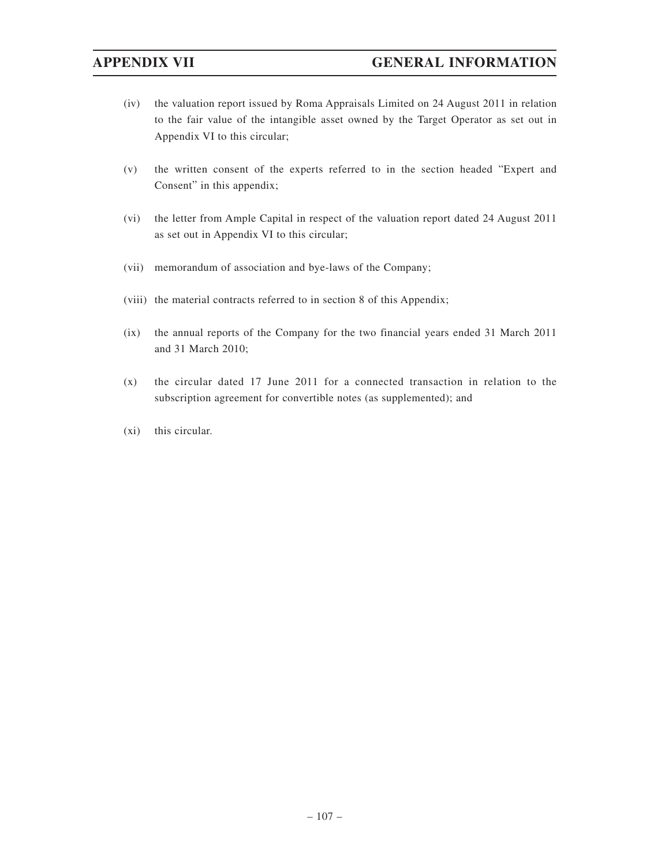- (iv) the valuation report issued by Roma Appraisals Limited on 24 August 2011 in relation to the fair value of the intangible asset owned by the Target Operator as set out in Appendix VI to this circular;
- (v) the written consent of the experts referred to in the section headed "Expert and Consent" in this appendix;
- (vi) the letter from Ample Capital in respect of the valuation report dated 24 August 2011 as set out in Appendix VI to this circular;
- (vii) memorandum of association and bye-laws of the Company;
- (viii) the material contracts referred to in section 8 of this Appendix;
- (ix) the annual reports of the Company for the two financial years ended 31 March 2011 and 31 March 2010;
- (x) the circular dated 17 June 2011 for a connected transaction in relation to the subscription agreement for convertible notes (as supplemented); and
- (xi) this circular.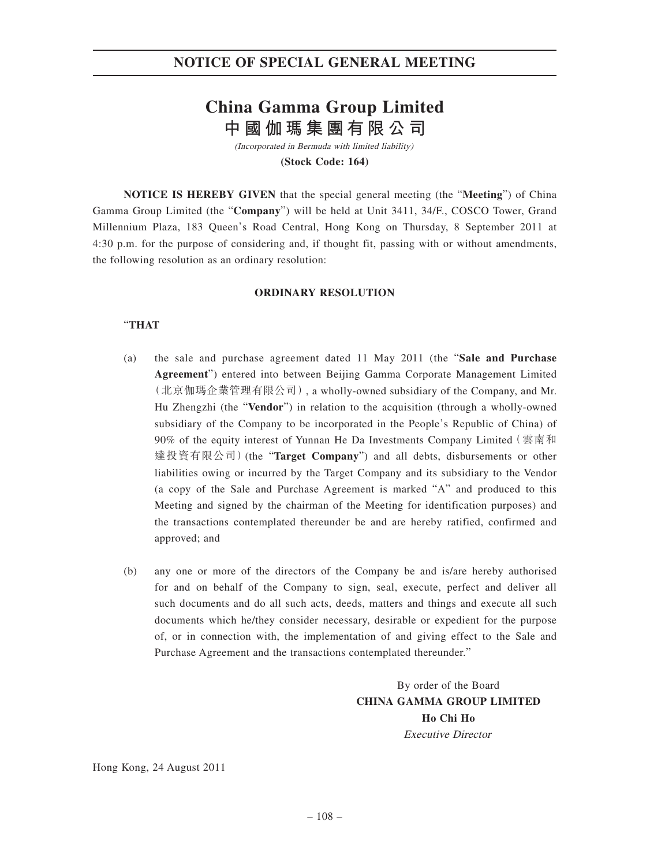# **NOTICE OF SPECIAL GENERAL MEETING**

# **China Gamma Group Limited 中國伽瑪集團有限公司**

(Incorporated in Bermuda with limited liability) **(Stock Code: 164)**

**NOTICE IS HEREBY GIVEN** that the special general meeting (the "**Meeting**") of China Gamma Group Limited (the "**Company**") will be held at Unit 3411, 34/F., COSCO Tower, Grand Millennium Plaza, 183 Queen's Road Central, Hong Kong on Thursday, 8 September 2011 at 4:30 p.m. for the purpose of considering and, if thought fit, passing with or without amendments, the following resolution as an ordinary resolution:

### **ORDINARY RESOLUTION**

### "**THAT**

- (a) the sale and purchase agreement dated 11 May 2011 (the "**Sale and Purchase Agreement**") entered into between Beijing Gamma Corporate Management Limited (北京伽瑪企業管理有限公司), a wholly-owned subsidiary of the Company, and Mr. Hu Zhengzhi (the "**Vendor**") in relation to the acquisition (through a wholly-owned subsidiary of the Company to be incorporated in the People's Republic of China) of 90% of the equity interest of Yunnan He Da Investments Company Limited(雲南和 達投資有限公司)(the "**Target Company**") and all debts, disbursements or other liabilities owing or incurred by the Target Company and its subsidiary to the Vendor (a copy of the Sale and Purchase Agreement is marked "A" and produced to this Meeting and signed by the chairman of the Meeting for identification purposes) and the transactions contemplated thereunder be and are hereby ratified, confirmed and approved; and
- (b) any one or more of the directors of the Company be and is/are hereby authorised for and on behalf of the Company to sign, seal, execute, perfect and deliver all such documents and do all such acts, deeds, matters and things and execute all such documents which he/they consider necessary, desirable or expedient for the purpose of, or in connection with, the implementation of and giving effect to the Sale and Purchase Agreement and the transactions contemplated thereunder."

By order of the Board **CHINA GAMMA GROUP LIMITED Ho Chi Ho** Executive Director

Hong Kong, 24 August 2011